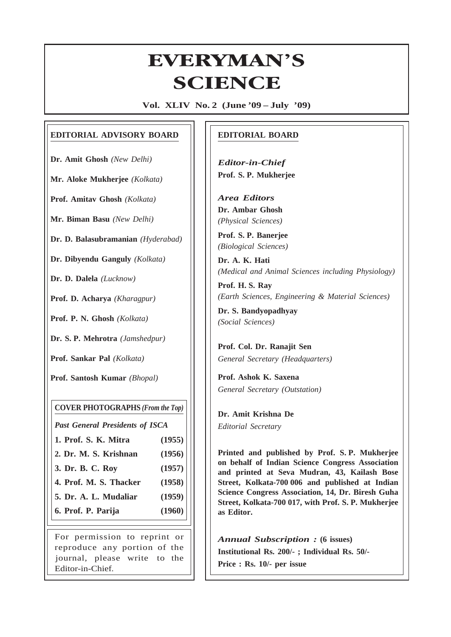# **Everyman's Science VOL. XLIV NO. 2, June — July '09** EVERYMAN'S **ERYMAN<br>SCIENCE**

**Vol. XLIV No. 2 (June '09 – July '09)**

# **EDITORIAL ADVISORY BOARD**

**Dr. Amit Ghosh** *(New Delhi)*

**Mr. Aloke Mukherjee** *(Kolkata)*

**Prof. Amitav Ghosh** *(Kolkata)*

**Mr. Biman Basu** *(New Delhi)*

**Dr. D. Balasubramanian** *(Hyderabad)*

**Dr. Dibyendu Ganguly** *(Kolkata)*

**Dr. D. Dalela** *(Lucknow)*

**Prof. D. Acharya** *(Kharagpur)*

**Prof. P. N. Ghosh** *(Kolkata)*

**Dr. S. P. Mehrotra** *(Jamshedpur)*

**Prof. Sankar Pal** *(Kolkata)*

**Prof. Santosh Kumar** *(Bhopal)*

# **COVER PHOTOGRAPHS** *(From the Top)*

*Past General Presidents of ISCA*

- **1. Prof. S. K. Mitra (1955)**
- **2. Dr. M. S. Krishnan (1956)**
- **3. Dr. B. C. Roy (1957)**
- **4. Prof. M. S. Thacker (1958)**
- **5. Dr. A. L. Mudaliar (1959)**
- **6. Prof. P. Parija (1960)**

For permission to reprint or reproduce any portion of the journal, please write to the Editor-in-Chief.

# **EDITORIAL BOARD**

*Editor-in-Chief* **Prof. S. P. Mukherjee**

*Area Editors* **Dr. Ambar Ghosh** *(Physical Sciences)*

**Prof. S. P. Banerjee** *(Biological Sciences)*

**Dr. A. K. Hati** *(Medical and Animal Sciences including Physiology)*

**Prof. H. S. Ray** *(Earth Sciences, Engineering & Material Sciences)*

**Dr. S. Bandyopadhyay** *(Social Sciences)*

**Prof. Col. Dr. Ranajit Sen** *General Secretary (Headquarters)*

**Prof. Ashok K. Saxena** *General Secretary (Outstation)*

**Dr. Amit Krishna De** *Editorial Secretary*

65

**Printed and published by Prof. S. P. Mukherjee on behalf of Indian Science Congress Association and printed at Seva Mudran, 43, Kailash Bose Street, Kolkata-700 006 and published at Indian Science Congress Association, 14, Dr. Biresh Guha Street, Kolkata-700 017, with Prof. S. P. Mukherjee as Editor.**

*Annual Subscription :* **(6 issues) Institutional Rs. 200/- ; Individual Rs. 50/- Price : Rs. 10/- per issue**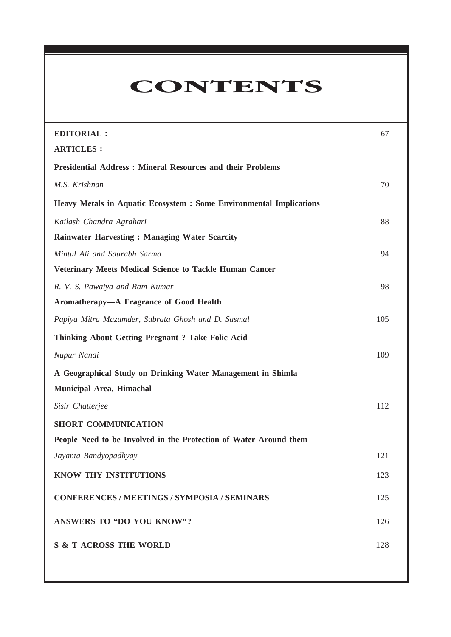# **CONTENTS**

**Everyman's Science VOL. XLIV NO. 2, June — July '09**

| <b>EDITORIAL:</b>                                                          | 67  |
|----------------------------------------------------------------------------|-----|
| <b>ARTICLES:</b>                                                           |     |
| <b>Presidential Address: Mineral Resources and their Problems</b>          |     |
| M.S. Krishnan                                                              | 70  |
| <b>Heavy Metals in Aquatic Ecosystem : Some Environmental Implications</b> |     |
| Kailash Chandra Agrahari                                                   | 88  |
| <b>Rainwater Harvesting: Managing Water Scarcity</b>                       |     |
| Mintul Ali and Saurabh Sarma                                               | 94  |
| <b>Veterinary Meets Medical Science to Tackle Human Cancer</b>             |     |
| R. V. S. Pawaiya and Ram Kumar                                             | 98  |
| Aromatherapy-A Fragrance of Good Health                                    |     |
| Papiya Mitra Mazumder, Subrata Ghosh and D. Sasmal                         | 105 |
| <b>Thinking About Getting Pregnant ? Take Folic Acid</b>                   |     |
| Nupur Nandi                                                                | 109 |
| A Geographical Study on Drinking Water Management in Shimla                |     |
| Municipal Area, Himachal                                                   |     |
| Sisir Chatterjee                                                           | 112 |
| <b>SHORT COMMUNICATION</b>                                                 |     |
| People Need to be Involved in the Protection of Water Around them          |     |
| Jayanta Bandyopadhyay                                                      | 121 |
| KNOW THY INSTITUTIONS                                                      | 123 |
| <b>CONFERENCES / MEETINGS / SYMPOSIA / SEMINARS</b>                        | 125 |
| <b>ANSWERS TO "DO YOU KNOW"?</b>                                           | 126 |
| <b>S &amp; T ACROSS THE WORLD</b>                                          | 128 |
|                                                                            |     |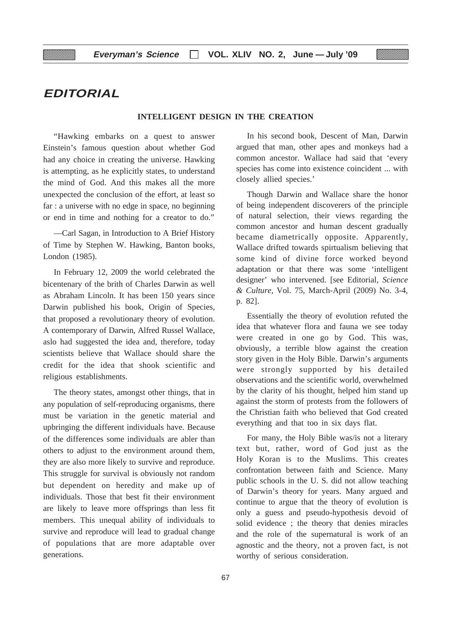# **EDITORIAL**

# **INTELLIGENT DESIGN IN THE CREATION**

"Hawking embarks on a quest to answer Einstein's famous question about whether God had any choice in creating the universe. Hawking is attempting, as he explicitly states, to understand the mind of God. And this makes all the more unexpected the conclusion of the effort, at least so far : a universe with no edge in space, no beginning or end in time and nothing for a creator to do."

—Carl Sagan, in Introduction to A Brief History of Time by Stephen W. Hawking, Banton books, London (1985).

In February 12, 2009 the world celebrated the bicentenary of the brith of Charles Darwin as well as Abraham Lincoln. It has been 150 years since Darwin published his book, Origin of Species, that proposed a revolutionary theory of evolution. A contemporary of Darwin, Alfred Russel Wallace, aslo had suggested the idea and, therefore, today scientists believe that Wallace should share the credit for the idea that shook scientific and religious establishments.

The theory states, amongst other things, that in any population of self-reproducing organisms, there must be variation in the genetic material and upbringing the different individuals have. Because of the differences some individuals are abler than others to adjust to the environment around them, they are also more likely to survive and reproduce. This struggle for survival is obviously not random but dependent on heredity and make up of individuals. Those that best fit their environment are likely to leave more offsprings than less fit members. This unequal ability of individuals to survive and reproduce will lead to gradual change of populations that are more adaptable over generations.

In his second book, Descent of Man, Darwin argued that man, other apes and monkeys had a common ancestor. Wallace had said that 'every species has come into existence coincident ... with closely allied species.'

E2

Though Darwin and Wallace share the honor of being independent discoverers of the principle of natural selection, their views regarding the common ancestor and human descent gradually became diametrically opposite. Apparently, Wallace drifted towards spirtualism believing that some kind of divine force worked beyond adaptation or that there was some 'intelligent designer' who intervened. [see Editorial, *Science & Culture*, Vol. 75, March-April (2009) No. 3-4, p. 82].

Essentially the theory of evolution refuted the idea that whatever flora and fauna we see today were created in one go by God. This was, obviously, a terrible blow against the creation story given in the Holy Bible. Darwin's arguments were strongly supported by his detailed observations and the scientific world, overwhelmed by the clarity of his thought, helped him stand up against the storm of protests from the followers of the Christian faith who believed that God created everything and that too in six days flat.

For many, the Holy Bible was/is not a literary text but, rather, word of God just as the Holy Koran is to the Muslims. This creates confrontation between faith and Science. Many public schools in the U. S. did not allow teaching of Darwin's theory for years. Many argued and continue to argue that the theory of evolution is only a guess and pseudo-hypothesis devoid of solid evidence ; the theory that denies miracles and the role of the supernatural is work of an agnostic and the theory, not a proven fact, is not worthy of serious consideration.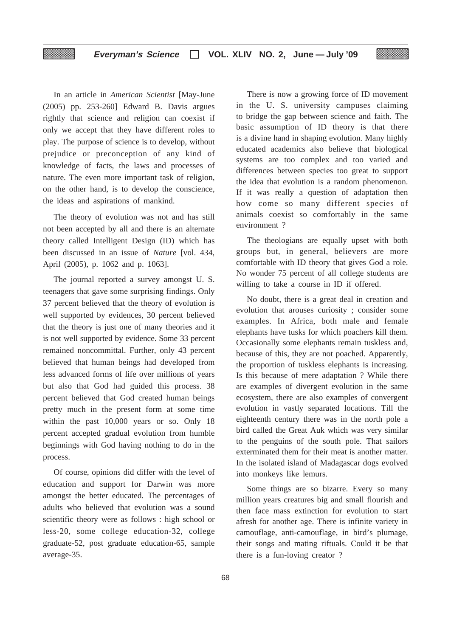In an article in *American Scientist* [May-June (2005) pp. 253-260] Edward B. Davis argues rightly that science and religion can coexist if only we accept that they have different roles to play. The purpose of science is to develop, without prejudice or preconception of any kind of knowledge of facts, the laws and processes of nature. The even more important task of religion, on the other hand, is to develop the conscience, the ideas and aspirations of mankind.

The theory of evolution was not and has still not been accepted by all and there is an alternate theory called Intelligent Design (ID) which has been discussed in an issue of *Nature* [vol. 434, April (2005), p. 1062 and p. 1063].

The journal reported a survey amongst U. S. teenagers that gave some surprising findings. Only 37 percent believed that the theory of evolution is well supported by evidences, 30 percent believed that the theory is just one of many theories and it is not well supported by evidence. Some 33 percent remained noncommittal. Further, only 43 percent believed that human beings had developed from less advanced forms of life over millions of years but also that God had guided this process. 38 percent believed that God created human beings pretty much in the present form at some time within the past 10,000 years or so. Only 18 percent accepted gradual evolution from humble beginnings with God having nothing to do in the process.

Of course, opinions did differ with the level of education and support for Darwin was more amongst the better educated. The percentages of adults who believed that evolution was a sound scientific theory were as follows : high school or less-20, some college education-32, college graduate-52, post graduate education-65, sample average-35.

There is now a growing force of ID movement in the U. S. university campuses claiming to bridge the gap between science and faith. The basic assumption of ID theory is that there is a divine hand in shaping evolution. Many highly educated academics also believe that biological systems are too complex and too varied and differences between species too great to support the idea that evolution is a random phenomenon. If it was really a question of adaptation then how come so many different species of animals coexist so comfortably in the same environment ?

The theologians are equally upset with both groups but, in general, believers are more comfortable with ID theory that gives God a role. No wonder 75 percent of all college students are willing to take a course in ID if offered.

No doubt, there is a great deal in creation and evolution that arouses curiosity ; consider some examples. In Africa, both male and female elephants have tusks for which poachers kill them. Occasionally some elephants remain tuskless and, because of this, they are not poached. Apparently, the proportion of tuskless elephants is increasing. Is this because of mere adaptation ? While there are examples of divergent evolution in the same ecosystem, there are also examples of convergent evolution in vastly separated locations. Till the eighteenth century there was in the north pole a bird called the Great Auk which was very similar to the penguins of the south pole. That sailors exterminated them for their meat is another matter. In the isolated island of Madagascar dogs evolved into monkeys like lemurs.

Some things are so bizarre. Every so many million years creatures big and small flourish and then face mass extinction for evolution to start afresh for another age. There is infinite variety in camouflage, anti-camouflage, in bird's plumage, their songs and mating riftuals. Could it be that there is a fun-loving creator ?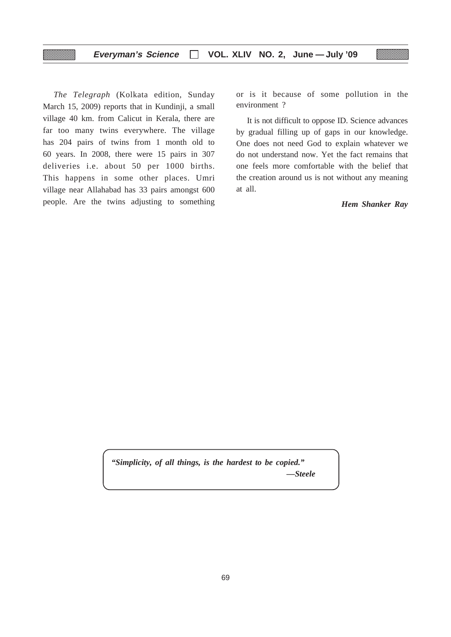*The Telegraph* (Kolkata edition, Sunday March 15, 2009) reports that in Kundinji, a small village 40 km. from Calicut in Kerala, there are far too many twins everywhere. The village has 204 pairs of twins from 1 month old to 60 years. In 2008, there were 15 pairs in 307 deliveries i.e. about 50 per 1000 births. This happens in some other places. Umri village near Allahabad has 33 pairs amongst 600 people. Are the twins adjusting to something or is it because of some pollution in the environment ?

It is not difficult to oppose ID. Science advances by gradual filling up of gaps in our knowledge. One does not need God to explain whatever we do not understand now. Yet the fact remains that one feels more comfortable with the belief that the creation around us is not without any meaning at all.

*Hem Shanker Ray*

*"Simplicity, of all things, is the hardest to be copied." —Steele*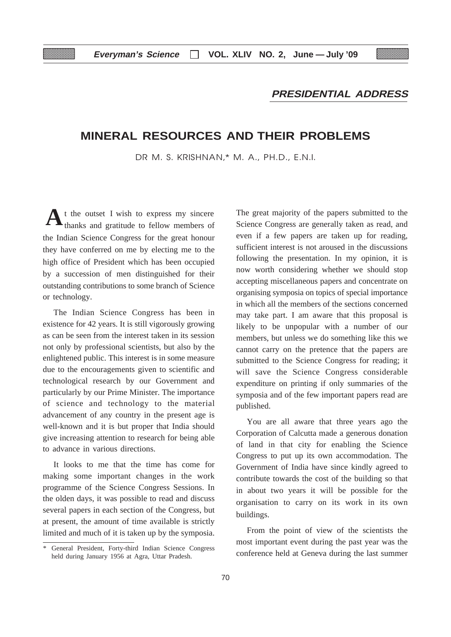# **PRESIDENTIAL ADDRESS**

# **MINERAL RESOURCES AND THEIR PROBLEMS**

DR M. S. KRISHNAN,\* M. A., PH.D., E.N.I.

t the outset I wish to express my sincere A t the outset I wish to express my sincere The great majority of the papers submitted to the thanks and gratitude to fellow members of Science Congress are generally taken as read, and the Indian Science Congress for the great honour they have conferred on me by electing me to the high office of President which has been occupied by a succession of men distinguished for their outstanding contributions to some branch of Science or technology.

The Indian Science Congress has been in existence for 42 years. It is still vigorously growing as can be seen from the interest taken in its session not only by professional scientists, but also by the enlightened public. This interest is in some measure due to the encouragements given to scientific and technological research by our Government and particularly by our Prime Minister. The importance of science and technology to the material advancement of any country in the present age is well-known and it is but proper that India should give increasing attention to research for being able to advance in various directions.

It looks to me that the time has come for making some important changes in the work programme of the Science Congress Sessions. In the olden days, it was possible to read and discuss several papers in each section of the Congress, but at present, the amount of time available is strictly limited and much of it is taken up by the symposia.

Science Congress are generally taken as read, and even if a few papers are taken up for reading, sufficient interest is not aroused in the discussions following the presentation. In my opinion, it is now worth considering whether we should stop accepting miscellaneous papers and concentrate on organising symposia on topics of special importance in which all the members of the sections concerned may take part. I am aware that this proposal is likely to be unpopular with a number of our members, but unless we do something like this we cannot carry on the pretence that the papers are submitted to the Science Congress for reading; it will save the Science Congress considerable expenditure on printing if only summaries of the symposia and of the few important papers read are published.

You are all aware that three years ago the Corporation of Calcutta made a generous donation of land in that city for enabling the Science Congress to put up its own accommodation. The Government of India have since kindly agreed to contribute towards the cost of the building so that in about two years it will be possible for the organisation to carry on its work in its own buildings.

From the point of view of the scientists the most important event during the past year was the conference held at Geneva during the last summer

General President, Forty-third Indian Science Congress held during January 1956 at Agra, Uttar Pradesh.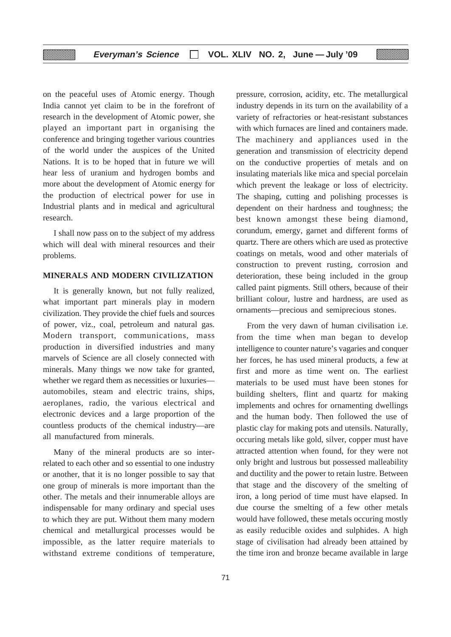on the peaceful uses of Atomic energy. Though India cannot yet claim to be in the forefront of research in the development of Atomic power, she played an important part in organising the conference and bringing together various countries of the world under the auspices of the United Nations. It is to be hoped that in future we will hear less of uranium and hydrogen bombs and more about the development of Atomic energy for the production of electrical power for use in Industrial plants and in medical and agricultural research.

▒

I shall now pass on to the subject of my address which will deal with mineral resources and their problems.

# **MINERALS AND MODERN CIVILIZATION**

It is generally known, but not fully realized, what important part minerals play in modern civilization. They provide the chief fuels and sources of power, viz., coal, petroleum and natural gas. Modern transport, communications, mass production in diversified industries and many marvels of Science are all closely connected with minerals. Many things we now take for granted, whether we regard them as necessities or luxuries automobiles, steam and electric trains, ships, aeroplanes, radio, the various electrical and electronic devices and a large proportion of the countless products of the chemical industry—are all manufactured from minerals.

Many of the mineral products are so interrelated to each other and so essential to one industry or another, that it is no longer possible to say that one group of minerals is more important than the other. The metals and their innumerable alloys are indispensable for many ordinary and special uses to which they are put. Without them many modern chemical and metallurgical processes would be impossible, as the latter require materials to withstand extreme conditions of temperature,

71

pressure, corrosion, acidity, etc. The metallurgical industry depends in its turn on the availability of a variety of refractories or heat-resistant substances with which furnaces are lined and containers made. The machinery and appliances used in the generation and transmission of electricity depend on the conductive properties of metals and on insulating materials like mica and special porcelain which prevent the leakage or loss of electricity. The shaping, cutting and polishing processes is dependent on their hardness and toughness; the best known amongst these being diamond, corundum, emergy, garnet and different forms of quartz. There are others which are used as protective coatings on metals, wood and other materials of construction to prevent rusting, corrosion and deterioration, these being included in the group called paint pigments. Still others, because of their brilliant colour, lustre and hardness, are used as ornaments—precious and semiprecious stones.

E2

From the very dawn of human civilisation i.e. from the time when man began to develop intelligence to counter nature's vagaries and conquer her forces, he has used mineral products, a few at first and more as time went on. The earliest materials to be used must have been stones for building shelters, flint and quartz for making implements and ochres for ornamenting dwellings and the human body. Then followed the use of plastic clay for making pots and utensils. Naturally, occuring metals like gold, silver, copper must have attracted attention when found, for they were not only bright and lustrous but possessed malleability and ductility and the power to retain lustre. Between that stage and the discovery of the smelting of iron, a long period of time must have elapsed. In due course the smelting of a few other metals would have followed, these metals occuring mostly as easily reducible oxides and sulphides. A high stage of civilisation had already been attained by the time iron and bronze became available in large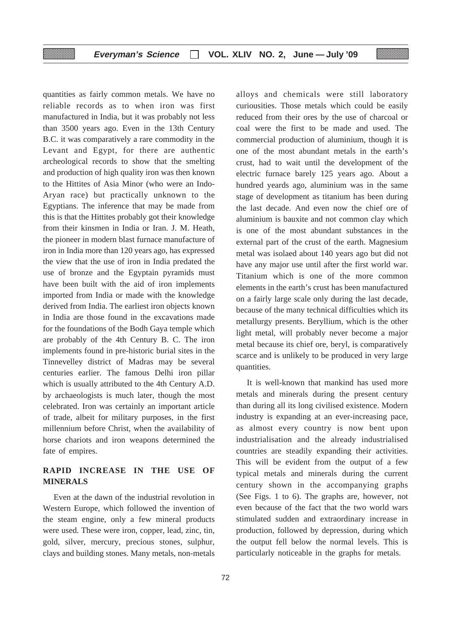quantities as fairly common metals. We have no reliable records as to when iron was first manufactured in India, but it was probably not less than 3500 years ago. Even in the 13th Century B.C. it was comparatively a rare commodity in the Levant and Egypt, for there are authentic archeological records to show that the smelting and production of high quality iron was then known to the Hittites of Asia Minor (who were an Indo-Aryan race) but practically unknown to the Egyptians. The inference that may be made from this is that the Hittites probably got their knowledge from their kinsmen in India or Iran. J. M. Heath, the pioneer in modern blast furnace manufacture of iron in India more than 120 years ago, has expressed the view that the use of iron in India predated the use of bronze and the Egyptain pyramids must have been built with the aid of iron implements imported from India or made with the knowledge derived from India. The earliest iron objects known in India are those found in the excavations made for the foundations of the Bodh Gaya temple which are probably of the 4th Century B. C. The iron implements found in pre-historic burial sites in the Tinnevelley district of Madras may be several centuries earlier. The famous Delhi iron pillar which is usually attributed to the 4th Century A.D. by archaeologists is much later, though the most celebrated. Iron was certainly an important article of trade, albeit for military purposes, in the first millennium before Christ, when the availability of horse chariots and iron weapons determined the fate of empires.

# **RAPID INCREASE IN THE USE OF MINERALS**

Even at the dawn of the industrial revolution in Western Europe, which followed the invention of the steam engine, only a few mineral products were used. These were iron, copper, lead, zinc, tin, gold, silver, mercury, precious stones, sulphur, clays and building stones. Many metals, non-metals

alloys and chemicals were still laboratory curiousities. Those metals which could be easily reduced from their ores by the use of charcoal or coal were the first to be made and used. The commercial production of aluminium, though it is one of the most abundant metals in the earth's crust, had to wait until the development of the electric furnace barely 125 years ago. About a hundred yeards ago, aluminium was in the same stage of development as titanium has been during the last decade. And even now the chief ore of aluminium is bauxite and not common clay which is one of the most abundant substances in the external part of the crust of the earth. Magnesium metal was isolaed about 140 years ago but did not have any major use until after the first world war. Titanium which is one of the more common elements in the earth's crust has been manufactured on a fairly large scale only during the last decade, because of the many technical difficulties which its metallurgy presents. Beryllium, which is the other light metal, will probably never become a major metal because its chief ore, beryl, is comparatively scarce and is unlikely to be produced in very large quantities.

It is well-known that mankind has used more metals and minerals during the present century than during all its long civilised existence. Modern industry is expanding at an ever-increasing pace, as almost every country is now bent upon industrialisation and the already industrialised countries are steadily expanding their activities. This will be evident from the output of a few typical metals and minerals during the current century shown in the accompanying graphs (See Figs. 1 to 6). The graphs are, however, not even because of the fact that the two world wars stimulated sudden and extraordinary increase in production, followed by depression, during which the output fell below the normal levels. This is particularly noticeable in the graphs for metals.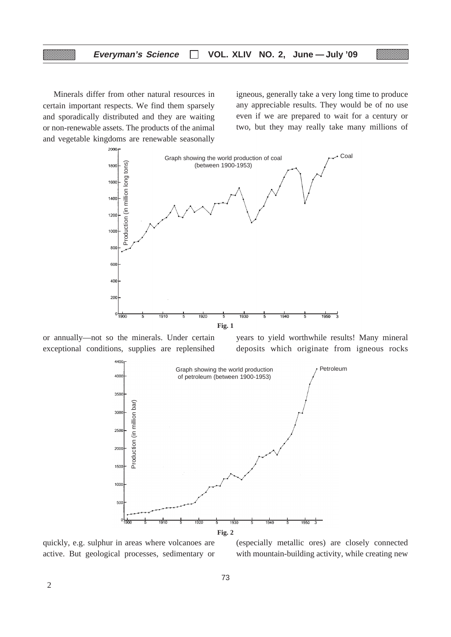Minerals differ from other natural resources in certain important respects. We find them sparsely and sporadically distributed and they are waiting or non-renewable assets. The products of the animal and vegetable kingdoms are renewable seasonally igneous, generally take a very long time to produce any appreciable results. They would be of no use even if we are prepared to wait for a century or two, but they may really take many millions of



or annually—not so the minerals. Under certain exceptional conditions, supplies are replensihed

years to yield worthwhile results! Many mineral deposits which originate from igneous rocks



quickly, e.g. sulphur in areas where volcanoes are active. But geological processes, sedimentary or

(especially metallic ores) are closely connected with mountain-building activity, while creating new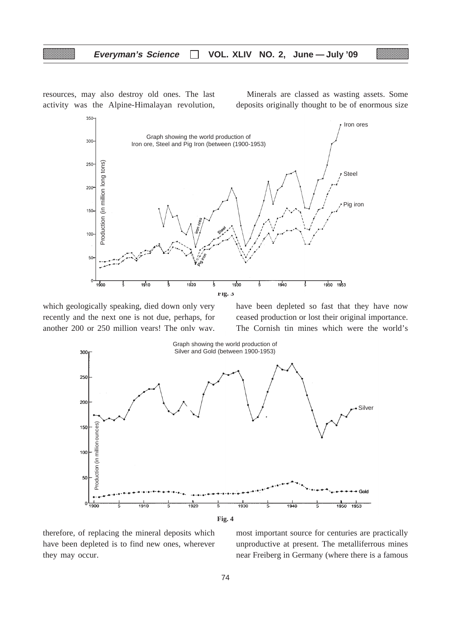resources, may also destroy old ones. The last activity was the Alpine-Himalayan revolution,

Minerals are classed as wasting assets. Some deposits originally thought to be of enormous size



which geologically speaking, died down only very recently and the next one is not due, perhaps, for another 200 or 250 million years! The only way, have been depleted so fast that they have now ceased production or lost their original importance. The Cornish tin mines which were the world's



therefore, of replacing the mineral deposits which have been depleted is to find new ones, wherever they may occur.

most important source for centuries are practically unproductive at present. The metalliferrous mines near Freiberg in Germany (where there is a famous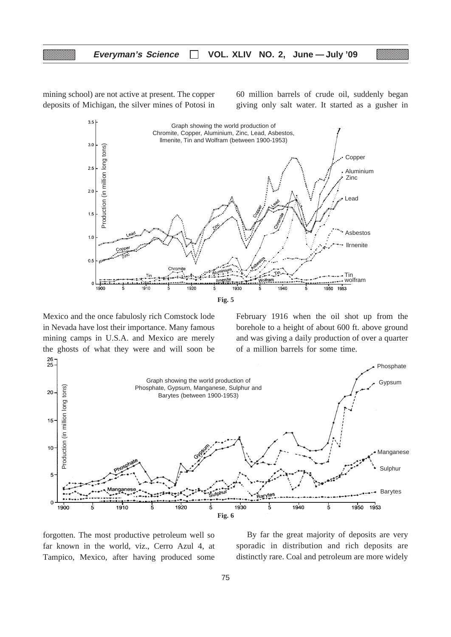mining school) are not active at present. The copper deposits of Michigan, the silver mines of Potosi in

60 million barrels of crude oil, suddenly began giving only salt water. It started as a gusher in



Mexico and the once fabulosly rich Comstock lode in Nevada have lost their importance. Many famous mining camps in U.S.A. and Mexico are merely the ghosts of what they were and will soon be February 1916 when the oil shot up from the borehole to a height of about 600 ft. above ground and was giving a daily production of over a quarter of a million barrels for some time.



forgotten. The most productive petroleum well so far known in the world, viz., Cerro Azul 4, at Tampico, Mexico, after having produced some

By far the great majority of deposits are very sporadic in distribution and rich deposits are distinctly rare. Coal and petroleum are more widely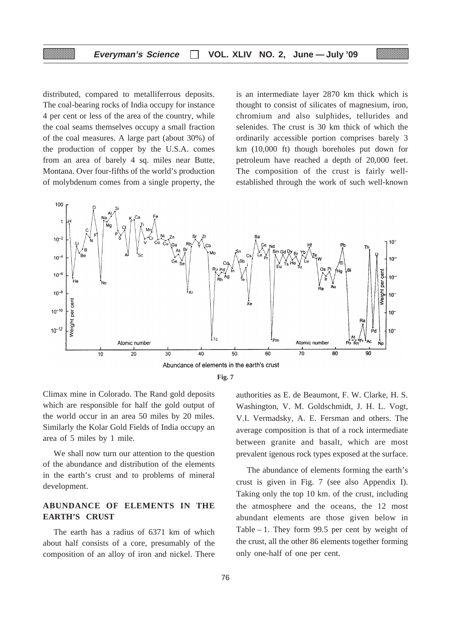distributed, compared to metalliferrous deposits. The coal-bearing rocks of India occupy for instance 4 per cent or less of the area of the country, while the coal seams themselves occupy a small fraction of the coal measures. A large part (about 30%) of the production of copper by the U.S.A. comes from an area of barely 4 sq. miles near Butte, Montana. Over four-fifths of the world's production of molybdenum comes from a single property, the

is an intermediate layer 2870 km thick which is thought to consist of silicates of magnesium, iron, chromium and also sulphides, tellurides and selenides. The crust is 30 km thick of which the ordinarily accessible portion comprises barely 3 km (10,000 ft) though boreholes put down for petroleum have reached a depth of 20,000 feet. The composition of the crust is fairly wellestablished through the work of such well-known



**Fig. 7**

Climax mine in Colorado. The Rand gold deposits which are responsible for half the gold output of the world occur in an area 50 miles by 20 miles. Similarly the Kolar Gold Fields of India occupy an area of 5 miles by 1 mile.

We shall now turn our attention to the question of the abundance and distribution of the elements in the earth's crust and to problems of mineral development.

# **ABUNDANCE OF ELEMENTS IN THE EARTH'S CRUST**

The earth has a radius of 6371 km of which about half consists of a core, presumably of the composition of an alloy of iron and nickel. There

authorities as E. de Beaumont, F. W. Clarke, H. S. Washington, V. M. Goldschmidt, J. H. L. Vogt, V.I. Vermadsky, A. E. Fersman and others. The average composition is that of a rock intermediate between granite and basalt, which are most prevalent igenous rock types exposed at the surface.

The abundance of elements forming the earth's crust is given in Fig. 7 (see also Appendix I). Taking only the top 10 km. of the crust, including the atmosphere and the oceans, the 12 most abundant elements are those given below in Table – 1. They form 99.5 per cent by weight of the crust, all the other 86 elements together forming only one-half of one per cent.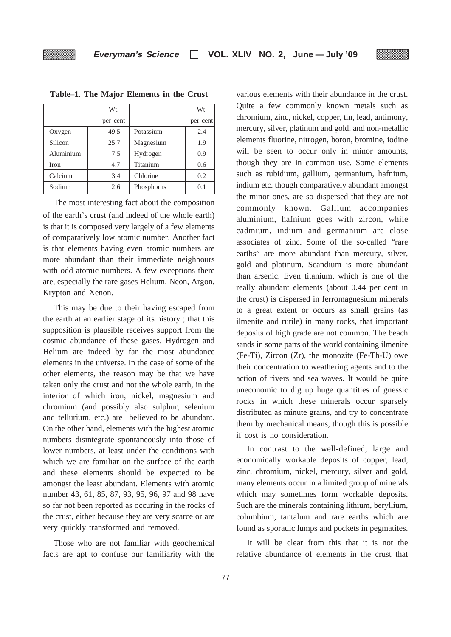| W <sub>t</sub> |          |            | W <sub>t</sub> |
|----------------|----------|------------|----------------|
|                | per cent |            | per cent       |
| Oxygen         | 49.5     | Potassium  | 2.4            |
| Silicon        | 25.7     | Magnesium  | 1.9            |
| Aluminium      | 7.5      | Hydrogen   | 0.9            |
| Iron           | 4.7      | Titanium   | 0.6            |
| Calcium        | 3.4      | Chlorine   | 0.2            |
| Sodium         | 2.6      | Phosphorus | 0.1            |

**Table–1**. **The Major Elements in the Crust**

The most interesting fact about the composition of the earth's crust (and indeed of the whole earth) is that it is composed very largely of a few elements of comparatively low atomic number. Another fact is that elements having even atomic numbers are more abundant than their immediate neighbours with odd atomic numbers. A few exceptions there are, especially the rare gases Helium, Neon, Argon, Krypton and Xenon.

This may be due to their having escaped from the earth at an earlier stage of its history ; that this supposition is plausible receives support from the cosmic abundance of these gases. Hydrogen and Helium are indeed by far the most abundance elements in the universe. In the case of some of the other elements, the reason may be that we have taken only the crust and not the whole earth, in the interior of which iron, nickel, magnesium and chromium (and possibly also sulphur, selenium and tellurium, etc.) are believed to be abundant. On the other hand, elements with the highest atomic numbers disintegrate spontaneously into those of lower numbers, at least under the conditions with which we are familiar on the surface of the earth and these elements should be expected to be amongst the least abundant. Elements with atomic number 43, 61, 85, 87, 93, 95, 96, 97 and 98 have so far not been reported as occuring in the rocks of the crust, either because they are very scarce or are very quickly transformed and removed.

Those who are not familiar with geochemical facts are apt to confuse our familiarity with the various elements with their abundance in the crust. Quite a few commonly known metals such as chromium, zinc, nickel, copper, tin, lead, antimony, mercury, silver, platinum and gold, and non-metallic elements fluorine, nitrogen, boron, bromine, iodine will be seen to occur only in minor amounts, though they are in common use. Some elements such as rubidium, gallium, germanium, hafnium, indium etc. though comparatively abundant amongst the minor ones, are so dispersed that they are not commonly known. Gallium accompanies aluminium, hafnium goes with zircon, while cadmium, indium and germanium are close associates of zinc. Some of the so-called "rare earths" are more abundant than mercury, silver, gold and platinum. Scandium is more abundant than arsenic. Even titanium, which is one of the really abundant elements (about 0.44 per cent in the crust) is dispersed in ferromagnesium minerals to a great extent or occurs as small grains (as ilmenite and rutile) in many rocks, that important deposits of high grade are not common. The beach sands in some parts of the world containing ilmenite (Fe-Ti), Zircon (Zr), the monozite (Fe-Th-U) owe their concentration to weathering agents and to the action of rivers and sea waves. It would be quite uneconomic to dig up huge quantities of gnessic rocks in which these minerals occur sparsely distributed as minute grains, and try to concentrate them by mechanical means, though this is possible if cost is no consideration.

In contrast to the well-defined, large and economically workable deposits of copper, lead, zinc, chromium, nickel, mercury, silver and gold, many elements occur in a limited group of minerals which may sometimes form workable deposits. Such are the minerals containing lithium, beryllium, columbium, tantalum and rare earths which are found as sporadic lumps and pockets in pegmatites.

It will be clear from this that it is not the relative abundance of elements in the crust that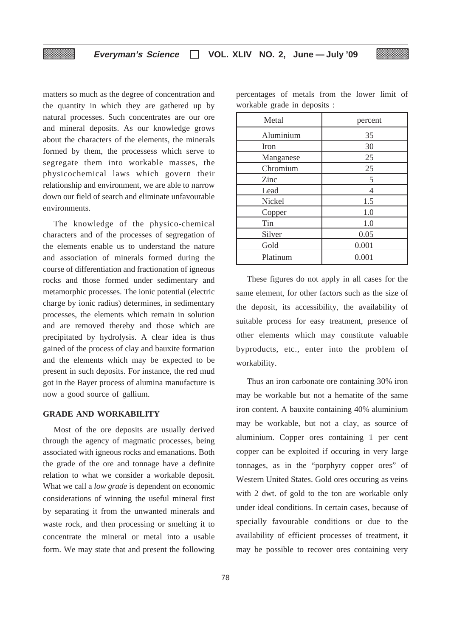matters so much as the degree of concentration and the quantity in which they are gathered up by natural processes. Such concentrates are our ore and mineral deposits. As our knowledge grows about the characters of the elements, the minerals formed by them, the processess which serve to segregate them into workable masses, the physicochemical laws which govern their relationship and environment, we are able to narrow down our field of search and eliminate unfavourable environments.

The knowledge of the physico-chemical characters and of the processes of segregation of the elements enable us to understand the nature and association of minerals formed during the course of differentiation and fractionation of igneous rocks and those formed under sedimentary and metamorphic processes. The ionic potential (electric charge by ionic radius) determines, in sedimentary processes, the elements which remain in solution and are removed thereby and those which are precipitated by hydrolysis. A clear idea is thus gained of the process of clay and bauxite formation and the elements which may be expected to be present in such deposits. For instance, the red mud got in the Bayer process of alumina manufacture is now a good source of gallium.

# **GRADE AND WORKABILITY**

Most of the ore deposits are usually derived through the agency of magmatic processes, being associated with igneous rocks and emanations. Both the grade of the ore and tonnage have a definite relation to what we consider a workable deposit. What we call a *low grade* is dependent on economic considerations of winning the useful mineral first by separating it from the unwanted minerals and waste rock, and then processing or smelting it to concentrate the mineral or metal into a usable form. We may state that and present the following

| Metal     | percent |
|-----------|---------|
| Aluminium | 35      |
| Iron      | 30      |
| Manganese | 25      |
| Chromium  | 25      |
| Zinc      | 5       |
| Lead      | 4       |
| Nickel    | 1.5     |
| Copper    | 1.0     |
| Tin       | 1.0     |
| Silver    | 0.05    |
| Gold      | 0.001   |
| Platinum  | 0.001   |

percentages of metals from the lower limit of workable grade in deposits :

These figures do not apply in all cases for the same element, for other factors such as the size of the deposit, its accessibility, the availability of suitable process for easy treatment, presence of other elements which may constitute valuable byproducts, etc., enter into the problem of workability.

Thus an iron carbonate ore containing 30% iron may be workable but not a hematite of the same iron content. A bauxite containing 40% aluminium may be workable, but not a clay, as source of aluminium. Copper ores containing 1 per cent copper can be exploited if occuring in very large tonnages, as in the "porphyry copper ores" of Western United States. Gold ores occuring as veins with 2 dwt. of gold to the ton are workable only under ideal conditions. In certain cases, because of specially favourable conditions or due to the availability of efficient processes of treatment, it may be possible to recover ores containing very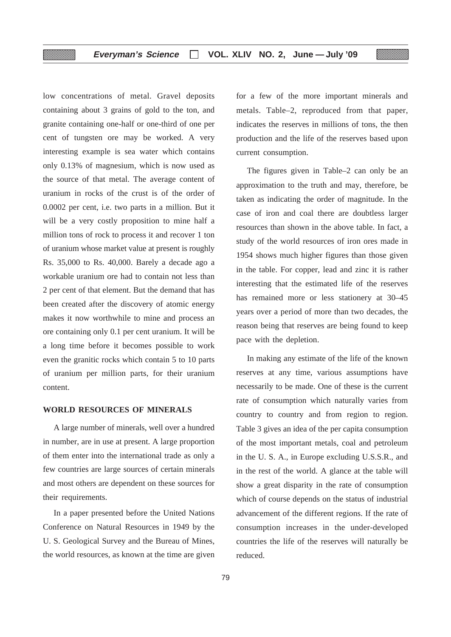low concentrations of metal. Gravel deposits containing about 3 grains of gold to the ton, and granite containing one-half or one-third of one per cent of tungsten ore may be worked. A very interesting example is sea water which contains only 0.13% of magnesium, which is now used as the source of that metal. The average content of uranium in rocks of the crust is of the order of 0.0002 per cent, i.e. two parts in a million. But it will be a very costly proposition to mine half a million tons of rock to process it and recover 1 ton of uranium whose market value at present is roughly Rs. 35,000 to Rs. 40,000. Barely a decade ago a workable uranium ore had to contain not less than 2 per cent of that element. But the demand that has been created after the discovery of atomic energy makes it now worthwhile to mine and process an ore containing only 0.1 per cent uranium. It will be a long time before it becomes possible to work even the granitic rocks which contain 5 to 10 parts of uranium per million parts, for their uranium content.

▒

# **WORLD RESOURCES OF MINERALS**

A large number of minerals, well over a hundred in number, are in use at present. A large proportion of them enter into the international trade as only a few countries are large sources of certain minerals and most others are dependent on these sources for their requirements.

In a paper presented before the United Nations Conference on Natural Resources in 1949 by the U. S. Geological Survey and the Bureau of Mines, the world resources, as known at the time are given for a few of the more important minerals and metals. Table–2, reproduced from that paper, indicates the reserves in millions of tons, the then production and the life of the reserves based upon current consumption.

The figures given in Table–2 can only be an approximation to the truth and may, therefore, be taken as indicating the order of magnitude. In the case of iron and coal there are doubtless larger resources than shown in the above table. In fact, a study of the world resources of iron ores made in 1954 shows much higher figures than those given in the table. For copper, lead and zinc it is rather interesting that the estimated life of the reserves has remained more or less stationery at 30–45 years over a period of more than two decades, the reason being that reserves are being found to keep pace with the depletion.

In making any estimate of the life of the known reserves at any time, various assumptions have necessarily to be made. One of these is the current rate of consumption which naturally varies from country to country and from region to region. Table 3 gives an idea of the per capita consumption of the most important metals, coal and petroleum in the U. S. A., in Europe excluding U.S.S.R., and in the rest of the world. A glance at the table will show a great disparity in the rate of consumption which of course depends on the status of industrial advancement of the different regions. If the rate of consumption increases in the under-developed countries the life of the reserves will naturally be reduced.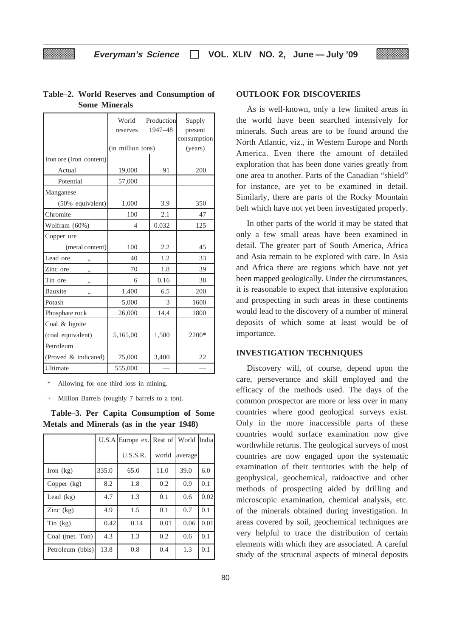|                         | World<br>reserves | Production<br>1947-48 | Supply<br>present<br>consumption |
|-------------------------|-------------------|-----------------------|----------------------------------|
|                         | (in million tons) |                       | (years)                          |
| Iron ore (Iron content) |                   |                       |                                  |
| Actual                  | 19,000            | 91                    | 200                              |
| Potential               | 57,000            |                       |                                  |
| Manganese               |                   |                       |                                  |
| (50% equivalent)        | 1,000             | 3.9                   | 350                              |
| Chromite                | 100               | 2.1                   | 47                               |
| Wolfram (60%)           | 4                 | 0.032                 | 125                              |
| Copper ore              |                   |                       |                                  |
| (metal content)         | 100               | 2.2                   | 45                               |
| Lead ore<br>٠,          | 40                | 1.2                   | 33                               |
| Zinc ore<br>,,          | 70                | 1.8                   | 39                               |
| Tin ore<br>,,           | 6                 | 0.16                  | 38                               |
| Bauxite<br>,,           | 1,400             | 6.5                   | 200                              |
| Potash                  | 5,000             | 3                     | 1600                             |
| Phosphate rock          | 26,000            | 14.4                  | 1800                             |
| Coal & lignite          |                   |                       |                                  |
| (coal equivalent)       | 5,165,00          | 1,500                 | 2200*                            |
| Petroleum               |                   |                       |                                  |
| (Proved & indicated)    | 75,000            | 3,400                 | 22                               |
| Ultimate                | 555,000           |                       |                                  |

# **Table–2. World Reserves and Consumption of Some Minerals**

Allowing for one third loss in mining.

+ Million Barrels (roughly 7 barrels to a ton).

**Table–3. Per Capita Consumption of Some Metals and Minerals (as in the year 1948)**

|                         |       | U.S.A Europe ex. Rest of World India |       |         |      |
|-------------------------|-------|--------------------------------------|-------|---------|------|
|                         |       | U.S.S.R.                             | world | average |      |
| Iron $(kg)$             | 335.0 | 65.0                                 | 11.0  | 39.0    | 6.0  |
| Copper $(kg)$           | 8.2   | 1.8                                  | 0.2   | 0.9     | 0.1  |
| Lead $(kg)$             | 4.7   | 1.3                                  | 0.1   | 0.6     | 0.02 |
| $\text{Zinc}$ (kg)      | 4.9   | 1.5                                  | 0.1   | 0.7     | 0.1  |
| $\text{Sin}(\text{kg})$ | 0.42  | 0.14                                 | 0.01  | 0.06    | 0.01 |
| Coal (met. Ton)         | 4.3   | 1.3                                  | 0.2   | 0.6     | 0.1  |
| Petroleum (bbls)        | 13.8  | 0.8                                  | 0.4   | 1.3     | 0.1  |

# **OUTLOOK FOR DISCOVERIES**

As is well-known, only a few limited areas in the world have been searched intensively for minerals. Such areas are to be found around the North Atlantic, viz., in Western Europe and North America. Even there the amount of detailed exploration that has been done varies greatly from one area to another. Parts of the Canadian "shield" for instance, are yet to be examined in detail. Similarly, there are parts of the Rocky Mountain belt which have not yet been investigated properly.

In other parts of the world it may be stated that only a few small areas have been examined in detail. The greater part of South America, Africa and Asia remain to be explored with care. In Asia and Africa there are regions which have not yet been mapped geologically. Under the circumstances, it is reasonable to expect that intensive exploration and prospecting in such areas in these continents would lead to the discovery of a number of mineral deposits of which some at least would be of importance.

## **INVESTIGATION TECHNIQUES**

Discovery will, of course, depend upon the care, perseverance and skill employed and the efficacy of the methods used. The days of the common prospector are more or less over in many countries where good geological surveys exist. Only in the more inaccessible parts of these countries would surface examination now give worthwhile returns. The geological surveys of most countries are now engaged upon the systematic examination of their territories with the help of geophysical, geochemical, raidoactive and other methods of prospecting aided by drilling and microscopic examination, chemical analysis, etc. of the minerals obtained during investigation. In areas covered by soil, geochemical techniques are very helpful to trace the distribution of certain elements with which they are associated. A careful study of the structural aspects of mineral deposits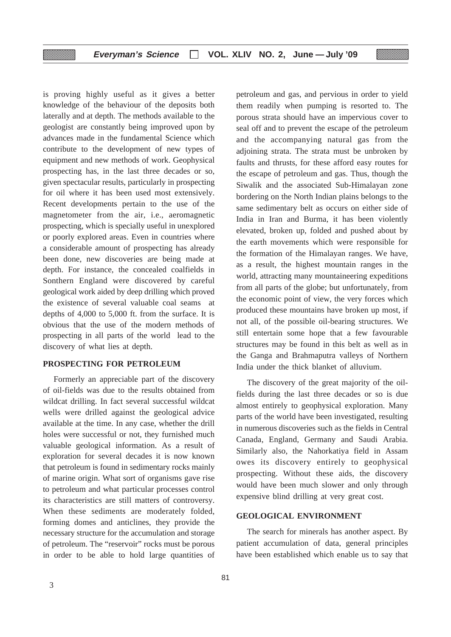is proving highly useful as it gives a better knowledge of the behaviour of the deposits both laterally and at depth. The methods available to the geologist are constantly being improved upon by advances made in the fundamental Science which contribute to the development of new types of equipment and new methods of work. Geophysical prospecting has, in the last three decades or so, given spectacular results, particularly in prospecting for oil where it has been used most extensively. Recent developments pertain to the use of the magnetometer from the air, i.e., aeromagnetic prospecting, which is specially useful in unexplored or poorly explored areas. Even in countries where a considerable amount of prospecting has already been done, new discoveries are being made at depth. For instance, the concealed coalfields in Sonthern England were discovered by careful geological work aided by deep drilling which proved the existence of several valuable coal seams at depths of 4,000 to 5,000 ft. from the surface. It is obvious that the use of the modern methods of prospecting in all parts of the world lead to the discovery of what lies at depth.

# **PROSPECTING FOR PETROLEUM**

Formerly an appreciable part of the discovery of oil-fields was due to the results obtained from wildcat drilling. In fact several successful wildcat wells were drilled against the geological advice available at the time. In any case, whether the drill holes were successful or not, they furnished much valuable geological information. As a result of exploration for several decades it is now known that petroleum is found in sedimentary rocks mainly of marine origin. What sort of organisms gave rise to petroleum and what particular processes control its characteristics are still matters of controversy. When these sediments are moderately folded, forming domes and anticlines, they provide the necessary structure for the accumulation and storage of petroleum. The "reservoir" rocks must be porous in order to be able to hold large quantities of petroleum and gas, and pervious in order to yield them readily when pumping is resorted to. The porous strata should have an impervious cover to seal off and to prevent the escape of the petroleum and the accompanying natural gas from the adjoining strata. The strata must be unbroken by faults and thrusts, for these afford easy routes for the escape of petroleum and gas. Thus, though the Siwalik and the associated Sub-Himalayan zone bordering on the North Indian plains belongs to the same sedimentary belt as occurs on either side of India in Iran and Burma, it has been violently elevated, broken up, folded and pushed about by the earth movements which were responsible for the formation of the Himalayan ranges. We have, as a result, the highest mountain ranges in the world, attracting many mountaineering expeditions from all parts of the globe; but unfortunately, from the economic point of view, the very forces which produced these mountains have broken up most, if not all, of the possible oil-bearing structures. We still entertain some hope that a few favourable structures may be found in this belt as well as in the Ganga and Brahmaputra valleys of Northern India under the thick blanket of alluvium.

The discovery of the great majority of the oilfields during the last three decades or so is due almost entirely to geophysical exploration. Many parts of the world have been investigated, resulting in numerous discoveries such as the fields in Central Canada, England, Germany and Saudi Arabia. Similarly also, the Nahorkatiya field in Assam owes its discovery entirely to geophysical prospecting. Without these aids, the discovery would have been much slower and only through expensive blind drilling at very great cost.

# **GEOLOGICAL ENVIRONMENT**

The search for minerals has another aspect. By patient accumulation of data, general principles have been established which enable us to say that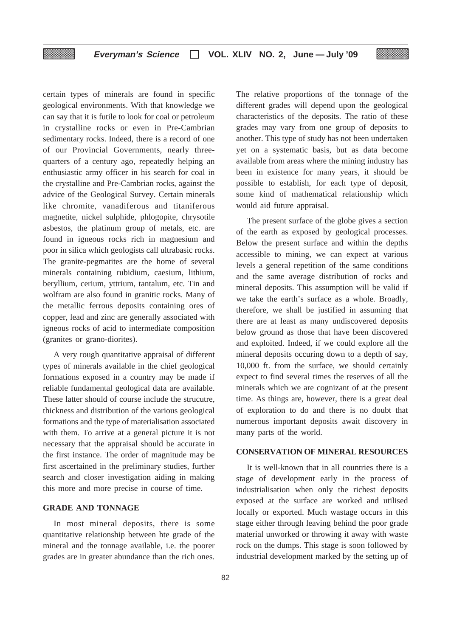certain types of minerals are found in specific geological environments. With that knowledge we can say that it is futile to look for coal or petroleum in crystalline rocks or even in Pre-Cambrian sedimentary rocks. Indeed, there is a record of one of our Provincial Governments, nearly threequarters of a century ago, repeatedly helping an enthusiastic army officer in his search for coal in the crystalline and Pre-Cambrian rocks, against the advice of the Geological Survey. Certain minerals like chromite, vanadiferous and titaniferous magnetite, nickel sulphide, phlogopite, chrysotile asbestos, the platinum group of metals, etc. are found in igneous rocks rich in magnesium and poor in silica which geologists call ultrabasic rocks. The granite-pegmatites are the home of several minerals containing rubidium, caesium, lithium, beryllium, cerium, yttrium, tantalum, etc. Tin and wolfram are also found in granitic rocks. Many of the metallic ferrous deposits containing ores of copper, lead and zinc are generally associated with igneous rocks of acid to intermediate composition (granites or grano-diorites).

A very rough quantitative appraisal of different types of minerals available in the chief geological formations exposed in a country may be made if reliable fundamental geological data are available. These latter should of course include the strucutre, thickness and distribution of the various geological formations and the type of materialisation associated with them. To arrive at a general picture it is not necessary that the appraisal should be accurate in the first instance. The order of magnitude may be first ascertained in the preliminary studies, further search and closer investigation aiding in making this more and more precise in course of time.

## **GRADE AND TONNAGE**

In most mineral deposits, there is some quantitative relationship between hte grade of the mineral and the tonnage available, i.e. the poorer grades are in greater abundance than the rich ones.

The relative proportions of the tonnage of the different grades will depend upon the geological characteristics of the deposits. The ratio of these grades may vary from one group of deposits to another. This type of study has not been undertaken yet on a systematic basis, but as data become available from areas where the mining industry has been in existence for many years, it should be possible to establish, for each type of deposit, some kind of mathematical relationship which would aid future appraisal.

The present surface of the globe gives a section of the earth as exposed by geological processes. Below the present surface and within the depths accessible to mining, we can expect at various levels a general repetition of the same conditions and the same average distribution of rocks and mineral deposits. This assumption will be valid if we take the earth's surface as a whole. Broadly, therefore, we shall be justified in assuming that there are at least as many undiscovered deposits below ground as those that have been discovered and exploited. Indeed, if we could explore all the mineral deposits occuring down to a depth of say, 10,000 ft. from the surface, we should certainly expect to find several times the reserves of all the minerals which we are cognizant of at the present time. As things are, however, there is a great deal of exploration to do and there is no doubt that numerous important deposits await discovery in many parts of the world.

#### **CONSERVATION OF MINERAL RESOURCES**

It is well-known that in all countries there is a stage of development early in the process of industrialisation when only the richest deposits exposed at the surface are worked and utilised locally or exported. Much wastage occurs in this stage either through leaving behind the poor grade material unworked or throwing it away with waste rock on the dumps. This stage is soon followed by industrial development marked by the setting up of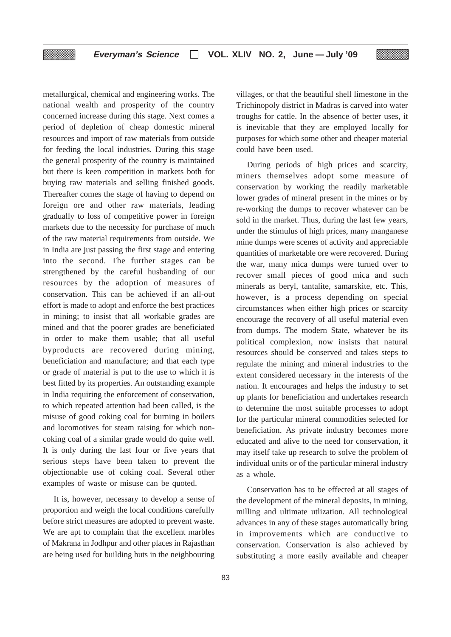metallurgical, chemical and engineering works. The national wealth and prosperity of the country concerned increase during this stage. Next comes a period of depletion of cheap domestic mineral resources and import of raw materials from outside for feeding the local industries. During this stage the general prosperity of the country is maintained but there is keen competition in markets both for buying raw materials and selling finished goods. Thereafter comes the stage of having to depend on foreign ore and other raw materials, leading gradually to loss of competitive power in foreign markets due to the necessity for purchase of much of the raw material requirements from outside. We in India are just passing the first stage and entering into the second. The further stages can be strengthened by the careful husbanding of our resources by the adoption of measures of conservation. This can be achieved if an all-out effort is made to adopt and enforce the best practices in mining; to insist that all workable grades are mined and that the poorer grades are beneficiated in order to make them usable; that all useful byproducts are recovered during mining, beneficiation and manufacture; and that each type or grade of material is put to the use to which it is best fitted by its properties. An outstanding example in India requiring the enforcement of conservation, to which repeated attention had been called, is the misuse of good coking coal for burning in boilers and locomotives for steam raising for which noncoking coal of a similar grade would do quite well. It is only during the last four or five years that serious steps have been taken to prevent the objectionable use of coking coal. Several other examples of waste or misuse can be quoted.

It is, however, necessary to develop a sense of proportion and weigh the local conditions carefully before strict measures are adopted to prevent waste. We are apt to complain that the excellent marbles of Makrana in Jodhpur and other places in Rajasthan are being used for building huts in the neighbouring

villages, or that the beautiful shell limestone in the Trichinopoly district in Madras is carved into water troughs for cattle. In the absence of better uses, it is inevitable that they are employed locally for purposes for which some other and cheaper material could have been used.

During periods of high prices and scarcity, miners themselves adopt some measure of conservation by working the readily marketable lower grades of mineral present in the mines or by re-working the dumps to recover whatever can be sold in the market. Thus, during the last few years, under the stimulus of high prices, many manganese mine dumps were scenes of activity and appreciable quantities of marketable ore were recovered. During the war, many mica dumps were turned over to recover small pieces of good mica and such minerals as beryl, tantalite, samarskite, etc. This, however, is a process depending on special circumstances when either high prices or scarcity encourage the recovery of all useful material even from dumps. The modern State, whatever be its political complexion, now insists that natural resources should be conserved and takes steps to regulate the mining and mineral industries to the extent considered necessary in the interests of the nation. It encourages and helps the industry to set up plants for beneficiation and undertakes research to determine the most suitable processes to adopt for the particular mineral commodities selected for beneficiation. As private industry becomes more educated and alive to the need for conservation, it may itself take up research to solve the problem of individual units or of the particular mineral industry as a whole.

Conservation has to be effected at all stages of the development of the mineral deposits, in mining, milling and ultimate utlization. All technological advances in any of these stages automatically bring in improvements which are conductive to conservation. Conservation is also achieved by substituting a more easily available and cheaper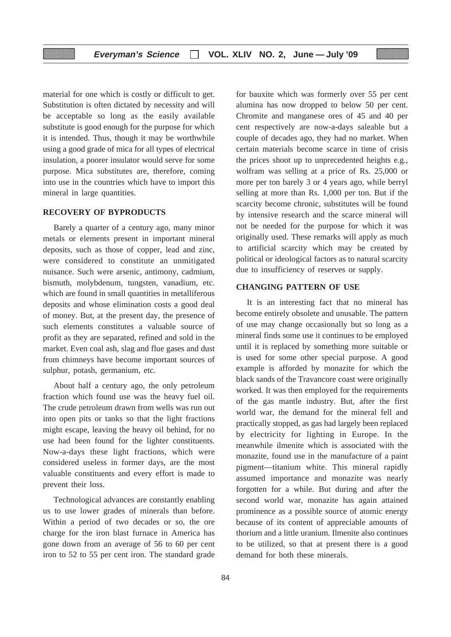material for one which is costly or difficult to get. Substitution is often dictated by necessity and will be acceptable so long as the easily available substitute is good enough for the purpose for which it is intended. Thus, though it may be worthwhile using a good grade of mica for all types of electrical insulation, a poorer insulator would serve for some purpose. Mica substitutes are, therefore, coming into use in the countries which have to import this mineral in large quantities.

# **RECOVERY OF BYPRODUCTS**

Barely a quarter of a century ago, many minor metals or elements present in important mineral deposits, such as those of copper, lead and zinc, were considered to constitute an unmitigated nuisance. Such were arsenic, antimony, cadmium, bismuth, molybdenum, tungsten, vanadium, etc. which are found in small quantities in metalliferous deposits and whose elimination costs a good deal of money. But, at the present day, the presence of such elements constitutes a valuable source of profit as they are separated, refined and sold in the market. Even coal ash, slag and flue gases and dust from chimneys have become important sources of sulphur, potash, germanium, etc.

About half a century ago, the only petroleum fraction which found use was the heavy fuel oil. The crude petroleum drawn from wells was run out into open pits or tanks so that the light fractions might escape, leaving the heavy oil behind, for no use had been found for the lighter constituents. Now-a-days these light fractions, which were considered useless in former days, are the most valuable constituents and every effort is made to prevent their loss.

Technological advances are constantly enabling us to use lower grades of minerals than before. Within a period of two decades or so, the ore charge for the iron blast furnace in America has gone down from an average of 56 to 60 per cent iron to 52 to 55 per cent iron. The standard grade

for bauxite which was formerly over 55 per cent alumina has now dropped to below 50 per cent. Chromite and manganese ores of 45 and 40 per cent respectively are now-a-days saleable but a couple of decades ago, they had no market. When certain materials become scarce in time of crisis the prices shoot up to unprecedented heights e.g., wolfram was selling at a price of Rs. 25,000 or more per ton barely 3 or 4 years ago, while berryl selling at more than Rs. 1,000 per ton. But if the scarcity become chronic, substitutes will be found by intensive research and the scarce mineral will not be needed for the purpose for which it was originally used. These remarks will apply as much to artificial scarcity which may be created by political or ideological factors as to natural scarcity due to insufficiency of reserves or supply.

# **CHANGING PATTERN OF USE**

It is an interesting fact that no mineral has become entirely obsolete and unusable. The pattern of use may change occasionally but so long as a mineral finds some use it continues to be employed until it is replaced by something more suitable or is used for some other special purpose. A good example is afforded by monazite for which the black sands of the Travancore coast were originally worked. It was then employed for the requirements of the gas mantle industry. But, after the first world war, the demand for the mineral fell and practically stopped, as gas had largely been replaced by electricity for lighting in Europe. In the meanwhile ilmenite which is associated with the monazite, found use in the manufacture of a paint pigment—titanium white. This mineral rapidly assumed importance and monazite was nearly forgotten for a while. But during and after the second world war, monazite has again attained prominence as a possible source of atomic energy because of its content of appreciable amounts of thorium and a little uranium. Ilmenite also continues to be utilized, so that at present there is a good demand for both these minerals.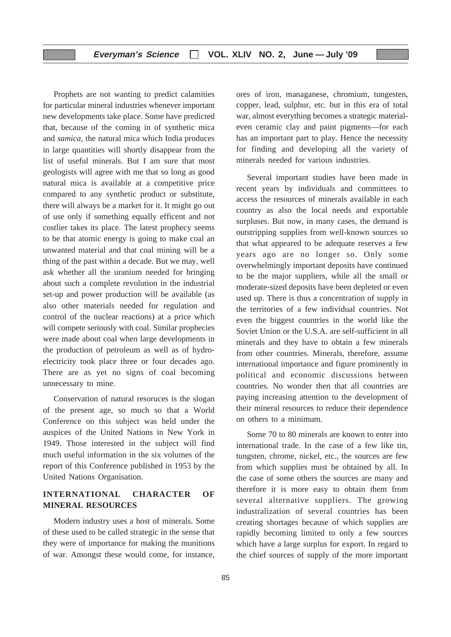Prophets are not wanting to predict calamities for particular mineral industries whenever important new developments take place. Some have predicted that, because of the coming in of synthetic mica and *samica,* the natural mica which India produces in large quantities will shortly disappear from the list of useful minerals. But I am sure that most geologists will agree with me that so long as good natural mica is available at a competitive price compared to any synthetic product or substitute, there will always be a market for it. It might go out of use only if something equally efficent and not costlier takes its place. The latest prophecy seems to be that atomic energy is going to make coal an unwanted material and that coal mining will be a thing of the past within a decade. But we may, well ask whether all the uranium needed for bringing about such a complete revolution in the industrial set-up and power production will be available (as also other materials needed for regulation and control of the nuclear reactions) at a price which will compete seriously with coal. Similar prophecies were made about coal when large developments in the production of petroleum as well as of hydroelectricity took place three or four decades ago. There are as yet no signs of coal becoming unnecessary to mine.

Conservation of natural resoruces is the slogan of the present age, so much so that a World Conference on this subject was held under the auspices of the United Nations in New York in 1949. Those interested in the subject will find much useful information in the six volumes of the report of this Conference published in 1953 by the United Nations Organisation.

# **INTERNATIONAL CHARACTER OF MINERAL RESOURCES**

Modern industry uses a host of minerals. Some of these used to be called strategic in the sense that they were of importance for making the munitions of war. Amongst these would come, for instance,

ores of iron, managanese, chromium, tungesten, copper, lead, sulphur, etc. but in this era of total war, almost everything becomes a strategic materialeven ceramic clay and paint pigments—for each has an important part to play. Hence the necessity for finding and developing all the variety of minerals needed for various industries.

Several important studies have been made in recent years by individuals and committees to access the resources of minerals available in each country as also the local needs and exportable surpluses. But now, in many cases, the demand is outstripping supplies from well-known sources so that what appeared to be adequate reserves a few years ago are no longer so. Only some overwhelmingly important deposits have continued to be the major suppliers, while all the small or moderate-sized deposits have been depleted or even used up. There is thus a concentration of supply in the territories of a few individual countries. Not even the biggest countries in the world like the Soviet Union or the U.S.A. are self-sufficient in all minerals and they have to obtain a few minerals from other countries. Minerals, therefore, assume international importance and figure prominently in political and economic discussions between countries. No wonder then that all countries are paying increasing attention to the development of their mineral resources to reduce their dependence on others to a minimum.

Some 70 to 80 minerals are known to enter into international trade. In the case of a few like tin, tungsten, chrome, nickel, etc., the sources are few from which supplies must be obtained by all. In the case of some others the sources are many and therefore it is more easy to obtain them from several alternative suppliers. The growing industralization of several countries has been creating shortages because of which supplies are rapidly becoming limited to only a few sources which have a large surplus for export. In regard to the chief sources of supply of the more important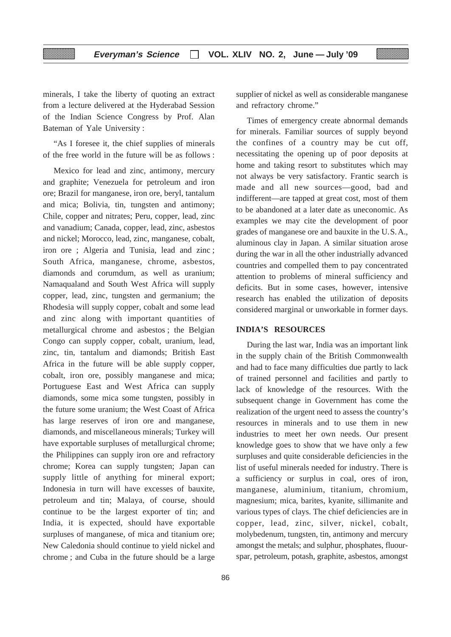minerals, I take the liberty of quoting an extract from a lecture delivered at the Hyderabad Session of the Indian Science Congress by Prof. Alan Bateman of Yale University :

"As I foresee it, the chief supplies of minerals of the free world in the future will be as follows :

Mexico for lead and zinc, antimony, mercury and graphite; Venezuela for petroleum and iron ore; Brazil for manganese, iron ore, beryl, tantalum and mica; Bolivia, tin, tungsten and antimony; Chile, copper and nitrates; Peru, copper, lead, zinc and vanadium; Canada, copper, lead, zinc, asbestos and nickel; Morocco, lead, zinc, manganese, cobalt, iron ore ; Algeria and Tunisia, lead and zinc ; South Africa, manganese, chrome, asbestos, diamonds and corumdum, as well as uranium; Namaqualand and South West Africa will supply copper, lead, zinc, tungsten and germanium; the Rhodesia will supply copper, cobalt and some lead and zinc along with important quantities of metallurgical chrome and asbestos ; the Belgian Congo can supply copper, cobalt, uranium, lead, zinc, tin, tantalum and diamonds; British East Africa in the future will be able supply copper, cobalt, iron ore, possibly manganese and mica; Portuguese East and West Africa can supply diamonds, some mica some tungsten, possibly in the future some uranium; the West Coast of Africa has large reserves of iron ore and manganese, diamonds, and miscellaneous minerals; Turkey will have exportable surpluses of metallurgical chrome; the Philippines can supply iron ore and refractory chrome; Korea can supply tungsten; Japan can supply little of anything for mineral export; Indonesia in turn will have excesses of bauxite, petroleum and tin; Malaya, of course, should continue to be the largest exporter of tin; and India, it is expected, should have exportable surpluses of manganese, of mica and titanium ore; New Caledonia should continue to yield nickel and chrome ; and Cuba in the future should be a large

supplier of nickel as well as considerable manganese and refractory chrome."

Times of emergency create abnormal demands for minerals. Familiar sources of supply beyond the confines of a country may be cut off, necessitating the opening up of poor deposits at home and taking resort to substitutes which may not always be very satisfactory. Frantic search is made and all new sources—good, bad and indifferent—are tapped at great cost, most of them to be abandoned at a later date as uneconomic. As examples we may cite the development of poor grades of manganese ore and bauxite in the U.S.A., aluminous clay in Japan. A similar situation arose during the war in all the other industrially advanced countries and compelled them to pay concentrated attention to problems of mineral sufficiency and deficits. But in some cases, however, intensive research has enabled the utilization of deposits considered marginal or unworkable in former days.

# **INDIA'S RESOURCES**

During the last war, India was an important link in the supply chain of the British Commonwealth and had to face many difficulties due partly to lack of trained personnel and facilities and partly to lack of knowledge of the resources. With the subsequent change in Government has come the realization of the urgent need to assess the country's resources in minerals and to use them in new industries to meet her own needs. Our present knowledge goes to show that we have only a few surpluses and quite considerable deficiencies in the list of useful minerals needed for industry. There is a sufficiency or surplus in coal, ores of iron, manganese, aluminium, titanium, chromium, magnesium; mica, barites, kyanite, sillimanite and various types of clays. The chief deficiencies are in copper, lead, zinc, silver, nickel, cobalt, molybedenum, tungsten, tin, antimony and mercury amongst the metals; and sulphur, phosphates, fluourspar, petroleum, potash, graphite, asbestos, amongst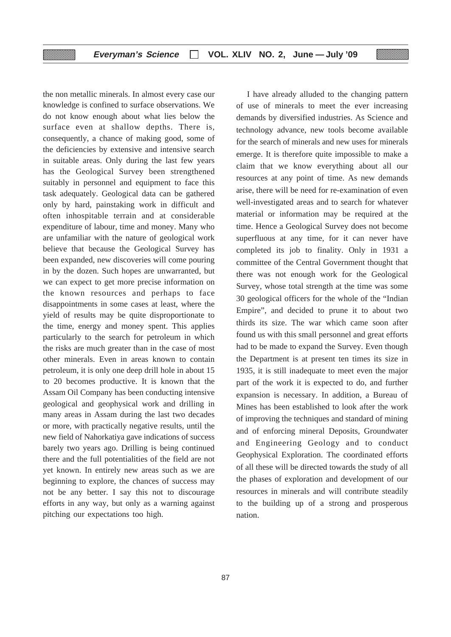the non metallic minerals. In almost every case our knowledge is confined to surface observations. We do not know enough about what lies below the surface even at shallow depths. There is, consequently, a chance of making good, some of the deficiencies by extensive and intensive search in suitable areas. Only during the last few years has the Geological Survey been strengthened suitably in personnel and equipment to face this task adequately. Geological data can be gathered only by hard, painstaking work in difficult and often inhospitable terrain and at considerable expenditure of labour, time and money. Many who are unfamiliar with the nature of geological work believe that because the Geological Survey has been expanded, new discoveries will come pouring in by the dozen. Such hopes are unwarranted, but we can expect to get more precise information on the known resources and perhaps to face disappointments in some cases at least, where the yield of results may be quite disproportionate to the time, energy and money spent. This applies particularly to the search for petroleum in which the risks are much greater than in the case of most other minerals. Even in areas known to contain petroleum, it is only one deep drill hole in about 15 to 20 becomes productive. It is known that the Assam Oil Company has been conducting intensive geological and geophysical work and drilling in many areas in Assam during the last two decades or more, with practically negative results, until the new field of Nahorkatiya gave indications of success barely two years ago. Drilling is being continued there and the full potentialities of the field are not yet known. In entirely new areas such as we are beginning to explore, the chances of success may not be any better. I say this not to discourage efforts in any way, but only as a warning against pitching our expectations too high.

I have already alluded to the changing pattern of use of minerals to meet the ever increasing demands by diversified industries. As Science and technology advance, new tools become available for the search of minerals and new uses for minerals emerge. It is therefore quite impossible to make a claim that we know everything about all our resources at any point of time. As new demands arise, there will be need for re-examination of even well-investigated areas and to search for whatever material or information may be required at the time. Hence a Geological Survey does not become superfluous at any time, for it can never have completed its job to finality. Only in 1931 a committee of the Central Government thought that there was not enough work for the Geological Survey, whose total strength at the time was some 30 geological officers for the whole of the "Indian Empire", and decided to prune it to about two thirds its size. The war which came soon after found us with this small personnel and great efforts had to be made to expand the Survey. Even though the Department is at present ten times its size in 1935, it is still inadequate to meet even the major part of the work it is expected to do, and further expansion is necessary. In addition, a Bureau of Mines has been established to look after the work of improving the techniques and standard of mining and of enforcing mineral Deposits, Groundwater and Engineering Geology and to conduct Geophysical Exploration. The coordinated efforts of all these will be directed towards the study of all the phases of exploration and development of our resources in minerals and will contribute steadily to the building up of a strong and prosperous nation.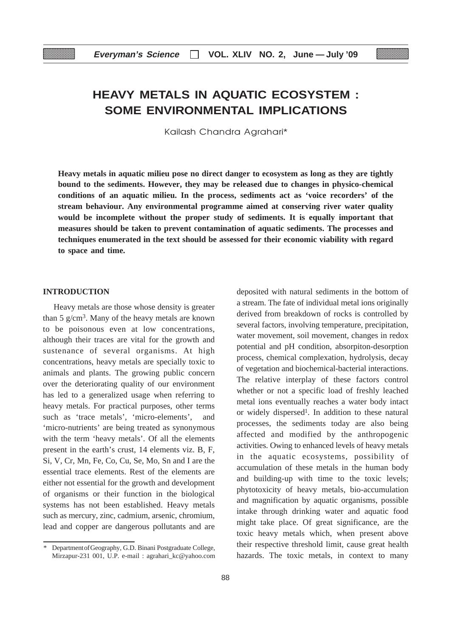# **HEAVY METALS IN AQUATIC ECOSYSTEM : SOME ENVIRONMENTAL IMPLICATIONS**

Kailash Chandra Aarahari\*

**Heavy metals in aquatic milieu pose no direct danger to ecosystem as long as they are tightly bound to the sediments. However, they may be released due to changes in physico-chemical conditions of an aquatic milieu. In the process, sediments act as 'voice recorders' of the stream behaviour. Any environmental programme aimed at conserving river water quality would be incomplete without the proper study of sediments. It is equally important that measures should be taken to prevent contamination of aquatic sediments. The processes and techniques enumerated in the text should be assessed for their economic viability with regard to space and time.**

# **INTRODUCTION**

Heavy metals are those whose density is greater than 5  $g/cm<sup>3</sup>$ . Many of the heavy metals are known to be poisonous even at low concentrations, although their traces are vital for the growth and sustenance of several organisms. At high concentrations, heavy metals are specially toxic to animals and plants. The growing public concern over the deteriorating quality of our environment has led to a generalized usage when referring to heavy metals. For practical purposes, other terms such as 'trace metals', 'micro-elements', and 'micro-nutrients' are being treated as synonymous with the term 'heavy metals'. Of all the elements present in the earth's crust, 14 elements viz. B, F, Si, V, Cr, Mn, Fe, Co, Cu, Se, Mo, Sn and I are the essential trace elements. Rest of the elements are either not essential for the growth and development of organisms or their function in the biological systems has not been established. Heavy metals such as mercury, zinc, cadmium, arsenic, chromium, lead and copper are dangerous pollutants and are deposited with natural sediments in the bottom of a stream. The fate of individual metal ions originally derived from breakdown of rocks is controlled by several factors, involving temperature, precipitation, water movement, soil movement, changes in redox potential and pH condition, absorpiton-desorption process, chemical complexation, hydrolysis, decay of vegetation and biochemical-bacterial interactions. The relative interplay of these factors control whether or not a specific load of freshly leached metal ions eventually reaches a water body intact or widely dispersed<sup>1</sup>. In addition to these natural processes, the sediments today are also being affected and modified by the anthropogenic activities. Owing to enhanced levels of heavy metals in the aquatic ecosystems, possibility of accumulation of these metals in the human body and building-up with time to the toxic levels; phytotoxicity of heavy metals, bio-accumulation and magnification by aquatic organisms, possible intake through drinking water and aquatic food might take place. Of great significance, are the toxic heavy metals which, when present above their respective threshold limit, cause great health hazards. The toxic metals, in context to many

Department of Geography, G.D. Binani Postgraduate College, Mirzapur-231 001, U.P. e-mail : agrahari\_kc@yahoo.com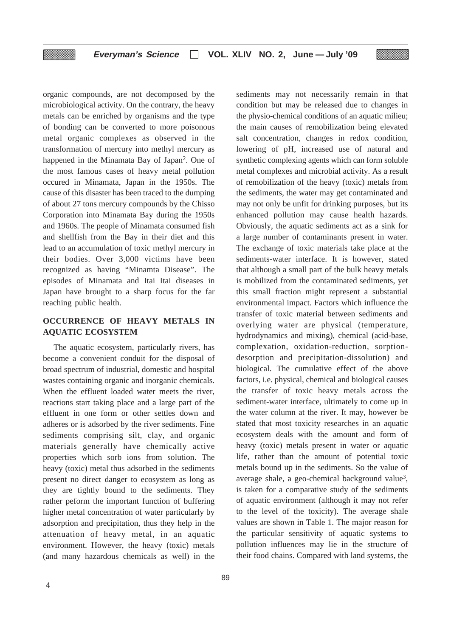organic compounds, are not decomposed by the microbiological activity. On the contrary, the heavy metals can be enriched by organisms and the type of bonding can be converted to more poisonous metal organic complexes as observed in the transformation of mercury into methyl mercury as happened in the Minamata Bay of Japan2. One of the most famous cases of heavy metal pollution occured in Minamata, Japan in the 1950s. The cause of this disaster has been traced to the dumping of about 27 tons mercury compounds by the Chisso Corporation into Minamata Bay during the 1950s and 1960s. The people of Minamata consumed fish and shellfish from the Bay in their diet and this lead to an accumulation of toxic methyl mercury in their bodies. Over 3,000 victims have been recognized as having "Minamta Disease". The episodes of Minamata and Itai Itai diseases in Japan have brought to a sharp focus for the far reaching public health.

▒

# **OCCURRENCE OF HEAVY METALS IN AQUATIC ECOSYSTEM**

The aquatic ecosystem, particularly rivers, has become a convenient conduit for the disposal of broad spectrum of industrial, domestic and hospital wastes containing organic and inorganic chemicals. When the effluent loaded water meets the river, reactions start taking place and a large part of the effluent in one form or other settles down and adheres or is adsorbed by the river sediments. Fine sediments comprising silt, clay, and organic materials generally have chemically active properties which sorb ions from solution. The heavy (toxic) metal thus adsorbed in the sediments present no direct danger to ecosystem as long as they are tightly bound to the sediments. They rather peform the important function of buffering higher metal concentration of water particularly by adsorption and precipitation, thus they help in the attenuation of heavy metal, in an aquatic environment. However, the heavy (toxic) metals (and many hazardous chemicals as well) in the

89

sediments may not necessarily remain in that condition but may be released due to changes in the physio-chemical conditions of an aquatic milieu; the main causes of remobilization being elevated salt concentration, changes in redox condition, lowering of pH, increased use of natural and synthetic complexing agents which can form soluble metal complexes and microbial activity. As a result of remobilization of the heavy (toxic) metals from the sediments, the water may get contaminated and may not only be unfit for drinking purposes, but its enhanced pollution may cause health hazards. Obviously, the aquatic sediments act as a sink for a large number of contaminants present in water. The exchange of toxic materials take place at the sediments-water interface. It is however, stated that although a small part of the bulk heavy metals is mobilized from the contaminated sediments, yet this small fraction might represent a substantial environmental impact. Factors which influence the transfer of toxic material between sediments and overlying water are physical (temperature, hydrodynamics and mixing), chemical (acid-base, complexation, oxidation-reduction, sorptiondesorption and precipitation-dissolution) and biological. The cumulative effect of the above factors, i.e. physical, chemical and biological causes the transfer of toxic heavy metals across the sediment-water interface, ultimately to come up in the water column at the river. It may, however be stated that most toxicity researches in an aquatic ecosystem deals with the amount and form of heavy (toxic) metals present in water or aquatic life, rather than the amount of potential toxic metals bound up in the sediments. So the value of average shale, a geo-chemical background value3, is taken for a comparative study of the sediments of aquatic environment (although it may not refer to the level of the toxicity). The average shale values are shown in Table 1. The major reason for the particular sensitivity of aquatic systems to pollution influences may lie in the structure of their food chains. Compared with land systems, the

r.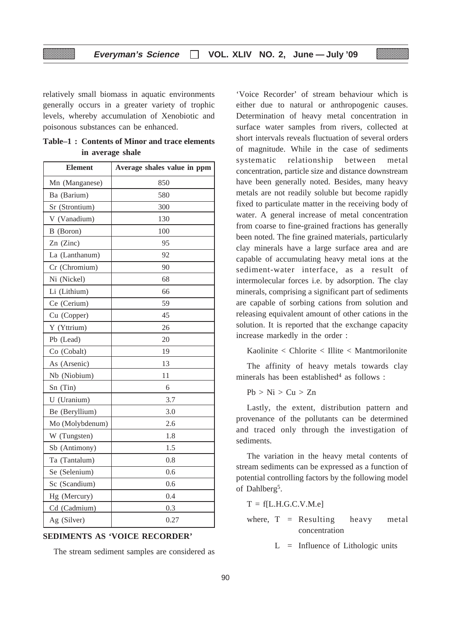relatively small biomass in aquatic environments generally occurs in a greater variety of trophic levels, whereby accumulation of Xenobiotic and poisonous substances can be enhanced.

| <b>Element</b>  | Average shales value in ppm |
|-----------------|-----------------------------|
| Mn (Manganese)  | 850                         |
| Ba (Barium)     | 580                         |
| Sr (Strontium)  | 300                         |
| V (Vanadium)    | 130                         |
| B (Boron)       | 100                         |
| Zn (Zinc)       | 95                          |
| La (Lanthanum)  | 92                          |
| Cr (Chromium)   | 90                          |
| Ni (Nickel)     | 68                          |
| Li (Lithium)    | 66                          |
| Ce (Cerium)     | 59                          |
| Cu (Copper)     | 45                          |
| Y (Yttrium)     | 26                          |
| Pb (Lead)       | 20                          |
| Co (Cobalt)     | 19                          |
| As (Arsenic)    | 13                          |
| Nb (Niobium)    | 11                          |
| Sn(Tin)         | 6                           |
| U (Uranium)     | 3.7                         |
| Be (Beryllium)  | 3.0                         |
| Mo (Molybdenum) | 2.6                         |
| W (Tungsten)    | 1.8                         |
| Sb (Antimony)   | 1.5                         |
| Ta (Tantalum)   | 0.8                         |
| Se (Selenium)   | 0.6                         |
| Sc (Scandium)   | 0.6                         |
| Hg (Mercury)    | 0.4                         |
| Cd (Cadmium)    | 0.3                         |
| Ag (Silver)     | 0.27                        |

**Table–1 : Contents of Minor and trace elements in average shale**

**SEDIMENTS AS 'VOICE RECORDER'**

The stream sediment samples are considered as

'Voice Recorder' of stream behaviour which is either due to natural or anthropogenic causes. Determination of heavy metal concentration in surface water samples from rivers, collected at short intervals reveals fluctuation of several orders of magnitude. While in the case of sediments systematic relationship between metal concentration, particle size and distance downstream have been generally noted. Besides, many heavy metals are not readily soluble but become rapidly fixed to particulate matter in the receiving body of water. A general increase of metal concentration from coarse to fine-grained fractions has generally been noted. The fine grained materials, particularly clay minerals have a large surface area and are capable of accumulating heavy metal ions at the sediment-water interface, as a result of intermolecular forces i.e. by adsorption. The clay minerals, comprising a significant part of sediments are capable of sorbing cations from solution and releasing equivalent amount of other cations in the solution. It is reported that the exchange capacity increase markedly in the order :

Kaolinite < Chlorite < Illite < Mantmorilonite

The affinity of heavy metals towards clay minerals has been established $4$  as follows :

 $Pb > Ni > Cu > Zn$ 

Lastly, the extent, distribution pattern and provenance of the pollutants can be determined and traced only through the investigation of sediments.

The variation in the heavy metal contents of stream sediments can be expressed as a function of potential controlling factors by the following model of Dahlberg5.

 $T = f[L.H.G.C.V.M.e]$ 

where,  $T =$  Resulting heavy metal concentration

 $L =$  Influence of Lithologic units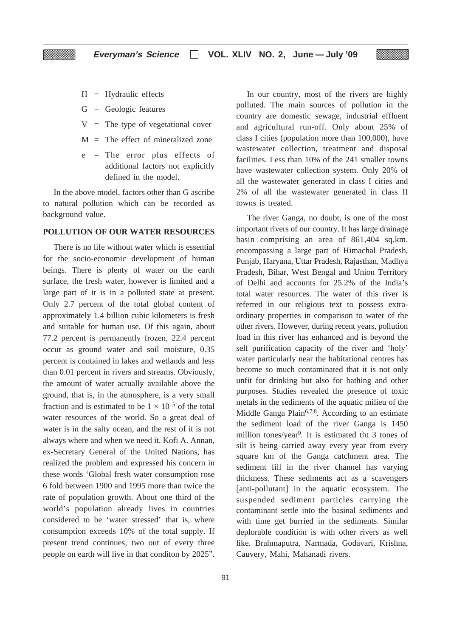$H = Hyd$ raulic effects

- $G = Geologic features$
- $V =$ The type of vegetational cover
- $M =$ The effect of mineralized zone
- e = The error plus effects of additional factors not explicitly defined in the model.

In the above model, factors other than G ascribe to natural pollution which can be recorded as background value.

# **POLLUTION OF OUR WATER RESOURCES**

There is no life without water which is essential for the socio-economic development of human beings. There is plenty of water on the earth surface, the fresh water, however is limited and a large part of it is in a polluted state at present. Only 2.7 percent of the total global content of approximately 1.4 billion cubic kilometers is fresh and suitable for human use. Of this again, about 77.2 percent is permanently frozen, 22.4 percent occur as ground water and soil moisture, 0.35 percent is contained in lakes and wetlands and less than 0.01 percent in rivers and streams. Obviously, the amount of water actually available above the ground, that is, in the atmosphere, is a very small fraction and is estimated to be  $1 \times 10^{-5}$  of the total water resources of the world. So a great deal of water is in the salty ocean, and the rest of it is not always where and when we need it. Kofi A. Annan, ex-Secretary General of the United Nations, has realized the problem and expressed his concern in these words 'Global fresh water consumption rose 6 fold between 1900 and 1995 more than twice the rate of population growth. About one third of the world's population already lives in countries considered to be 'water stressed' that is, where consumption exceeds 10% of the total supply. If present trend continues, two out of every three people on earth will live in that conditon by 2025".

In our country, most of the rivers are highly polluted. The main sources of pollution in the country are domestic sewage, industrial effluent and agricultural run-off. Only about 25% of class I cities (population more than 100,000), have wastewater collection, treatment and disposal facilities. Less than 10% of the 241 smaller towns have wastewater collection system. Only 20% of all the wastewater generated in class I cities and 2% of all the wastewater generated in class II towns is treated.

The river Ganga, no doubt, is one of the most important rivers of our country. It has large drainage basin comprising an area of 861,404 sq.km. encompassing a large part of Himachal Pradesh, Punjab, Haryana, Uttar Pradesh, Rajasthan, Madhya Pradesh, Bihar, West Bengal and Union Territory of Delhi and accounts for 25.2% of the India's total water resources. The water of this river is referred in our religious text to possess extraordinary properties in comparison to water of the other rivers. However, during recent years, pollution load in this river has enhanced and is beyond the self purification capacity of the river and 'holy' water particularly near the habitational centres has become so much contaminated that it is not only unfit for drinking but also for bathing and other purposes. Studies revealed the presence of toxic metals in the sediments of the aquatic milieu of the Middle Ganga Plain<sup>6,7,8</sup>. According to an estimate the sediment load of the river Ganga is 1450 million tones/year9. It is estimated tht 3 tones of silt is being carried away every year from every square km of the Ganga catchment area. The sediment fill in the river channel has varying thickness. These sediments act as a scavengers [anti-pollutant] in the aquatic ecosystem. The suspended sediment particles carrying the contaminant settle into the basinal sediments and with time get burried in the sediments. Similar deplorable condition is with other rivers as well like. Brahmaputra, Narmada, Godavari, Krishna, Cauvery, Mahi, Mahanadi rivers.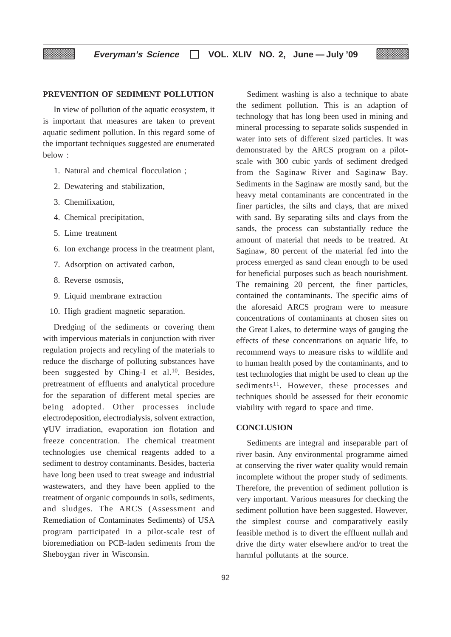# **PREVENTION OF SEDIMENT POLLUTION**

In view of pollution of the aquatic ecosystem, it is important that measures are taken to prevent aquatic sediment pollution. In this regard some of the important techniques suggested are enumerated below :

- 1. Natural and chemical flocculation ;
- 2. Dewatering and stabilization,
- 3. Chemifixation,
- 4. Chemical precipitation,
- 5. Lime treatment
- 6. Ion exchange process in the treatment plant,
- 7. Adsorption on activated carbon,
- 8. Reverse osmosis,
- 9. Liquid membrane extraction
- 10. High gradient magnetic separation.

Dredging of the sediments or covering them with impervious materials in conjunction with river regulation projects and recyling of the materials to reduce the discharge of polluting substances have been suggested by Ching-I et al.<sup>10</sup>. Besides, pretreatment of effluents and analytical procedure for the separation of different metal species are being adopted. Other processes include electrodeposition, electrodialysis, solvent extraction, γ/UV irradiation, evaporation ion flotation and freeze concentration. The chemical treatment technologies use chemical reagents added to a sediment to destroy contaminants. Besides, bacteria have long been used to treat sweage and industrial wastewaters, and they have been applied to the treatment of organic compounds in soils, sediments, and sludges. The ARCS (Assessment and Remediation of Contaminates Sediments) of USA program participated in a pilot-scale test of bioremediation on PCB-laden sediments from the Sheboygan river in Wisconsin.

Sediment washing is also a technique to abate the sediment pollution. This is an adaption of technology that has long been used in mining and mineral processing to separate solids suspended in water into sets of different sized particles. It was demonstrated by the ARCS program on a pilotscale with 300 cubic yards of sediment dredged from the Saginaw River and Saginaw Bay. Sediments in the Saginaw are mostly sand, but the heavy metal contaminants are concentrated in the finer particles, the silts and clays, that are mixed with sand. By separating silts and clays from the sands, the process can substantially reduce the amount of material that needs to be treatred. At Saginaw, 80 percent of the material fed into the process emerged as sand clean enough to be used for beneficial purposes such as beach nourishment. The remaining 20 percent, the finer particles, contained the contaminants. The specific aims of the aforesaid ARCS program were to measure concentrations of contaminants at chosen sites on the Great Lakes, to determine ways of gauging the effects of these concentrations on aquatic life, to recommend ways to measure risks to wildlife and to human health posed by the contaminants, and to test technologies that might be used to clean up the sediments<sup>11</sup>. However, these processes and techniques should be assessed for their economic viability with regard to space and time.

# **CONCLUSION**

Sediments are integral and inseparable part of river basin. Any environmental programme aimed at conserving the river water quality would remain incomplete without the proper study of sediments. Therefore, the prevention of sediment pollution is very important. Various measures for checking the sediment pollution have been suggested. However, the simplest course and comparatively easily feasible method is to divert the effluent nullah and drive the dirty water elsewhere and/or to treat the harmful pollutants at the source.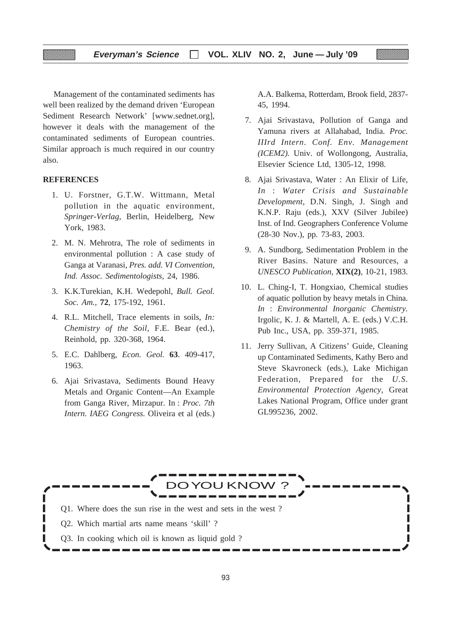Management of the contaminated sediments has well been realized by the demand driven 'European Sediment Research Network' [www.sednet.org], however it deals with the management of the contaminated sediments of European countries. Similar approach is much required in our country also.

# **REFERENCES**

- 1. U. Forstner, G.T.W. Wittmann, Metal pollution in the aquatic environment, *Springer-Verlag,* Berlin, Heidelberg, New York, 1983.
- 2. M. N. Mehrotra, The role of sediments in environmental pollution : A case study of Ganga at Varanasi, *Pres. add. VI Convention, Ind. Assoc. Sedimentologists,* 24, 1986.
- 3. K.K.Turekian, K.H. Wedepohl, *Bull. Geol. Soc. Am.,* **72**, 175-192, 1961.
- 4. R.L. Mitchell, Trace elements in soils, *In: Chemistry of the Soil,* F.E. Bear (ed.), Reinhold, pp. 320-368, 1964.
- 5. E.C. Dahlberg, *Econ. Geol.* **63**. 409-417, 1963.
- 6. Ajai Srivastava, Sediments Bound Heavy Metals and Organic Content—An Example from Ganga River, Mirzapur. In : *Proc. 7th Intern. IAEG Congress.* Oliveira et al (eds.)

A.A. Balkema, Rotterdam, Brook field, 2837- 45, 1994.

- 7. Ajai Srivastava, Pollution of Ganga and Yamuna rivers at Allahabad, India. *Proc. IIIrd Intern. Conf. Env. Management (ICEM2).* Univ. of Wollongong, Australia, Elsevier Science Ltd, 1305-12, 1998.
- 8. Ajai Srivastava, Water : An Elixir of Life, *In* : *Water Crisis and Sustainable Development,* D.N. Singh, J. Singh and K.N.P. Raju (eds.), XXV (Silver Jubilee) Inst. of Ind. Geographers Conference Volume (28-30 Nov.), pp. 73-83, 2003.
- 9. A. Sundborg, Sedimentation Problem in the River Basins. Nature and Resources, a *UNESCO Publication,* **XIX(2)**, 10-21, 1983.
- 10. L. Ching-I, T. Hongxiao, Chemical studies of aquatic pollution by heavy metals in China. *In* : *Environmental Inorganic Chemistry.* Irgolic, K. J. & Martell, A. E. (eds.) V.C.H. Pub Inc., USA, pp. 359-371, 1985.
- 11. Jerry Sullivan, A Citizens' Guide, Cleaning up Contaminated Sediments, Kathy Bero and Steve Skavroneck (eds.), Lake Michigan Federation, Prepared for the *U.S. Environmental Protection Agency,* Great Lakes National Program, Office under grant GL995236, 2002.

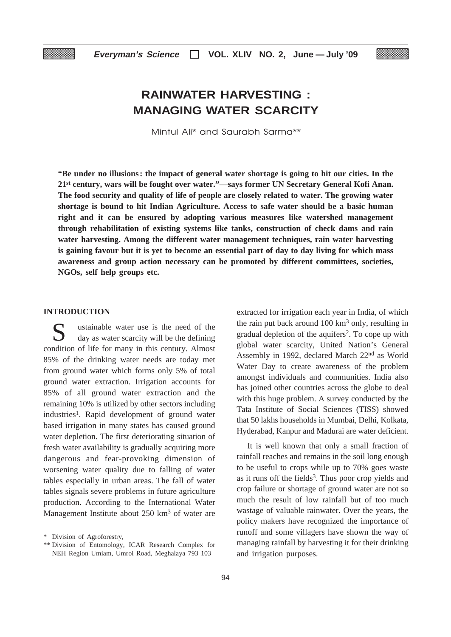# **RAINWATER HARVESTING : MANAGING WATER SCARCITY**

Mintul Ali\* and Saurabh Sarma\*\*

**"Be under no illusions: the impact of general water shortage is going to hit our cities. In the 21st century, wars will be fought over water."—says former UN Secretary General Kofi Anan. The food security and quality of life of people are closely related to water. The growing water shortage is bound to hit Indian Agriculture. Access to safe water should be a basic human right and it can be ensured by adopting various measures like watershed management through rehabilitation of existing systems like tanks, construction of check dams and rain water harvesting. Among the different water management techniques, rain water harvesting is gaining favour but it is yet to become an essential part of day to day living for which mass awareness and group action necessary can be promoted by different committees, societies, NGOs, self help groups etc.**

#### **INTRODUCTION**

S<br>day as water scarcity will be the defining<br>day as water scarcity will be the defining condition of life for many in this century. Almost 85% of the drinking water needs are today met from ground water which forms only 5% of total ground water extraction. Irrigation accounts for 85% of all ground water extraction and the remaining 10% is utilized by other sectors including industries<sup>1</sup>. Rapid development of ground water based irrigation in many states has caused ground water depletion. The first deteriorating situation of fresh water availability is gradually acquiring more dangerous and fear-provoking dimension of worsening water quality due to falling of water tables especially in urban areas. The fall of water tables signals severe problems in future agriculture production. According to the International Water Management Institute about 250 km<sup>3</sup> of water are

extracted for irrigation each year in India, of which the rain put back around  $100 \text{ km}^3$  only, resulting in gradual depletion of the aquifers2. To cope up with global water scarcity, United Nation's General Assembly in 1992, declared March 22nd as World Water Day to create awareness of the problem amongst individuals and communities. India also has joined other countries across the globe to deal with this huge problem. A survey conducted by the Tata Institute of Social Sciences (TISS) showed that 50 lakhs households in Mumbai, Delhi, Kolkata, Hyderabad, Kanpur and Madurai are water deficient.

It is well known that only a small fraction of rainfall reaches and remains in the soil long enough to be useful to crops while up to 70% goes waste as it runs off the fields<sup>3</sup>. Thus poor crop yields and crop failure or shortage of ground water are not so much the result of low rainfall but of too much wastage of valuable rainwater. Over the years, the policy makers have recognized the importance of runoff and some villagers have shown the way of managing rainfall by harvesting it for their drinking and irrigation purposes.

<sup>\*</sup> Division of Agroforestry,

<sup>\*\*</sup> Division of Entomology, ICAR Research Complex for NEH Region Umiam, Umroi Road, Meghalaya 793 103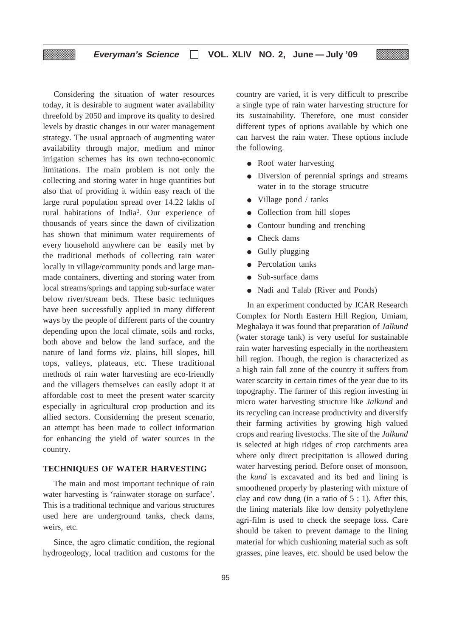Considering the situation of water resources today, it is desirable to augment water availability threefold by 2050 and improve its quality to desired levels by drastic changes in our water management strategy. The usual approach of augmenting water availability through major, medium and minor irrigation schemes has its own techno-economic limitations. The main problem is not only the collecting and storing water in huge quantities but also that of providing it within easy reach of the large rural population spread over 14.22 lakhs of rural habitations of India3. Our experience of thousands of years since the dawn of civilization has shown that minimum water requirements of every household anywhere can be easily met by the traditional methods of collecting rain water locally in village/community ponds and large manmade containers, diverting and storing water from local streams/springs and tapping sub-surface water below river/stream beds. These basic techniques have been successfully applied in many different ways by the people of different parts of the country depending upon the local climate, soils and rocks, both above and below the land surface, and the nature of land forms *viz*. plains, hill slopes, hill tops, valleys, plateaus, etc. These traditional methods of rain water harvesting are eco-friendly and the villagers themselves can easily adopt it at affordable cost to meet the present water scarcity especially in agricultural crop production and its allied sectors. Considerning the present scenario, an attempt has been made to collect information for enhancing the yield of water sources in the country.

# **TECHNIQUES OF WATER HARVESTING**

The main and most important technique of rain water harvesting is 'rainwater storage on surface'. This is a traditional technique and various structures used here are underground tanks, check dams, weirs, etc.

Since, the agro climatic condition, the regional hydrogeology, local tradition and customs for the country are varied, it is very difficult to prescribe a single type of rain water harvesting structure for its sustainability. Therefore, one must consider different types of options available by which one can harvest the rain water. These options include the following.

- Roof water harvesting
- Diversion of perennial springs and streams water in to the storage strucutre
- Village pond / tanks
- Collection from hill slopes
- Contour bunding and trenching
- Check dams
- Gully plugging
- Percolation tanks
- Sub-surface dams
- Nadi and Talab (River and Ponds)

In an experiment conducted by ICAR Research Complex for North Eastern Hill Region, Umiam, Meghalaya it was found that preparation of *Jalkund* (water storage tank) is very useful for sustainable rain water harvesting especially in the northeastern hill region. Though, the region is characterized as a high rain fall zone of the country it suffers from water scarcity in certain times of the year due to its topography. The farmer of this region investing in micro water harvesting structure like *Jalkund* and its recycling can increase productivity and diversify their farming activities by growing high valued crops and rearing livestocks. The site of the *Jalkund* is selected at high ridges of crop catchments area where only direct precipitation is allowed during water harvesting period. Before onset of monsoon, the *kund* is excavated and its bed and lining is smoothened properly by plastering with mixture of clay and cow dung (in a ratio of  $5:1$ ). After this, the lining materials like low density polyethylene agri-film is used to check the seepage loss. Care should be taken to prevent damage to the lining material for which cushioning material such as soft grasses, pine leaves, etc. should be used below the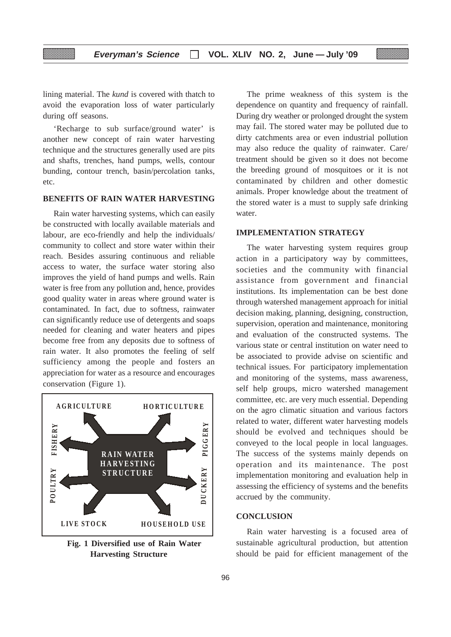lining material. The *kund* is covered with thatch to avoid the evaporation loss of water particularly during off seasons.

'Recharge to sub surface/ground water' is another new concept of rain water harvesting technique and the structures generally used are pits and shafts, trenches, hand pumps, wells, contour bunding, contour trench, basin/percolation tanks, etc.

# **BENEFITS OF RAIN WATER HARVESTING**

Rain water harvesting systems, which can easily be constructed with locally available materials and labour, are eco-friendly and help the individuals/ community to collect and store water within their reach. Besides assuring continuous and reliable access to water, the surface water storing also improves the yield of hand pumps and wells. Rain water is free from any pollution and, hence, provides good quality water in areas where ground water is contaminated. In fact, due to softness, rainwater can significantly reduce use of detergents and soaps needed for cleaning and water heaters and pipes become free from any deposits due to softness of rain water. It also promotes the feeling of self sufficiency among the people and fosters an appreciation for water as a resource and encourages conservation (Figure 1).



**Fig. 1 Diversified use of Rain Water Harvesting Structure**

The prime weakness of this system is the dependence on quantity and frequency of rainfall. During dry weather or prolonged drought the system may fail. The stored water may be polluted due to dirty catchments area or even industrial pollution may also reduce the quality of rainwater. Care/ treatment should be given so it does not become the breeding ground of mosquitoes or it is not contaminated by children and other domestic animals. Proper knowledge about the treatment of the stored water is a must to supply safe drinking water.

# **IMPLEMENTATION STRATEGY**

The water harvesting system requires group action in a participatory way by committees, societies and the community with financial assistance from government and financial institutions. Its implementation can be best done through watershed management approach for initial decision making, planning, designing, construction, supervision, operation and maintenance, monitoring and evaluation of the constructed systems. The various state or central institution on water need to be associated to provide advise on scientific and technical issues. For participatory implementation and monitoring of the systems, mass awareness, self help groups, micro watershed management committee, etc. are very much essential. Depending on the agro climatic situation and various factors related to water, different water harvesting models should be evolved and techniques should be conveyed to the local people in local languages. The success of the systems mainly depends on operation and its maintenance. The post implementation monitoring and evaluation help in assessing the efficiency of systems and the benefits accrued by the community.

# **CONCLUSION**

Rain water harvesting is a focused area of sustainable agricultural production, but attention should be paid for efficient management of the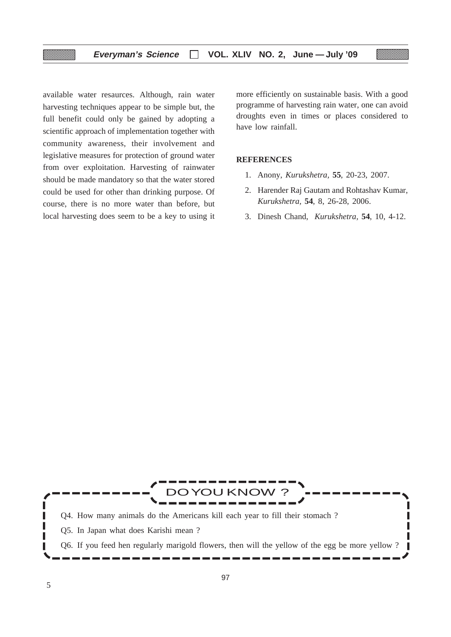available water resaurces. Although, rain water harvesting techniques appear to be simple but, the full benefit could only be gained by adopting a scientific approach of implementation together with community awareness, their involvement and legislative measures for protection of ground water from over exploitation. Harvesting of rainwater should be made mandatory so that the water stored could be used for other than drinking purpose. Of course, there is no more water than before, but local harvesting does seem to be a key to using it more efficiently on sustainable basis. With a good programme of harvesting rain water, one can avoid droughts even in times or places considered to have low rainfall.

# **REFERENCES**

- 1. Anony, *Kurukshetra,* **55**, 20-23, 2007.
- 2. Harender Raj Gautam and Rohtashav Kumar, *Kurukshetra,* **54**, 8, 26-28, 2006.
- 3. Dinesh Chand, *Kurukshetra,* **54**, 10, 4-12.

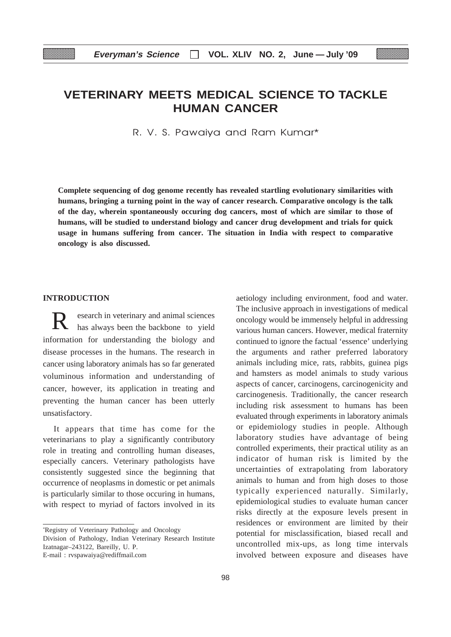# **VETERINARY MEETS MEDICAL SCIENCE TO TACKLE HUMAN CANCER**

R. V. S. Pawaiya and Ram Kumar\*

**Complete sequencing of dog genome recently has revealed startling evolutionary similarities with humans, bringing a turning point in the way of cancer research. Comparative oncology is the talk of the day, wherein spontaneously occuring dog cancers, most of which are similar to those of humans, will be studied to understand biology and cancer drug development and trials for quick usage in humans suffering from cancer. The situation in India with respect to comparative oncology is also discussed.**

# **INTRODUCTION**

esearch in veterinary and animal sciences has always been the backbone to yield information for understanding the biology and disease processes in the humans. The research in cancer using laboratory animals has so far generated voluminous information and understanding of cancer, however, its application in treating and preventing the human cancer has been utterly unsatisfactory.

It appears that time has come for the veterinarians to play a significantly contributory role in treating and controlling human diseases, especially cancers. Veterinary pathologists have consistently suggested since the beginning that occurrence of neoplasms in domestic or pet animals is particularly similar to those occuring in humans, with respect to myriad of factors involved in its

\* Registry of Veterinary Pathology and Oncology Division of Pathology, Indian Veterinary Research Institute Izatnagar–243122, Bareilly, U. P. E-mail : rvspawaiya@rediffmail.com

aetiology including environment, food and water. The inclusive approach in investigations of medical oncology would be immensely helpful in addressing various human cancers. However, medical fraternity continued to ignore the factual 'essence' underlying the arguments and rather preferred laboratory animals including mice, rats, rabbits, guinea pigs and hamsters as model animals to study various aspects of cancer, carcinogens, carcinogenicity and carcinogenesis. Traditionally, the cancer research including risk assessment to humans has been evaluated through experiments in laboratory animals or epidemiology studies in people. Although laboratory studies have advantage of being controlled experiments, their practical utility as an indicator of human risk is limited by the uncertainties of extrapolating from laboratory animals to human and from high doses to those typically experienced naturally. Similarly, epidemiological studies to evaluate human cancer risks directly at the exposure levels present in residences or environment are limited by their potential for misclassification, biased recall and uncontrolled mix-ups, as long time intervals involved between exposure and diseases have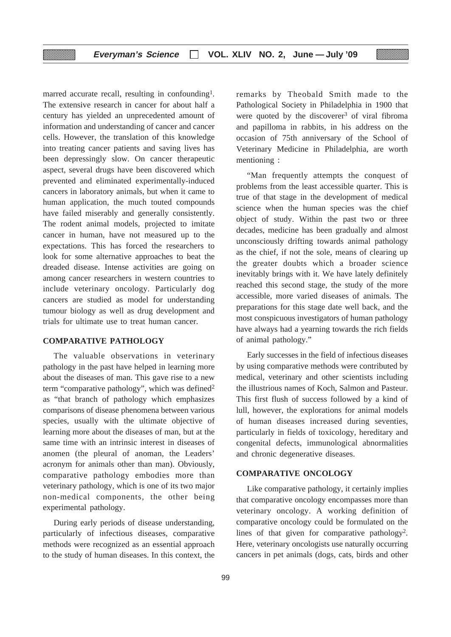marred accurate recall, resulting in confounding<sup>1</sup>. The extensive research in cancer for about half a century has yielded an unprecedented amount of information and understanding of cancer and cancer cells. However, the translation of this knowledge into treating cancer patients and saving lives has been depressingly slow. On cancer therapeutic aspect, several drugs have been discovered which prevented and eliminated experimentally-induced cancers in laboratory animals, but when it came to human application, the much touted compounds have failed miserably and generally consistently. The rodent animal models, projected to imitate cancer in human, have not measured up to the expectations. This has forced the researchers to look for some alternative approaches to beat the dreaded disease. Intense activities are going on among cancer researchers in western countries to include veterinary oncology. Particularly dog cancers are studied as model for understanding tumour biology as well as drug development and trials for ultimate use to treat human cancer.

▒

# **COMPARATIVE PATHOLOGY**

The valuable observations in veterinary pathology in the past have helped in learning more about the diseases of man. This gave rise to a new term "comparative pathology", which was defined<sup>2</sup> as "that branch of pathology which emphasizes comparisons of disease phenomena between various species, usually with the ultimate objective of learning more about the diseases of man, but at the same time with an intrinsic interest in diseases of anomen (the pleural of anoman, the Leaders' acronym for animals other than man). Obviously, comparative pathology embodies more than veterinary pathology, which is one of its two major non-medical components, the other being experimental pathology.

During early periods of disease understanding, particularly of infectious diseases, comparative methods were recognized as an essential approach to the study of human diseases. In this context, the remarks by Theobald Smith made to the Pathological Society in Philadelphia in 1900 that were quoted by the discoverer<sup>3</sup> of viral fibroma and papilloma in rabbits, in his address on the occasion of 75th anniversary of the School of Veterinary Medicine in Philadelphia, are worth mentioning :

"Man frequently attempts the conquest of problems from the least accessible quarter. This is true of that stage in the development of medical science when the human species was the chief object of study. Within the past two or three decades, medicine has been gradually and almost unconsciously drifting towards animal pathology as the chief, if not the sole, means of clearing up the greater doubts which a broader science inevitably brings with it. We have lately definitely reached this second stage, the study of the more accessible, more varied diseases of animals. The preparations for this stage date well back, and the most conspicuous investigators of human pathology have always had a yearning towards the rich fields of animal pathology."

Early successes in the field of infectious diseases by using comparative methods were contributed by medical, veterinary and other scientists including the illustrious names of Koch, Salmon and Pasteur. This first flush of success followed by a kind of lull, however, the explorations for animal models of human diseases increased during seventies, particularly in fields of toxicology, hereditary and congenital defects, immunological abnormalities and chronic degenerative diseases.

#### **COMPARATIVE ONCOLOGY**

Like comparative pathology, it certainly implies that comparative oncology encompasses more than veterinary oncology. A working definition of comparative oncology could be formulated on the lines of that given for comparative pathology<sup>2</sup>. Here, veterinary oncologists use naturally occurring cancers in pet animals (dogs, cats, birds and other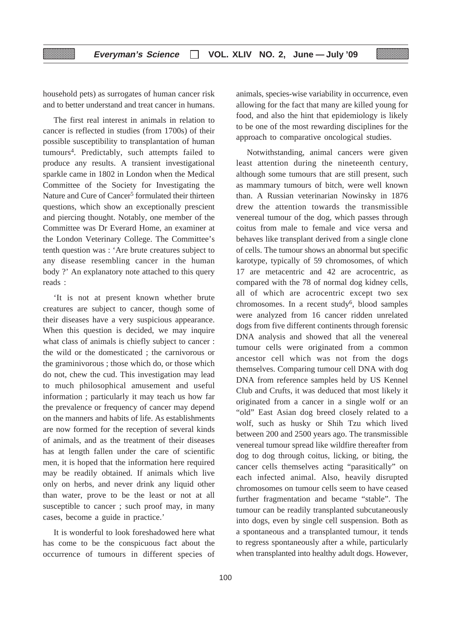household pets) as surrogates of human cancer risk and to better understand and treat cancer in humans.

The first real interest in animals in relation to cancer is reflected in studies (from 1700s) of their possible susceptibility to transplantation of human tumours4. Predictably, such attempts failed to produce any results. A transient investigational sparkle came in 1802 in London when the Medical Committee of the Society for Investigating the Nature and Cure of Cancer<sup>5</sup> formulated their thirteen questions, which show an exceptionally prescient and piercing thought. Notably, one member of the Committee was Dr Everard Home, an examiner at the London Veterinary College. The Committee's tenth question was : 'Are brute creatures subject to any disease resembling cancer in the human body ?' An explanatory note attached to this query reads :

'It is not at present known whether brute creatures are subject to cancer, though some of their diseases have a very suspicious appearance. When this question is decided, we may inquire what class of animals is chiefly subject to cancer : the wild or the domesticated ; the carnivorous or the graminivorous ; those which do, or those which do not, chew the cud. This investigation may lead to much philosophical amusement and useful information ; particularly it may teach us how far the prevalence or frequency of cancer may depend on the manners and habits of life. As establishments are now formed for the reception of several kinds of animals, and as the treatment of their diseases has at length fallen under the care of scientific men, it is hoped that the information here required may be readily obtained. If animals which live only on herbs, and never drink any liquid other than water, prove to be the least or not at all susceptible to cancer ; such proof may, in many cases, become a guide in practice.'

It is wonderful to look foreshadowed here what has come to be the conspicuous fact about the occurrence of tumours in different species of animals, species-wise variability in occurrence, even allowing for the fact that many are killed young for food, and also the hint that epidemiology is likely to be one of the most rewarding disciplines for the approach to comparative oncological studies.

Notwithstanding, animal cancers were given least attention during the nineteenth century, although some tumours that are still present, such as mammary tumours of bitch, were well known than. A Russian veterinarian Nowinsky in 1876 drew the attention towards the transmissible venereal tumour of the dog, which passes through coitus from male to female and vice versa and behaves like transplant derived from a single clone of cells. The tumour shows an abnormal but specific karotype, typically of 59 chromosomes, of which 17 are metacentric and 42 are acrocentric, as compared with the 78 of normal dog kidney cells, all of which are acrocentric except two sex chromosomes. In a recent study<sup>6</sup>, blood samples were analyzed from 16 cancer ridden unrelated dogs from five different continents through forensic DNA analysis and showed that all the venereal tumour cells were originated from a common ancestor cell which was not from the dogs themselves. Comparing tumour cell DNA with dog DNA from reference samples held by US Kennel Club and Crufts, it was deduced that most likely it originated from a cancer in a single wolf or an "old" East Asian dog breed closely related to a wolf, such as husky or Shih Tzu which lived between 200 and 2500 years ago. The transmissible venereal tumour spread like wildfire thereafter from dog to dog through coitus, licking, or biting, the cancer cells themselves acting "parasitically" on each infected animal. Also, heavily disrupted chromosomes on tumour cells seem to have ceased further fragmentation and became "stable". The tumour can be readily transplanted subcutaneously into dogs, even by single cell suspension. Both as a spontaneous and a transplanted tumour, it tends to regress spontaneously after a while, particularly when transplanted into healthy adult dogs. However,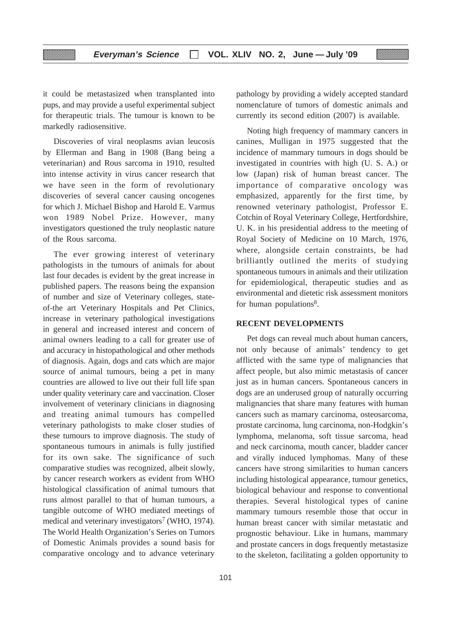it could be metastasized when transplanted into pups, and may provide a useful experimental subject for therapeutic trials. The tumour is known to be markedly radiosensitive.

Discoveries of viral neoplasms avian leucosis by Ellerman and Bang in 1908 (Bang being a veterinarian) and Rous sarcoma in 1910, resulted into intense activity in virus cancer research that we have seen in the form of revolutionary discoveries of several cancer causing oncogenes for which J. Michael Bishop and Harold E. Varmus won 1989 Nobel Prize. However, many investigators questioned the truly neoplastic nature of the Rous sarcoma.

The ever growing interest of veterinary pathologists in the tumours of animals for about last four decades is evident by the great increase in published papers. The reasons being the expansion of number and size of Veterinary colleges, stateof-the art Veterinary Hospitals and Pet Clinics, increase in veterinary pathological investigations in general and increased interest and concern of animal owners leading to a call for greater use of and accuracy in histopathological and other methods of diagnosis. Again, dogs and cats which are major source of animal tumours, being a pet in many countries are allowed to live out their full life span under quality veterinary care and vaccination. Closer involvement of veterinary clinicians in diagnosing and treating animal tumours has compelled veterinary pathologists to make closer studies of these tumours to improve diagnosis. The study of spontaneous tumours in animals is fully justified for its own sake. The significance of such comparative studies was recognized, albeit slowly, by cancer research workers as evident from WHO histological classification of animal tumours that runs almost parallel to that of human tumours, a tangible outcome of WHO mediated meetings of medical and veterinary investigators<sup>7</sup> (WHO, 1974). The World Health Organization's Series on Tumors of Domestic Animals provides a sound basis for comparative oncology and to advance veterinary

pathology by providing a widely accepted standard nomenclature of tumors of domestic animals and currently its second edition (2007) is available.

Noting high frequency of mammary cancers in canines, Mulligan in 1975 suggested that the incidence of mammary tumours in dogs should be investigated in countries with high (U. S. A.) or low (Japan) risk of human breast cancer. The importance of comparative oncology was emphasized, apparently for the first time, by renowned veterinary pathologist, Professor E. Cotchin of Royal Veterinary College, Hertfordshire, U. K. in his presidential address to the meeting of Royal Society of Medicine on 10 March, 1976, where, alongside certain constraints, be had brilliantly outlined the merits of studying spontaneous tumours in animals and their utilization for epidemiological, therapeutic studies and as environmental and dietetic risk assessment monitors for human populations<sup>8</sup>.

# **RECENT DEVELOPMENTS**

Pet dogs can reveal much about human cancers, not only because of animals' tendency to get afflicted with the same type of malignancies that affect people, but also mimic metastasis of cancer just as in human cancers. Spontaneous cancers in dogs are an underused group of naturally occurring malignancies that share many features with human cancers such as mamary carcinoma, osteosarcoma, prostate carcinoma, lung carcinoma, non-Hodgkin's lymphoma, melanoma, soft tissue sarcoma, head and neck carcinoma, mouth cancer, bladder cancer and virally induced lymphomas. Many of these cancers have strong similarities to human cancers including histological appearance, tumour genetics, biological behaviour and response to conventional therapies. Several histological types of canine mammary tumours resemble those that occur in human breast cancer with similar metastatic and prognostic behaviour. Like in humans, mammary and prostate cancers in dogs frequently metastasize to the skeleton, facilitating a golden opportunity to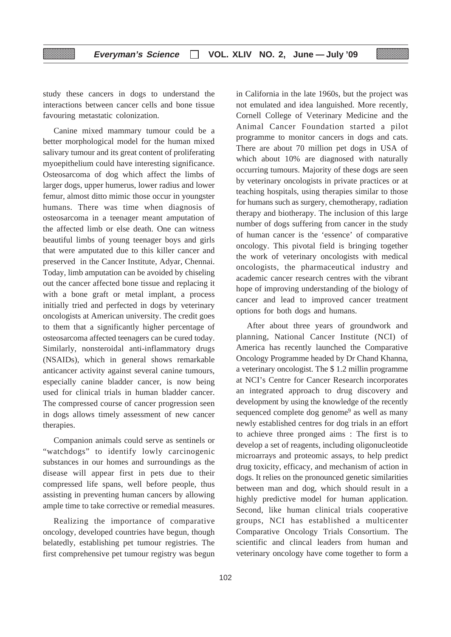study these cancers in dogs to understand the interactions between cancer cells and bone tissue favouring metastatic colonization.

Canine mixed mammary tumour could be a better morphological model for the human mixed salivary tumour and its great content of proliferating myoepithelium could have interesting significance. Osteosarcoma of dog which affect the limbs of larger dogs, upper humerus, lower radius and lower femur, almost ditto mimic those occur in youngster humans. There was time when diagnosis of osteosarcoma in a teenager meant amputation of the affected limb or else death. One can witness beautiful limbs of young teenager boys and girls that were amputated due to this killer cancer and preserved in the Cancer Institute, Adyar, Chennai. Today, limb amputation can be avoided by chiseling out the cancer affected bone tissue and replacing it with a bone graft or metal implant, a process initially tried and perfected in dogs by veterinary oncologists at American university. The credit goes to them that a significantly higher percentage of osteosarcoma affected teenagers can be cured today. Similarly, nonsteroidal anti-inflammatory drugs (NSAIDs), which in general shows remarkable anticancer activity against several canine tumours, especially canine bladder cancer, is now being used for clinical trials in human bladder cancer. The compressed course of cancer progression seen in dogs allows timely assessment of new cancer therapies.

Companion animals could serve as sentinels or "watchdogs" to identify lowly carcinogenic substances in our homes and surroundings as the disease will appear first in pets due to their compressed life spans, well before people, thus assisting in preventing human cancers by allowing ample time to take corrective or remedial measures.

Realizing the importance of comparative oncology, developed countries have begun, though belatedly, establishing pet tumour registries. The first comprehensive pet tumour registry was begun

in California in the late 1960s, but the project was not emulated and idea languished. More recently, Cornell College of Veterinary Medicine and the Animal Cancer Foundation started a pilot programme to monitor cancers in dogs and cats. There are about 70 million pet dogs in USA of which about 10% are diagnosed with naturally occurring tumours. Majority of these dogs are seen by veterinary oncologists in private practices or at teaching hospitals, using therapies similar to those for humans such as surgery, chemotherapy, radiation therapy and biotherapy. The inclusion of this large number of dogs suffering from cancer in the study of human cancer is the 'essence' of comparative oncology. This pivotal field is bringing together the work of veterinary oncologists with medical oncologists, the pharmaceutical industry and academic cancer research centres with the vibrant hope of improving understanding of the biology of cancer and lead to improved cancer treatment options for both dogs and humans.

After about three years of groundwork and planning, National Cancer Institute (NCI) of America has recently launched the Comparative Oncology Programme headed by Dr Chand Khanna, a veterinary oncologist. The \$ 1.2 millin programme at NCI's Centre for Cancer Research incorporates an integrated approach to drug discovery and development by using the knowledge of the recently sequenced complete dog genome<sup>9</sup> as well as many newly established centres for dog trials in an effort to achieve three pronged aims : The first is to develop a set of reagents, including oligonucleotide microarrays and proteomic assays, to help predict drug toxicity, efficacy, and mechanism of action in dogs. It relies on the pronounced genetic similarities between man and dog, which should result in a highly predictive model for human application. Second, like human clinical trials cooperative groups, NCI has established a multicenter Comparative Oncology Trials Consortium. The scientific and clincal leaders from human and veterinary oncology have come together to form a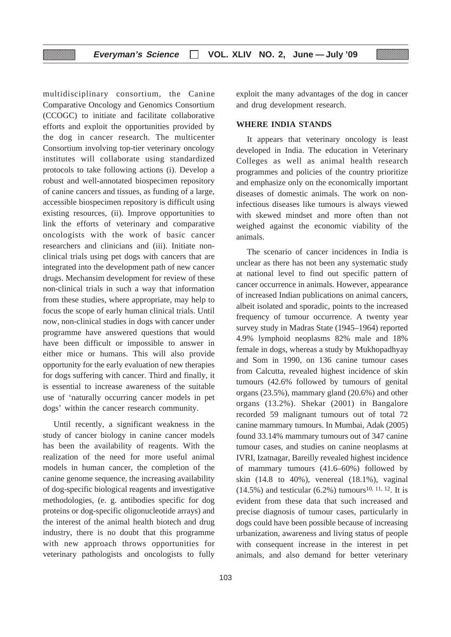multidisciplinary consortium, the Canine Comparative Oncology and Genomics Consortium (CCOGC) to initiate and facilitate collaborative efforts and exploit the opportunities provided by the dog in cancer research. The multicenter Consortium involving top-tier veterinary oncology institutes will collaborate using standardized protocols to take following actions (i). Develop a robust and well-annotated biospecimen repository of canine cancers and tissues, as funding of a large, accessible biospecimen repository is difficult using existing resources, (ii). Improve opportunities to link the efforts of veterinary and comparative oncologists with the work of basic cancer researchers and clinicians and (iii). Initiate nonclinical trials using pet dogs with cancers that are integrated into the development path of new cancer drugs. Mechansim development for review of these non-clinical trials in such a way that information from these studies, where appropriate, may help to focus the scope of early human clinical trials. Until now, non-clinical studies in dogs with cancer under programme have answered questions that would have been difficult or impossible to answer in either mice or humans. This will also provide opportunity for the early evaluation of new therapies for dogs suffering with cancer. Third and finally, it is essential to increase awareness of the suitable use of 'naturally occurring cancer models in pet dogs' within the cancer research community.

Until recently, a significant weakness in the study of cancer biology in canine cancer models has been the availability of reagents. With the realization of the need for more useful animal models in human cancer, the completion of the canine genome sequence, the increasing availability of dog-specific biological reagents and investigative methodologies, (e. g. antibodies specific for dog proteins or dog-specific oligonucleotide arrays) and the interest of the animal health biotech and drug industry, there is no doubt that this programme with new approach throws opportunities for veterinary pathologists and oncologists to fully

exploit the many advantages of the dog in cancer and drug development research.

### **WHERE INDIA STANDS**

It appears that veterinary oncology is least developed in India. The education in Veterinary Colleges as well as animal health research programmes and policies of the country prioritize and emphasize only on the economically important diseases of domestic animals. The work on noninfectious diseases like tumours is always viewed with skewed mindset and more often than not weighed against the economic viability of the animals.

The scenario of cancer incidences in India is unclear as there has not been any systematic study at national level to find out specific pattern of cancer occurrence in animals. However, appearance of increased Indian publications on animal cancers, albeit isolated and sporadic, points to the increased frequency of tumour occurrence. A twenty year survey study in Madras State (1945–1964) reported 4.9% lymphoid neoplasms 82% male and 18% female in dogs, whereas a study by Mukhopadhyay and Som in 1990, on 136 canine tumour cases from Calcutta, revealed highest incidence of skin tumours (42.6% followed by tumours of genital organs (23.5%), mammary gland (20.6%) and other organs (13.2%). Shekar (2001) in Bangalore recorded 59 malignant tumours out of total 72 canine mammary tumours. In Mumbai, Adak (2005) found 33.14% mammary tumours out of 347 canine tumour cases, and studies on canine neoplasms at IVRI, Izatnagar, Bareilly revealed highest incidence of mammary tumours (41.6–60%) followed by skin  $(14.8 \text{ to } 40\%)$ , venereal  $(18.1\%)$ , vaginal  $(14.5\%)$  and testicular  $(6.2\%)$  tumours<sup>10, 11, 12</sup>. It is evident from these data that such increased and precise diagnosis of tumour cases, particularly in dogs could have been possible because of increasing urbanization, awareness and living status of people with consequent increase in the interest in pet animals, and also demand for better veterinary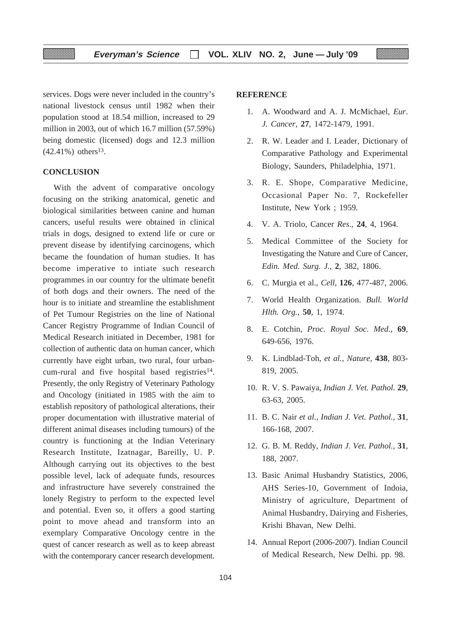services. Dogs were never included in the country's national livestock census until 1982 when their population stood at 18.54 million, increased to 29 million in 2003, out of which 16.7 million (57.59%) being domestic (licensed) dogs and 12.3 million  $(42.41\%)$  others<sup>13</sup>.

# **CONCLUSION**

With the advent of comparative oncology focusing on the striking anatomical, genetic and biological similarities between canine and human cancers, useful results were obtained in clinical trials in dogs, designed to extend life or cure or prevent disease by identifying carcinogens, which became the foundation of human studies. It has become imperative to intiate such research programmes in our country for the ultimate benefit of both dogs and their owners. The need of the hour is to initiate and streamline the establishment of Pet Tumour Registries on the line of National Cancer Registry Programme of Indian Council of Medical Research initiated in December, 1981 for collection of authentic data on human cancer, which currently have eight urban, two rural, four urbancum-rural and five hospital based registries $14$ . Presently, the only Registry of Veterinary Pathology and Oncology (initiated in 1985 with the aim to establish repository of pathological alterations, their proper documentation with illustrative material of different animal diseases including tumours) of the country is functioning at the Indian Veterinary Research Institute, Izatnagar, Bareilly, U. P. Although carrying out its objectives to the best possible level, lack of adequate funds, resources and infrastructure have severely constrained the lonely Registry to perform to the expected level and potential. Even so, it offers a good starting point to move ahead and transform into an exemplary Comparative Oncology centre in the quest of cancer research as well as to keep abreast with the contemporary cancer research development.

# **REFERENCE**

- 1. A. Woodward and A. J. McMichael, *Eur*. *J. Cancer*, **27**, 1472-1479, 1991.
- 2. R. W. Leader and I. Leader, Dictionary of Comparative Pathology and Experimental Biology, Saunders, Philadelphia, 1971.
- 3. R. E. Shope, Comparative Medicine, Occasional Paper No. 7, Rockefeller Institute, New York ; 1959.
- 4. V. A. Triolo, Cancer *Res*., **24**, 4, 1964.
- 5. Medical Committee of the Society for Investigating the Nature and Cure of Cancer, *Edin. Med. Surg. J.*, **2**, 382, 1806.
- 6. C. Murgia et al., *Cell*, **126**, 477-487, 2006.
- 7. World Health Organization. *Bull. World Hlth. Org.*, **50**, 1, 1974.
- 8. E. Cotchin, *Proc. Royal Soc. Med.,* **69**, 649-656, 1976.
- 9. K. Lindblad-Toh, *et al., Nature,* **438**, 803- 819, 2005.
- 10. R. V. S. Pawaiya, *Indian J. Vet. Pathol.* **29**, 63-63, 2005.
- 11. B. C. Nair *et al., Indian J. Vet. Pathol.,* **31**, 166-168, 2007.
- 12. G. B. M. Reddy, *Indian J. Vet. Pathol.,* **31**, 188, 2007.
- 13. Basic Animal Husbandry Statistics, 2006, AHS Series-10, Government of Indoia, Ministry of agriculture, Department of Animal Husbandry, Dairying and Fisheries, Krishi Bhavan, New Delhi.
- 14. Annual Report (2006-2007). Indian Council of Medical Research, New Delhi. pp. 98.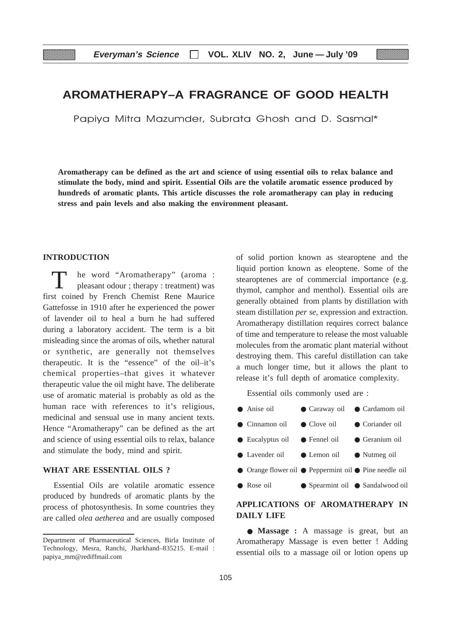# **AROMATHERAPY–A FRAGRANCE OF GOOD HEALTH**

Papiya Mitra Mazumder, Subrata Ghosh and D. Sasmal\*

**Aromatherapy can be defined as the art and science of using essential oils to relax balance and stimulate the body, mind and spirit. Essential Oils are the volatile aromatic essence produced by hundreds of aromatic plants. This article discusses the role aromatherapy can play in reducing stress and pain levels and also making the environment pleasant.**

# **INTRODUCTION**

he word "Aromatherapy" (aroma : pleasant odour ; therapy : treatment) was first coined by French Chemist Rene Maurice Gattefosse in 1910 after he experienced the power of lavender oil to heal a burn he had suffered during a laboratory accident. The term is a bit misleading since the aromas of oils, whether natural or synthetic, are generally not themselves therapeutic. It is the "essence" of the oil–it's chemical properties–that gives it whatever therapeutic value the oil might have. The deliberate use of aromatic material is probably as old as the human race with references to it's religious, medicinal and sensual use in many ancient texts. Hence "Aromatherapy" can be defined as the art and science of using essential oils to relax, balance and stimulate the body, mind and spirit.

# **WHAT ARE ESSENTIAL OILS ?**

Essential Oils are volatile aromatic essence produced by hundreds of aromatic plants by the process of photosynthesis. In some countries they are called *olea aetherea* and are usually composed of solid portion known as stearoptene and the liquid portion known as eleoptene. Some of the stearoptenes are of commercial importance (e.g. thymol, camphor and menthol). Essential oils are generally obtained from plants by distillation with steam distillation *per se*, expression and extraction. Aromatherapy distillation requires correct balance of time and temperature to release the most valuable molecules from the aromatic plant material without destroying them. This careful distillation can take a much longer time, but it allows the plant to release it's full depth of aromatice complexity.

Essential oils commonly used are :

| $\bullet$ Anise oil                                    | • Caraway oil • Cardamom oil     |                 |
|--------------------------------------------------------|----------------------------------|-----------------|
| $\bullet$ Cinnamon oil                                 | $\bullet$ Clove oil              | • Coriander oil |
| $\bullet$ Eucalyptus oil                               | • Fennel oil                     | • Geranium oil  |
| • Lavender oil                                         | $\bullet$ Lemon oil              | • Nutmeg oil    |
| • Orange flower oil • Peppermint oil • Pine needle oil |                                  |                 |
| • Rose oil                                             | ● Spearmint oil ● Sandalwood oil |                 |
|                                                        |                                  |                 |

# **APPLICATIONS OF AROMATHERAPY IN DAILY LIFE**

● **Massage :** A massage is great, but an Aromatherapy Massage is even better ! Adding essential oils to a massage oil or lotion opens up

Department of Pharmaceutical Sciences, Birla Institute of Technology, Mesra, Ranchi, Jharkhand–835215. E-mail : papiya\_mm@rediffmail.com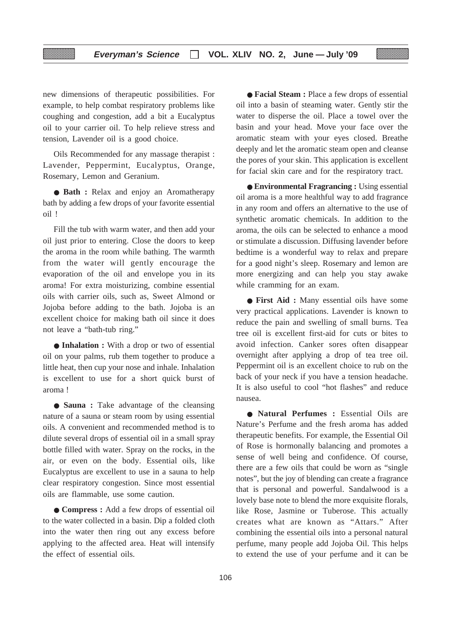new dimensions of therapeutic possibilities. For example, to help combat respiratory problems like coughing and congestion, add a bit a Eucalyptus oil to your carrier oil. To help relieve stress and tension, Lavender oil is a good choice.

Oils Recommended for any massage therapist : Lavender, Peppermint, Eucalyptus, Orange, Rosemary, Lemon and Geranium.

● **Bath :** Relax and enjoy an Aromatherapy bath by adding a few drops of your favorite essential oil !

Fill the tub with warm water, and then add your oil just prior to entering. Close the doors to keep the aroma in the room while bathing. The warmth from the water will gently encourage the evaporation of the oil and envelope you in its aroma! For extra moisturizing, combine essential oils with carrier oils, such as, Sweet Almond or Jojoba before adding to the bath. Jojoba is an excellent choice for making bath oil since it does not leave a "bath-tub ring."

● **Inhalation :** With a drop or two of essential oil on your palms, rub them together to produce a little heat, then cup your nose and inhale. Inhalation is excellent to use for a short quick burst of aroma !

● **Sauna :** Take advantage of the cleansing nature of a sauna or steam room by using essential oils. A convenient and recommended method is to dilute several drops of essential oil in a small spray bottle filled with water. Spray on the rocks, in the air, or even on the body. Essential oils, like Eucalyptus are excellent to use in a sauna to help clear respiratory congestion. Since most essential oils are flammable, use some caution.

● **Compress :** Add a few drops of essential oil to the water collected in a basin. Dip a folded cloth into the water then ring out any excess before applying to the affected area. Heat will intensify the effect of essential oils.

● **Facial Steam :** Place a few drops of essential oil into a basin of steaming water. Gently stir the water to disperse the oil. Place a towel over the basin and your head. Move your face over the aromatic steam with your eyes closed. Breathe deeply and let the aromatic steam open and cleanse the pores of your skin. This application is excellent for facial skin care and for the respiratory tract.

● **Environmental Fragrancing :** Using essential oil aroma is a more healthful way to add fragrance in any room and offers an alternative to the use of synthetic aromatic chemicals. In addition to the aroma, the oils can be selected to enhance a mood or stimulate a discussion. Diffusing lavender before bedtime is a wonderful way to relax and prepare for a good night's sleep. Rosemary and lemon are more energizing and can help you stay awake while cramming for an exam.

● **First Aid :** Many essential oils have some very practical applications. Lavender is known to reduce the pain and swelling of small burns. Tea tree oil is excellent first-aid for cuts or bites to avoid infection. Canker sores often disappear overnight after applying a drop of tea tree oil. Peppermint oil is an excellent choice to rub on the back of your neck if you have a tension headache. It is also useful to cool "hot flashes" and reduce nausea.

● **Natural Perfumes :** Essential Oils are Nature's Perfume and the fresh aroma has added therapeutic benefits. For example, the Essential Oil of Rose is hormonally balancing and promotes a sense of well being and confidence. Of course, there are a few oils that could be worn as "single notes", but the joy of blending can create a fragrance that is personal and powerful. Sandalwood is a lovely base note to blend the more exquisite florals, like Rose, Jasmine or Tuberose. This actually creates what are known as "Attars." After combining the essential oils into a personal natural perfume, many people add Jojoba Oil. This helps to extend the use of your perfume and it can be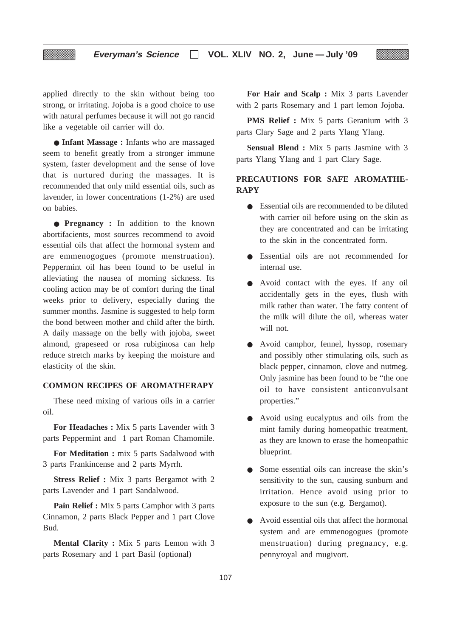applied directly to the skin without being too strong, or irritating. Jojoba is a good choice to use with natural perfumes because it will not go rancid like a vegetable oil carrier will do.

▒

● **Infant Massage :** Infants who are massaged seem to benefit greatly from a stronger immune system, faster development and the sense of love that is nurtured during the massages. It is recommended that only mild essential oils, such as lavender, in lower concentrations (1-2%) are used on babies.

● **Pregnancy :** In addition to the known abortifacients, most sources recommend to avoid essential oils that affect the hormonal system and are emmenogogues (promote menstruation). Peppermint oil has been found to be useful in alleviating the nausea of morning sickness. Its cooling action may be of comfort during the final weeks prior to delivery, especially during the summer months. Jasmine is suggested to help form the bond between mother and child after the birth. A daily massage on the belly with jojoba, sweet almond, grapeseed or rosa rubiginosa can help reduce stretch marks by keeping the moisture and elasticity of the skin.

# **COMMON RECIPES OF AROMATHERAPY**

These need mixing of various oils in a carrier oil.

**For Headaches :** Mix 5 parts Lavender with 3 parts Peppermint and 1 part Roman Chamomile.

**For Meditation :** mix 5 parts Sadalwood with 3 parts Frankincense and 2 parts Myrrh.

**Stress Relief :** Mix 3 parts Bergamot with 2 parts Lavender and 1 part Sandalwood.

**Pain Relief :** Mix 5 parts Camphor with 3 parts Cinnamon, 2 parts Black Pepper and 1 part Clove Bud.

**Mental Clarity :** Mix 5 parts Lemon with 3 parts Rosemary and 1 part Basil (optional)

**For Hair and Scalp :** Mix 3 parts Lavender with 2 parts Rosemary and 1 part lemon Jojoba.

**PMS Relief :** Mix 5 parts Geranium with 3 parts Clary Sage and 2 parts Ylang Ylang.

**Sensual Blend :** Mix 5 parts Jasmine with 3 parts Ylang Ylang and 1 part Clary Sage.

# **PRECAUTIONS FOR SAFE AROMATHE-RAPY**

- Essential oils are recommended to be diluted with carrier oil before using on the skin as they are concentrated and can be irritating to the skin in the concentrated form.
- Essential oils are not recommended for internal use.
- Avoid contact with the eyes. If any oil accidentally gets in the eyes, flush with milk rather than water. The fatty content of the milk will dilute the oil, whereas water will not.
- Avoid camphor, fennel, hyssop, rosemary and possibly other stimulating oils, such as black pepper, cinnamon, clove and nutmeg. Only jasmine has been found to be "the one oil to have consistent anticonvulsant properties."
- Avoid using eucalyptus and oils from the mint family during homeopathic treatment, as they are known to erase the homeopathic blueprint.
- Some essential oils can increase the skin's sensitivity to the sun, causing sunburn and irritation. Hence avoid using prior to exposure to the sun (e.g. Bergamot).
- Avoid essential oils that affect the hormonal system and are emmenogogues (promote menstruation) during pregnancy, e.g. pennyroyal and mugivort.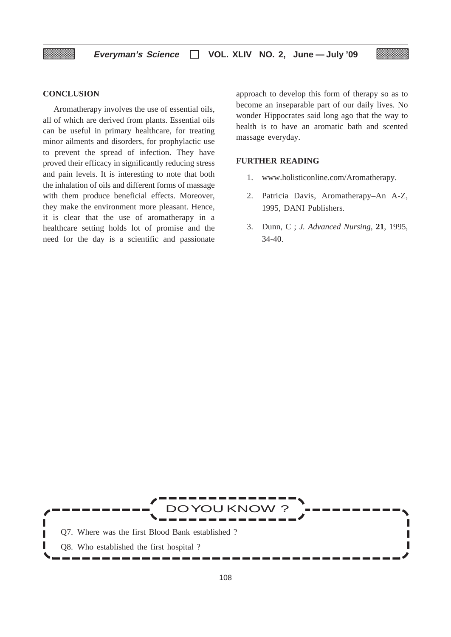# **CONCLUSION**

Aromatherapy involves the use of essential oils, all of which are derived from plants. Essential oils can be useful in primary healthcare, for treating minor ailments and disorders, for prophylactic use to prevent the spread of infection. They have proved their efficacy in significantly reducing stress and pain levels. It is interesting to note that both the inhalation of oils and different forms of massage with them produce beneficial effects. Moreover, they make the environment more pleasant. Hence, it is clear that the use of aromatherapy in a healthcare setting holds lot of promise and the need for the day is a scientific and passionate

approach to develop this form of therapy so as to become an inseparable part of our daily lives. No wonder Hippocrates said long ago that the way to health is to have an aromatic bath and scented massage everyday.

# **FURTHER READING**

- 1. www.holisticonline.com/Aromatherapy.
- 2. Patricia Davis, Aromatherapy–An A-Z, 1995, DANI Publishers.
- 3. Dunn, C ; *J. Advanced Nursing*, **21**, 1995, 34-40.

J KNOV Q7. Where was the first Blood Bank established ? Г Γ Γ Q8. Who established the first hospital ?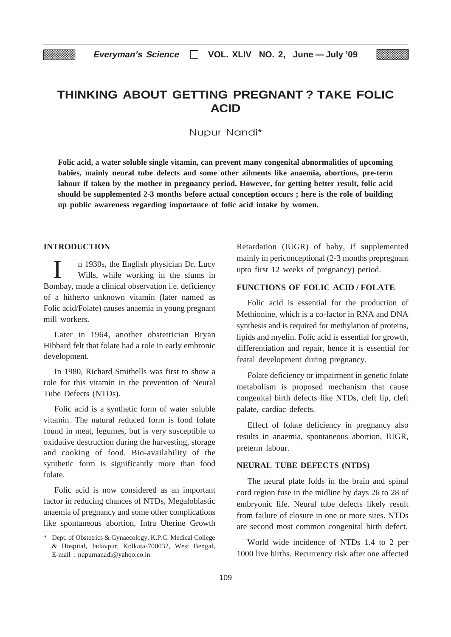# **THINKING ABOUT GETTING PREGNANT ? TAKE FOLIC ACID**

Nupur Nandi\*

**Folic acid, a water soluble single vitamin, can prevent many congenital abnormalities of upcoming babies, mainly neural tube defects and some other ailments like anaemia, abortions, pre-term labour if taken by the mother in pregnancy period. However, for getting better result, folic acid should be supplemented 2-3 months before actual conception occurs ; here is the role of building up public awareness regarding importance of folic acid intake by women.**

# **INTRODUCTION**

n 1930s, the English physician Dr. Lucy Wills, while working in the slums in Bombay, made a clinical observation i.e. deficiency of a hitherto unknown vitamin (later named as Folic acid/Folate) causes anaemia in young pregnant mill workers.

Later in 1964, another obstetrician Bryan Hibbard felt that folate had a role in early embronic development.

In 1980, Richard Smithells was first to show a role for this vitamin in the prevention of Neural Tube Defects (NTDs).

Folic acid is a synthetic form of water soluble vitamin. The natural reduced form is food folate found in meat, legumes, but is very susceptible to oxidative destruction during the harvesting, storage and cooking of food. Bio-availability of the synthetic form is significantly more than food folate.

Folic acid is now considered as an important factor in reducing chances of NTDs, Megaloblastic anaemia of pregnancy and some other complications like spontaneous abortion, Intra Uterine Growth Retardation (IUGR) of baby, if supplemented mainly in periconceptional (2-3 months prepregnant upto first 12 weeks of pregnancy) period.

# **FUNCTIONS OF FOLIC ACID / FOLATE**

Folic acid is essential for the production of Methionine, which is a co-factor in RNA and DNA synthesis and is required for methylation of proteins, lipids and myelin. Folic acid is essential for growth, differentiation and repair, hence it is essential for featal development during pregnancy.

Folate deficiency or impairment in genetic folate metabolism is proposed mechanism that cause congenital birth defects like NTDs, cleft lip, cleft palate, cardiac defects.

Effect of folate deficiency in pregnancy also results in anaemia, spontaneous abortion, IUGR, preterm labour.

# **NEURAL TUBE DEFECTS (NTDS)**

The neural plate folds in the brain and spinal cord region fuse in the midline by days 26 to 28 of embryonic life. Neural tube defects likely result from failure of closure in one or more sites. NTDs are second most common congenital birth defect.

World wide incidence of NTDs 1.4 to 2 per 1000 live births. Recurrency risk after one affected

<sup>\*</sup> Dept. of Obstetrics & Gynaecology, K.P.C. Medical College & Hospital, Jadavpur, Kolkata-700032, West Bengal, E-mail : nupurnanadi@yahoo.co.in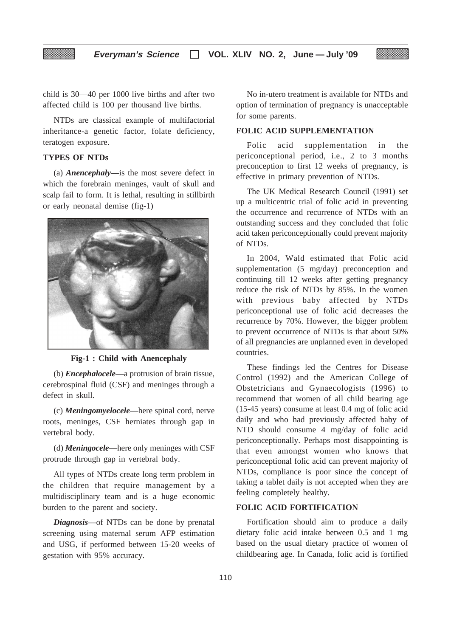child is 30—40 per 1000 live births and after two affected child is 100 per thousand live births.

NTDs are classical example of multifactorial inheritance-a genetic factor, folate deficiency, teratogen exposure.

# **TYPES OF NTDs**

(a) *Anencephaly*—is the most severe defect in which the forebrain meninges, vault of skull and scalp fail to form. It is lethal, resulting in stillbirth or early neonatal demise (fig-1)



**Fig-1 : Child with Anencephaly**

(b) *Encephalocele*—a protrusion of brain tissue, cerebrospinal fluid (CSF) and meninges through a defect in skull.

(c) *Meningomyelocele*—here spinal cord, nerve roots, meninges, CSF herniates through gap in vertebral body.

(d) *Meningocele*—here only meninges with CSF protrude through gap in vertebral body.

All types of NTDs create long term problem in the children that require management by a multidisciplinary team and is a huge economic burden to the parent and society.

*Diagnosis***—**of NTDs can be done by prenatal screening using maternal serum AFP estimation and USG, if performed between 15-20 weeks of gestation with 95% accuracy.

No in-utero treatment is available for NTDs and option of termination of pregnancy is unacceptable for some parents.

# **FOLIC ACID SUPPLEMENTATION**

Folic acid supplementation in the periconceptional period, i.e., 2 to 3 months preconception to first 12 weeks of pregnancy, is effective in primary prevention of NTDs.

The UK Medical Research Council (1991) set up a multicentric trial of folic acid in preventing the occurrence and recurrence of NTDs with an outstanding success and they concluded that folic acid taken periconceptionally could prevent majority of NTDs.

In 2004, Wald estimated that Folic acid supplementation (5 mg/day) preconception and continuing till 12 weeks after getting pregnancy reduce the risk of NTDs by 85%. In the women with previous baby affected by NTDs periconceptional use of folic acid decreases the recurrence by 70%. However, the bigger problem to prevent occurrence of NTDs is that about 50% of all pregnancies are unplanned even in developed countries.

These findings led the Centres for Disease Control (1992) and the American College of Obstetricians and Gynaecologists (1996) to recommend that women of all child bearing age (15-45 years) consume at least 0.4 mg of folic acid daily and who had previously affected baby of NTD should consume 4 mg/day of folic acid periconceptionally. Perhaps most disappointing is that even amongst women who knows that periconceptional folic acid can prevent majority of NTDs, compliance is poor since the concept of taking a tablet daily is not accepted when they are feeling completely healthy.

# **FOLIC ACID FORTIFICATION**

Fortification should aim to produce a daily dietary folic acid intake between 0.5 and 1 mg based on the usual dietary practice of women of childbearing age. In Canada, folic acid is fortified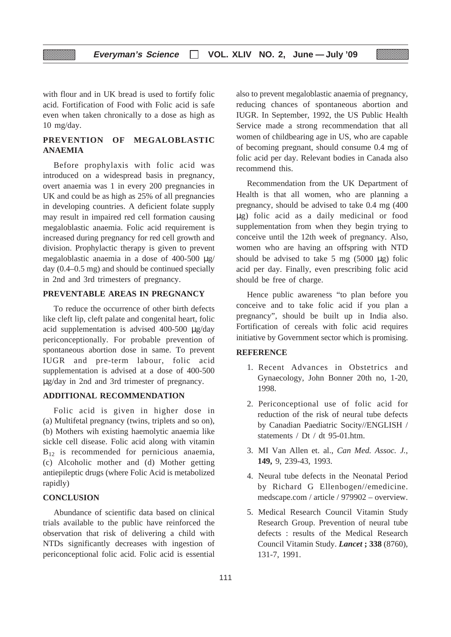with flour and in UK bread is used to fortify folic acid. Fortification of Food with Folic acid is safe even when taken chronically to a dose as high as 10 mg/day.

▒

# **PREVENTION OF MEGALOBLASTIC ANAEMIA**

Before prophylaxis with folic acid was introduced on a widespread basis in pregnancy, overt anaemia was 1 in every 200 pregnancies in UK and could be as high as 25% of all pregnancies in developing countries. A deficient folate supply may result in impaired red cell formation causing megaloblastic anaemia. Folic acid requirement is increased during pregnancy for red cell growth and division. Prophylactic therapy is given to prevent megaloblastic anaemia in a dose of 400-500 µg/ day (0.4–0.5 mg) and should be continued specially in 2nd and 3rd trimesters of pregnancy.

# **PREVENTABLE AREAS IN PREGNANCY**

To reduce the occurrence of other birth defects like cleft lip, cleft palate and congenital heart, folic acid supplementation is advised 400-500 µg/day periconceptionally. For probable prevention of spontaneous abortion dose in same. To prevent IUGR and pre-term labour, folic acid supplementation is advised at a dose of 400-500 µg/day in 2nd and 3rd trimester of pregnancy.

# **ADDITIONAL RECOMMENDATION**

Folic acid is given in higher dose in (a) Multifetal pregnancy (twins, triplets and so on), (b) Mothers wih existing haemolytic anaemia like sickle cell disease. Folic acid along with vitamin  $B_{12}$  is recommended for pernicious anaemia, (c) Alcoholic mother and (d) Mother getting antiepileptic drugs (where Folic Acid is metabolized rapidly)

# **CONCLUSION**

Abundance of scientific data based on clinical trials available to the public have reinforced the observation that risk of delivering a child with NTDs significantly decreases with ingestion of periconceptional folic acid. Folic acid is essential

also to prevent megaloblastic anaemia of pregnancy, reducing chances of spontaneous abortion and IUGR. In September, 1992, the US Public Health Service made a strong recommendation that all women of childbearing age in US, who are capable of becoming pregnant, should consume 0.4 mg of folic acid per day. Relevant bodies in Canada also recommend this.

Recommendation from the UK Department of Health is that all women, who are planning a pregnancy, should be advised to take 0.4 mg (400 µg) folic acid as a daily medicinal or food supplementation from when they begin trying to conceive until the 12th week of pregnancy. Also, women who are having an offspring with NTD should be advised to take  $5 \text{ mg } (5000 \text{ µg})$  folic acid per day. Finally, even prescribing folic acid should be free of charge.

Hence public awareness "to plan before you conceive and to take folic acid if you plan a pregnancy", should be built up in India also. Fortification of cereals with folic acid requires initiative by Government sector which is promising.

# **REFERENCE**

- 1. Recent Advances in Obstetrics and Gynaecology, John Bonner 20th no, 1-20, 1998.
- 2. Periconceptional use of folic acid for reduction of the risk of neural tube defects by Canadian Paediatric Socity//ENGLISH / statements / Dt / dt 95-01.htm.
- 3. MI Van Allen et. al., *Can Med. Assoc. J.*, **149,** 9, 239-43, 1993.
- 4. Neural tube defects in the Neonatal Period by Richard G Ellenbogen//emedicine. medscape.com / article / 979902 – overview.
- 5. Medical Research Council Vitamin Study Research Group. Prevention of neural tube defects : results of the Medical Research Council Vitamin Study. *Lancet* **; 338** (8760), 131-7, 1991.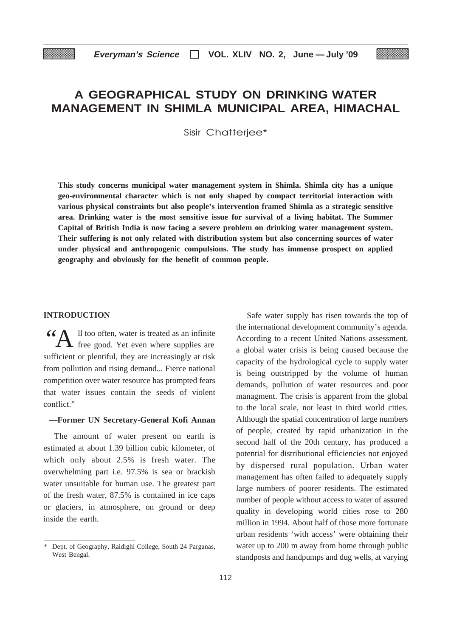# **A GEOGRAPHICAL STUDY ON DRINKING WATER MANAGEMENT IN SHIMLA MUNICIPAL AREA, HIMACHAL**

Sisir Chatterjee\*

**This study concerns municipal water management system in Shimla. Shimla city has a unique geo-environmental character which is not only shaped by compact territorial interaction with various physical constraints but also people's intervention framed Shimla as a strategic sensitive area. Drinking water is the most sensitive issue for survival of a living habitat. The Summer Capital of British India is now facing a severe problem on drinking water management system. Their suffering is not only related with distribution system but also concerning sources of water under physical and anthropogenic compulsions. The study has immense prospect on applied geography and obviously for the benefit of common people.**

# **INTRODUCTION**

 $\bigwedge$  Il too often, water is treated as an infinite free good. Yet even where supplies are sufficient or plentiful, they are increasingly at risk from pollution and rising demand... Fierce national competition over water resource has prompted fears that water issues contain the seeds of violent conflict."

# **—Former UN Secretary-General Kofi Annan**

The amount of water present on earth is estimated at about 1.39 billion cubic kilometer, of which only about 2.5% is fresh water. The overwhelming part i.e. 97.5% is sea or brackish water unsuitable for human use. The greatest part of the fresh water, 87.5% is contained in ice caps or glaciers, in atmosphere, on ground or deep inside the earth.

Safe water supply has risen towards the top of the international development community's agenda. According to a recent United Nations assessment, a global water crisis is being caused because the capacity of the hydrological cycle to supply water is being outstripped by the volume of human demands, pollution of water resources and poor managment. The crisis is apparent from the global to the local scale, not least in third world cities. Although the spatial concentration of large numbers of people, created by rapid urbanization in the second half of the 20th century, has produced a potential for distributional efficiencies not enjoyed by dispersed rural population. Urban water management has often failed to adequately supply large numbers of poorer residents. The estimated number of people without access to water of assured quality in developing world cities rose to 280 million in 1994. About half of those more fortunate urban residents 'with access' were obtaining their water up to 200 m away from home through public standposts and handpumps and dug wells, at varying

Dept. of Geography, Raidighi College, South 24 Parganas, West Bengal.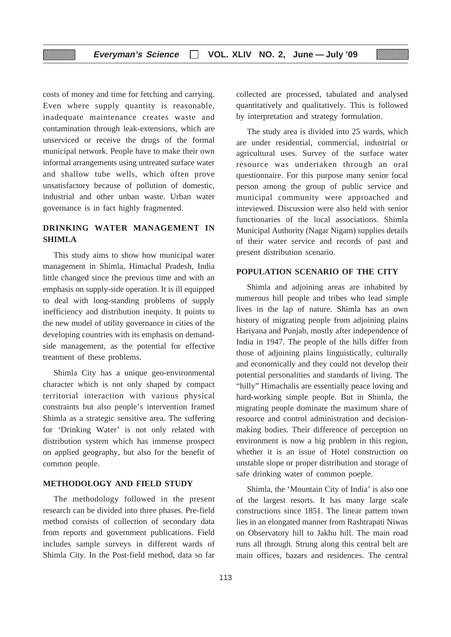costs of money and time for fetching and carrying. Even where supply quantity is reasonable, inadequate maintenance creates waste and contamination through leak-extensions, which are unserviced or receive the drugs of the formal municipal network. People have to make their own informal arrangements using untreated surface water and shallow tube wells, which often prove unsatisfactory because of pollution of domestic, industrial and other unban waste. Urban water governance is in fact highly fragmented.

# **DRINKING WATER MANAGEMENT IN SHIMLA**

This study aims to show how municipal water management in Shimla, Himachal Pradesh, India little changed since the previous time and with an emphasis on supply-side operation. It is ill equipped to deal with long-standing problems of supply inefficiency and distribution inequity. It points to the new model of utility governance in cities of the developing countries with its emphasis on demandside management, as the potential for effective treatment of these problems.

Shimla City has a unique geo-environmental character which is not only shaped by compact territorial interaction with various physical constraints but also people's intervention framed Shimla as a strategic sensitive area. The suffering for 'Drinking Water' is not only related with distribution system which has immense prospect on applied geography, but also for the benefit of common people.

# **METHODOLOGY AND FIELD STUDY**

The methodology followed in the present research can be divided into three phases. Pre-field method consists of collection of secondary data from reports and government publications. Field includes sample surveys in different wards of Shimla City. In the Post-field method, data so far

collected are processed, tabulated and analysed quantitatively and qualitatively. This is followed by interpretation and strategy formulation.

The study area is divided into 25 wards, which are under residential, commercial, industrial or agricultural uses. Survey of the surface water resource was undertaken through an oral questionnaire. For this purpose many senior local person among the group of public service and municipal community were approached and inteviewed. Discussion were also held with senior functionaries of the local associations. Shimla Municipal Authority (Nagar Nigam) supplies details of their water service and records of past and present distribution scenario.

#### **POPULATION SCENARIO OF THE CITY**

Shimla and adjoining areas are inhabited by numerous hill people and tribes who lead simple lives in the lap of nature. Shimla has an own history of migrating people from adjoining plains Hariyana and Punjab, mostly after independence of India in 1947. The people of the hills differ from those of adjoining plains linguistically, culturally and economically and they could not develop their potential personalities and standards of living. The "hilly" Himachalis are essentially peace loving and hard-working simple people. But in Shimla, the migrating people dominate the maximum share of resource and control administration and decisionmaking bodies. Their difference of perception on environment is now a big problem in this region, whether it is an issue of Hotel construction on unstable slope or proper distribution and storage of safe drinking water of common poeple.

Shimla, the 'Mountain City of India' is also one of the largest resorts. It has many large scale constructions since 1851. The linear pattern town lies in an elongated manner from Rashtrapati Niwas on Observatory hill to Jakhu hill. The main road runs all through. Strung along this central belt are main offices, bazars and residences. The central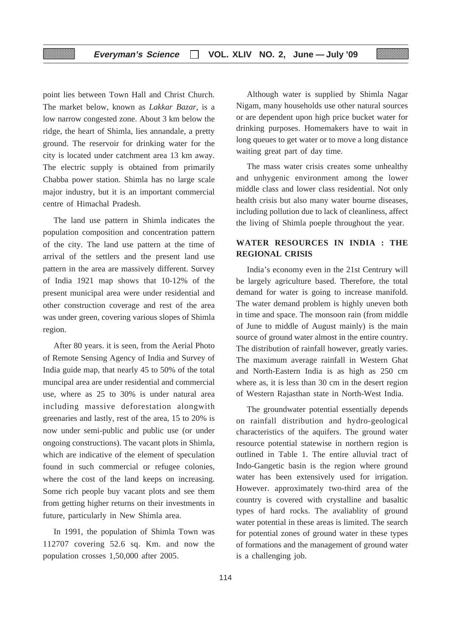point lies between Town Hall and Christ Church. The market below, known as *Lakkar Bazar*, is a low narrow congested zone. About 3 km below the ridge, the heart of Shimla, lies annandale, a pretty ground. The reservoir for drinking water for the city is located under catchment area 13 km away. The electric supply is obtained from primarily Chabba power station. Shimla has no large scale major industry, but it is an important commercial centre of Himachal Pradesh.

The land use pattern in Shimla indicates the population composition and concentration pattern of the city. The land use pattern at the time of arrival of the settlers and the present land use pattern in the area are massively different. Survey of India 1921 map shows that 10-12% of the present municipal area were under residential and other construction coverage and rest of the area was under green, covering various slopes of Shimla region.

After 80 years. it is seen, from the Aerial Photo of Remote Sensing Agency of India and Survey of India guide map, that nearly 45 to 50% of the total muncipal area are under residential and commercial use, where as 25 to 30% is under natural area including massive deforestation alongwith greenaries and lastly, rest of the area, 15 to 20% is now under semi-public and public use (or under ongoing constructions). The vacant plots in Shimla, which are indicative of the element of speculation found in such commercial or refugee colonies, where the cost of the land keeps on increasing. Some rich people buy vacant plots and see them from getting higher returns on their investments in future, particularly in New Shimla area.

In 1991, the population of Shimla Town was 112707 covering 52.6 sq. Km. and now the population crosses 1,50,000 after 2005.

Although water is supplied by Shimla Nagar Nigam, many households use other natural sources or are dependent upon high price bucket water for drinking purposes. Homemakers have to wait in long queues to get water or to move a long distance waiting great part of day time.

The mass water crisis creates some unhealthy and unhygenic environment among the lower middle class and lower class residential. Not only health crisis but also many water bourne diseases, including pollution due to lack of cleanliness, affect the living of Shimla poeple throughout the year.

# **WATER RESOURCES IN INDIA : THE REGIONAL CRISIS**

India's economy even in the 21st Centrury will be largely agriculture based. Therefore, the total demand for water is going to increase manifold. The water demand problem is highly uneven both in time and space. The monsoon rain (from middle of June to middle of August mainly) is the main source of ground water almost in the entire country. The distribution of rainfall however, greatly varies. The maximum average rainfall in Western Ghat and North-Eastern India is as high as 250 cm where as, it is less than 30 cm in the desert region of Western Rajasthan state in North-West India.

The groundwater potential essentially depends on rainfall distribution and hydro-geological characteristics of the aquifers. The ground water resource potential statewise in northern region is outlined in Table 1. The entire alluvial tract of Indo-Gangetic basin is the region where ground water has been extensively used for irrigation. However. approximately two-third area of the country is covered with crystalline and basaltic types of hard rocks. The avaliablity of ground water potential in these areas is limited. The search for potential zones of ground water in these types of formations and the management of ground water is a challenging job.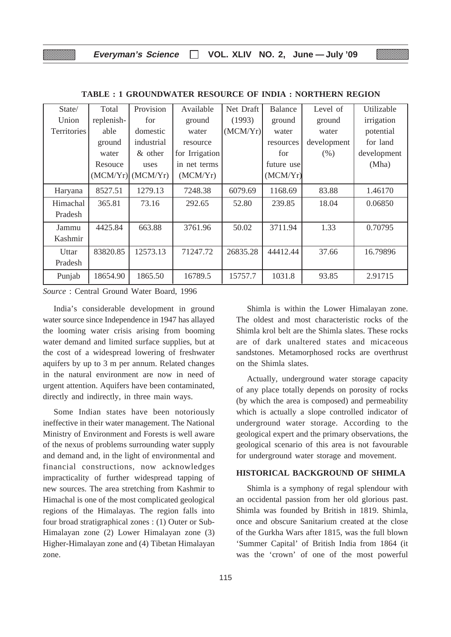| State/             | Total      | Provision             | Available      | Net Draft | <b>Balance</b> | Level of    | Utilizable  |
|--------------------|------------|-----------------------|----------------|-----------|----------------|-------------|-------------|
| Union              | replenish- | for                   | ground         | (1993)    | ground         | ground      | irrigation  |
| <b>Territories</b> | able       | domestic              | water          | (MCM/Yr)  | water          | water       | potential   |
|                    | ground     | industrial            | resource       |           | resources      | development | for land    |
|                    | water      | $&$ other             | for Irrigation |           | for            | (% )        | development |
|                    | Resouce    | uses                  | in net terms   |           | future use     |             | (Mha)       |
|                    |            | $(MCM/Yr)$ $(MCM/Yr)$ | (MCM/Yr)       |           | (MCM/Yr)       |             |             |
| Haryana            | 8527.51    | 1279.13               | 7248.38        | 6079.69   | 1168.69        | 83.88       | 1.46170     |
| Himachal           | 365.81     | 73.16                 | 292.65         | 52.80     | 239.85         | 18.04       | 0.06850     |
| Pradesh            |            |                       |                |           |                |             |             |
| Jammu              | 4425.84    | 663.88                | 3761.96        | 50.02     | 3711.94        | 1.33        | 0.70795     |
| Kashmir            |            |                       |                |           |                |             |             |
| Uttar              | 83820.85   | 12573.13              | 71247.72       | 26835.28  | 44412.44       | 37.66       | 16.79896    |
| Pradesh            |            |                       |                |           |                |             |             |
| Punjab             | 18654.90   | 1865.50               | 16789.5        | 15757.7   | 1031.8         | 93.85       | 2.91715     |

**TABLE : 1 GROUNDWATER RESOURCE OF INDIA : NORTHERN REGION**

*Source* : Central Ground Water Board, 1996

India's considerable development in ground water source since Independence in 1947 has allayed the looming water crisis arising from booming water demand and limited surface supplies, but at the cost of a widespread lowering of freshwater aquifers by up to 3 m per annum. Related changes in the natural environment are now in need of urgent attention. Aquifers have been contaminated, directly and indirectly, in three main ways.

Some Indian states have been notoriously ineffective in their water management. The National Ministry of Environment and Forests is well aware of the nexus of problems surrounding water supply and demand and, in the light of environmental and financial constructions, now acknowledges impracticality of further widespread tapping of new sources. The area stretching from Kashmir to Himachal is one of the most complicated geological regions of the Himalayas. The region falls into four broad stratigraphical zones : (1) Outer or Sub-Himalayan zone (2) Lower Himalayan zone (3) Higher-Himalayan zone and (4) Tibetan Himalayan zone.

Shimla is within the Lower Himalayan zone. The oldest and most characteristic rocks of the Shimla krol belt are the Shimla slates. These rocks are of dark unaltered states and micaceous sandstones. Metamorphosed rocks are overthrust on the Shimla slates.

Actually, underground water storage capacity of any place totally depends on porosity of rocks (by which the area is composed) and permeability which is actually a slope controlled indicator of underground water storage. According to the geological expert and the primary observations, the geological scenario of this area is not favourable for underground water storage and movement.

# **HISTORICAL BACKGROUND OF SHIMLA**

Shimla is a symphony of regal splendour with an occidental passion from her old glorious past. Shimla was founded by British in 1819. Shimla, once and obscure Sanitarium created at the close of the Gurkha Wars after 1815, was the full blown 'Summer Capital' of British India from 1864 (it was the 'crown' of one of the most powerful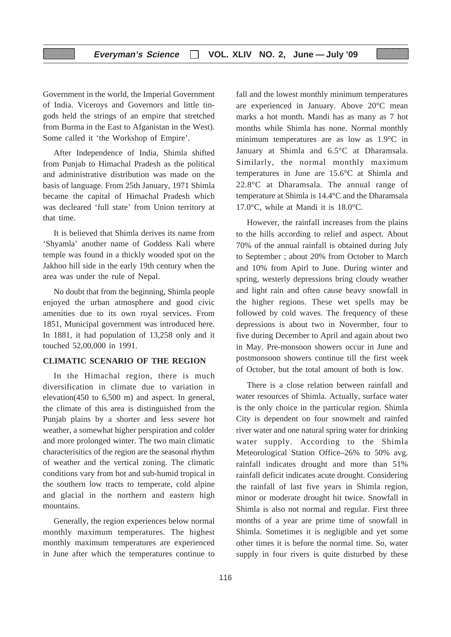Government in the world, the Imperial Government of India. Viceroys and Governors and little tingods held the strings of an empire that stretched from Burma in the East to Afganistan in the West). Some called it 'the Workshop of Empire'.

After Independence of India, Shimla shifted from Punjab to Himachal Pradesh as the political and administrative distribution was made on the basis of language. From 25th January, 1971 Shimla became the capital of Himachal Pradesh which was decleared 'full state' from Union territory at that time.

It is believed that Shimla derives its name from 'Shyamla' another name of Goddess Kali where temple was found in a thickly wooded spot on the Jakhoo hill side in the early 19th century when the area was under the rule of Nepal.

No doubt that from the beginning, Shimla people enjoyed the urban atmosphere and good civic amenities due to its own royal services. From 1851, Municipal government was introduced here. In 1881, it had population of 13,258 only and it touched 52,00,000 in 1991.

# **CLIMATIC SCENARIO OF THE REGION**

In the Himachal region, there is much diversification in climate due to variation in elevation(450 to 6,500 m) and aspect. In general, the climate of this area is distinguished from the Punjab plains by a shorter and less severe hot weather, a somewhat higher perspiration and colder and more prolonged winter. The two main climatic characterisitics of the region are the seasonal rhythm of weather and the vertical zoning. The climatic conditions vary from hot and sub-humid tropical in the southern low tracts to temperate, cold alpine and glacial in the northern and eastern high mountains.

Generally, the region experiences below normal monthly maximum temperatures. The highest monthly maximum temperatures are experienced in June after which the temperatures continue to fall and the lowest monthly minimum temperatures are experienced in January. Above 20°C mean marks a hot month. Mandi has as many as 7 hot months while Shimla has none. Normal monthly minimum temperatures are as low as 1.9°C in January at Shimla and 6.5°C at Dharamsala. Similarly, the normal monthly maximum temperatures in June are 15.6°C at Shimla and 22.8°C at Dharamsala. The annual range of temperature at Shimla is 14.4°C and the Dharamsala 17.0°C, while at Mandi it is 18.0°C.

However, the rainfall increases from the plains to the hills according to relief and aspect. About 70% of the annual rainfall is obtained during July to September ; about 20% from October to March and 10% from Apirl to June. During winter and spring, westerly depressions bring cloudy weather and light rain and often cause heavy snowfall in the higher regions. These wet spells may be followed by cold waves. The frequency of these depressions is about two in Novermber, four to five during December to April and again about two in May. Pre-monsoon showers occur in June and postmonsoon showers continue till the first week of October, but the total amount of both is low.

There is a close relation between rainfall and water resources of Shimla. Actually, surface water is the only choice in the particular region. Shimla City is dependent on four snowmelt and rainfed river water and one natural spring water for drinking water supply. According to the Shimla Meteorological Station Office–26% to 50% avg. rainfall indicates drought and more than 51% rainfall deficit indicates acute drought. Considering the rainfall of last five years in Shimla region, minor or moderate drought hit twice. Snowfall in Shimla is also not normal and regular. First three months of a year are prime time of snowfall in Shimla. Sometimes it is negligible and yet some other times it is before the normal time. So, water supply in four rivers is quite disturbed by these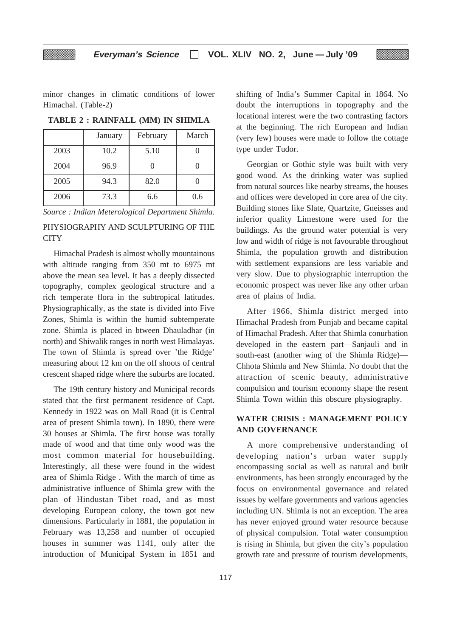minor changes in climatic conditions of lower Himachal. (Table-2)

|      | January | February | March |
|------|---------|----------|-------|
| 2003 | 10.2    | 5.10     |       |
| 2004 | 96.9    |          |       |
| 2005 | 94.3    | 82.0     |       |
| 2006 | 73.3    | 6.6      | 0.6   |

**TABLE 2 : RAINFALL (MM) IN SHIMLA**

*Source : Indian Meterological Department Shimla.*

# PHYSIOGRAPHY AND SCULPTURING OF THE **CITY**

Himachal Pradesh is almost wholly mountainous with altitude ranging from 350 mt to 6975 mt above the mean sea level. It has a deeply dissected topography, complex geological structure and a rich temperate flora in the subtropical latitudes. Physiographically, as the state is divided into Five Zones, Shimla is within the humid subtemperate zone. Shimla is placed in btween Dhauladhar (in north) and Shiwalik ranges in north west Himalayas. The town of Shimla is spread over 'the Ridge' measuring about 12 km on the off shoots of central crescent shaped ridge where the suburbs are located.

The 19th century history and Municipal records stated that the first permanent residence of Capt. Kennedy in 1922 was on Mall Road (it is Central area of present Shimla town). In 1890, there were 30 houses at Shimla. The first house was totally made of wood and that time only wood was the most common material for housebuilding. Interestingly, all these were found in the widest area of Shimla Ridge . With the march of time as administrative influence of Shimla grew with the plan of Hindustan–Tibet road, and as most developing European colony, the town got new dimensions. Particularly in 1881, the population in February was 13,258 and number of occupied houses in summer was 1141, only after the introduction of Municipal System in 1851 and shifting of India's Summer Capital in 1864. No doubt the interruptions in topography and the locational interest were the two contrasting factors at the beginning. The rich European and Indian (very few) houses were made to follow the cottage type under Tudor.

Georgian or Gothic style was built with very good wood. As the drinking water was suplied from natural sources like nearby streams, the houses and offices were developed in core area of the city. Building stones like Slate, Quartzite, Gneisses and inferior quality Limestone were used for the buildings. As the ground water potential is very low and width of ridge is not favourable throughout Shimla, the population growth and distribution with settlement expansions are less variable and very slow. Due to physiographic interruption the economic prospect was never like any other urban area of plains of India.

After 1966, Shimla district merged into Himachal Pradesh from Punjab and became capital of Himachal Pradesh. After that Shimla conurbation developed in the eastern part—Sanjauli and in south-east (another wing of the Shimla Ridge)— Chhota Shimla and New Shimla. No doubt that the attraction of scenic beauty, administrative compulsion and tourism economy shape the resent Shimla Town within this obscure physiography.

# **WATER CRISIS : MANAGEMENT POLICY AND GOVERNANCE**

A more comprehensive understanding of developing nation's urban water supply encompassing social as well as natural and built environments, has been strongly encouraged by the focus on environmental governance and related issues by welfare governments and various agencies including UN. Shimla is not an exception. The area has never enjoyed ground water resource because of physical compulsion. Total water consumption is rising in Shimla, but given the city's population growth rate and pressure of tourism developments,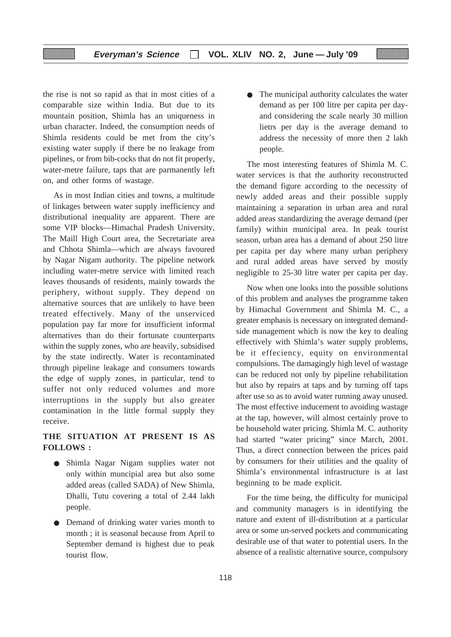the rise is not so rapid as that in most cities of a comparable size within India. But due to its mountain position, Shimla has an uniqueness in urban character. Indeed, the consumption needs of Shimla residents could be met from the city's existing water supply if there be no leakage from pipelines, or from bib-cocks that do not fit properly, water-metre failure, taps that are parmanently left on, and other forms of wastage.

As in most Indian cities and towns, a multitude of linkages between water supply inefficiency and distributional inequality are apparent. There are some VIP blocks—Himachal Pradesh University, The Maill High Court area, the Secretariate area and Chhota Shimla—which are always favoured by Nagar Nigam authority. The pipeline network including water-metre service with limited reach leaves thousands of residents, mainly towards the periphery, without supply. They depend on alternative sources that are unlikely to have been treated effectively. Many of the unserviced population pay far more for insufficient informal alternatives than do their fortunate counterparts within the supply zones, who are heavily, subsidised by the state indirectly. Water is recontaminated through pipeline leakage and consumers towards the edge of supply zones, in particular, tend to suffer not only reduced volumes and more interruptions in the supply but also greater contamination in the little formal supply they receive.

# **THE SITUATION AT PRESENT IS AS FOLLOWS :**

- Shimla Nagar Nigam supplies water not only within muncipial area but also some added areas (called SADA) of New Shimla, Dhalli, Tutu covering a total of 2.44 lakh people.
- Demand of drinking water varies month to month ; it is seasonal because from April to September demand is highest due to peak tourist flow.

The municipal authority calculates the water demand as per 100 litre per capita per dayand considering the scale nearly 30 million lietrs per day is the average demand to address the necessity of more then 2 lakh people.

The most interesting features of Shimla M. C. water services is that the authority reconstructed the demand figure according to the necessity of newly added areas and their possible supply maintaining a separation in urban area and rural added areas standardizing the average demand (per family) within municipal area. In peak tourist season, urban area has a demand of about 250 litre per capita per day where many urban periphery and rural added areas have served by mostly negligible to 25-30 litre water per capita per day.

Now when one looks into the possible solutions of this problem and analyses the programme taken by Himachal Government and Shimla M. C., a greater emphasis is necessary on integrated demandside management which is now the key to dealing effectively with Shimla's water supply problems, be it effeciency, equity on environmental compulsions. The damagingly high level of wastage can be reduced not only by pipeline rehabilitation but also by repairs at taps and by turning off taps after use so as to avoid water running away unused. The most effective inducement to avoiding wastage at the tap, however, will almost certainly prove to be household water pricing. Shimla M. C. authority had started "water pricing" since March, 2001. Thus, a direct connection between the prices paid by consumers for their utilities and the quality of Shimla's environmental infrastructure is at last beginning to be made explicit.

For the time being, the difficulty for municipal and community managers is in identifying the nature and extent of ill-distribution at a particular area or some un-served pockets and communicating desirable use of that water to potential users. In the absence of a realistic alternative source, compulsory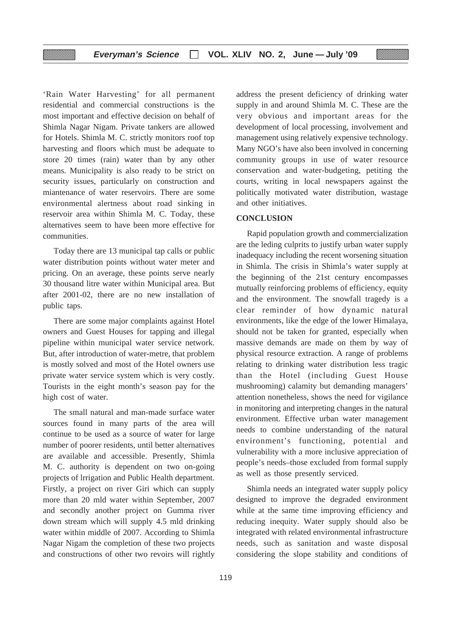'Rain Water Harvesting' for all permanent residential and commercial constructions is the most important and effective decision on behalf of Shimla Nagar Nigam. Private tankers are allowed for Hotels. Shimla M. C. strictly monitors roof top harvesting and floors which must be adequate to store 20 times (rain) water than by any other means. Municipality is also ready to be strict on security issues, particularly on construction and miantenance of water reservoirs. There are some environmental alertness about road sinking in reservoir area within Shimla M. C. Today, these alternatives seem to have been more effective for communities.

▒

Today there are 13 municipal tap calls or public water distribution points without water meter and pricing. On an average, these points serve nearly 30 thousand litre water within Municipal area. But after 2001-02, there are no new installation of public taps.

There are some major complaints against Hotel owners and Guest Houses for tapping and illegal pipeline within municipal water service network. But, after introduction of water-metre, that problem is mostly solved and most of the Hotel owners use private water service system which is very costly. Tourists in the eight month's season pay for the high cost of water.

The small natural and man-made surface water sources found in many parts of the area will continue to be used as a source of water for large number of poorer residents, until better alternatives are available and accessible. Presently, Shimla M. C. authority is dependent on two on-going projects of lrrigation and Public Health department. Firstly, a project on river Giri which can supply more than 20 mld water within September, 2007 and secondly another project on Gumma river down stream which will supply 4.5 mld drinking water within middle of 2007. According to Shimla Nagar Nigam the completion of these two projects and constructions of other two revoirs will rightly address the present deficiency of drinking water supply in and around Shimla M. C. These are the very obvious and important areas for the development of local processing, involvement and management using relatively expensive technology. Many NGO's have also been involved in concerning community groups in use of water resource conservation and water-budgeting, petiting the courts, writing in local newspapers against the politically motivated water distribution, wastage and other initiatives.

# **CONCLUSION**

Rapid population growth and commercialization are the leding culprits to justify urban water supply inadequacy including the recent worsening situation in Shimla. The crisis in Shimla's water supply at the beginning of the 21st century encompasses mutually reinforcing problems of efficiency, equity and the environment. The snowfall tragedy is a clear reminder of how dynamic natural environments, like the edge of the lower Himalaya, should not be taken for granted, especially when massive demands are made on them by way of physical resource extraction. A range of problems relating to drinking water distribution less tragic than the Hotel (including Guest House mushrooming) calamity but demanding managers' attention nonetheless, shows the need for vigilance in monitoring and interpreting changes in the natural environment. Effective urban water management needs to combine understanding of the natural environment's functioning, potential and vulnerability with a more inclusive appreciation of people's needs–those excluded from formal supply as well as those presently serviced.

Shimla needs an integrated water supply policy designed to improve the degraded environment while at the same time improving efficiency and reducing inequity. Water supply should also be integrated with related environmental infrastructure needs, such as sanitation and waste disposal considering the slope stability and conditions of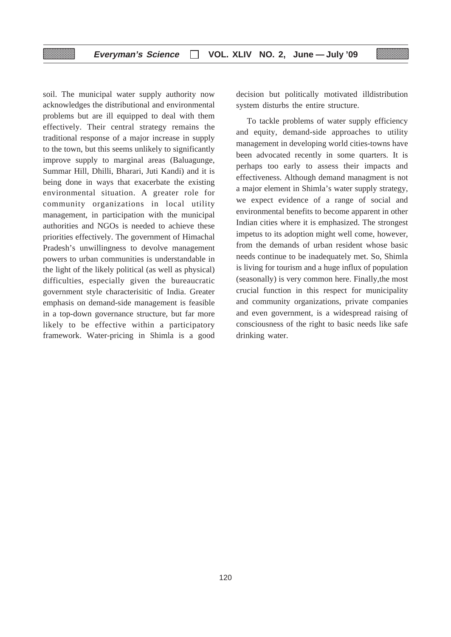soil. The municipal water supply authority now acknowledges the distributional and environmental problems but are ill equipped to deal with them effectively. Their central strategy remains the traditional response of a major increase in supply to the town, but this seems unlikely to significantly improve supply to marginal areas (Baluagunge, Summar Hill, Dhilli, Bharari, Juti Kandi) and it is being done in ways that exacerbate the existing environmental situation. A greater role for community organizations in local utility management, in participation with the municipal authorities and NGOs is needed to achieve these priorities effectively. The government of Himachal Pradesh's unwillingness to devolve management powers to urban communities is understandable in the light of the likely political (as well as physical) difficulties, especially given the bureaucratic government style characterisitic of India. Greater emphasis on demand-side management is feasible in a top-down governance structure, but far more likely to be effective within a participatory framework. Water-pricing in Shimla is a good decision but politically motivated illdistribution system disturbs the entire structure.

To tackle problems of water supply efficiency and equity, demand-side approaches to utility management in developing world cities-towns have been advocated recently in some quarters. It is perhaps too early to assess their impacts and effectiveness. Although demand managment is not a major element in Shimla's water supply strategy, we expect evidence of a range of social and environmental benefits to become apparent in other Indian cities where it is emphasized. The strongest impetus to its adoption might well come, however, from the demands of urban resident whose basic needs continue to be inadequately met. So, Shimla is living for tourism and a huge influx of population (seasonally) is very common here. Finally,the most crucial function in this respect for municipality and community organizations, private companies and even government, is a widespread raising of consciousness of the right to basic needs like safe drinking water.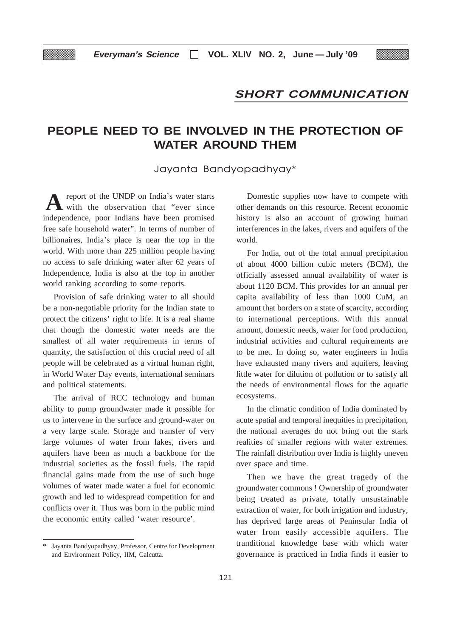# **SHORT COMMUNICATION**

# **PEOPLE NEED TO BE INVOLVED IN THE PROTECTION OF WATER AROUND THEM**

Jayanta Bandyopadhyay\*

report of the UNDP on India's water starts with the observation that "ever since independence, poor Indians have been promised free safe household water". In terms of number of billionaires, India's place is near the top in the world. With more than 225 million people having no access to safe drinking water after 62 years of Independence, India is also at the top in another world ranking according to some reports. **A**

Provision of safe drinking water to all should be a non-negotiable priority for the Indian state to protect the citizens' right to life. It is a real shame that though the domestic water needs are the smallest of all water requirements in terms of quantity, the satisfaction of this crucial need of all people will be celebrated as a virtual human right, in World Water Day events, international seminars and political statements.

The arrival of RCC technology and human ability to pump groundwater made it possible for us to intervene in the surface and ground-water on a very large scale. Storage and transfer of very large volumes of water from lakes, rivers and aquifers have been as much a backbone for the industrial societies as the fossil fuels. The rapid financial gains made from the use of such huge volumes of water made water a fuel for economic growth and led to widespread competition for and conflicts over it. Thus was born in the public mind the economic entity called 'water resource'.

Domestic supplies now have to compete with other demands on this resource. Recent economic history is also an account of growing human interferences in the lakes, rivers and aquifers of the world.

For India, out of the total annual precipitation of about 4000 billion cubic meters (BCM), the officially assessed annual availability of water is about 1120 BCM. This provides for an annual per capita availability of less than 1000 CuM, an amount that borders on a state of scarcity, according to international perceptions. With this annual amount, domestic needs, water for food production, industrial activities and cultural requirements are to be met. In doing so, water engineers in India have exhausted many rivers and aquifers, leaving little water for dilution of pollution or to satisfy all the needs of environmental flows for the aquatic ecosystems.

In the climatic condition of India dominated by acute spatial and temporal inequities in precipitation, the national averages do not bring out the stark realities of smaller regions with water extremes. The rainfall distribution over India is highly uneven over space and time.

Then we have the great tragedy of the groundwater commons ! Ownership of groundwater being treated as private, totally unsustainable extraction of water, for both irrigation and industry, has deprived large areas of Peninsular India of water from easily accessible aquifers. The tranditional knowledge base with which water governance is practiced in India finds it easier to

<sup>\*</sup> Jayanta Bandyopadhyay, Professor, Centre for Development and Environment Policy, IIM, Calcutta.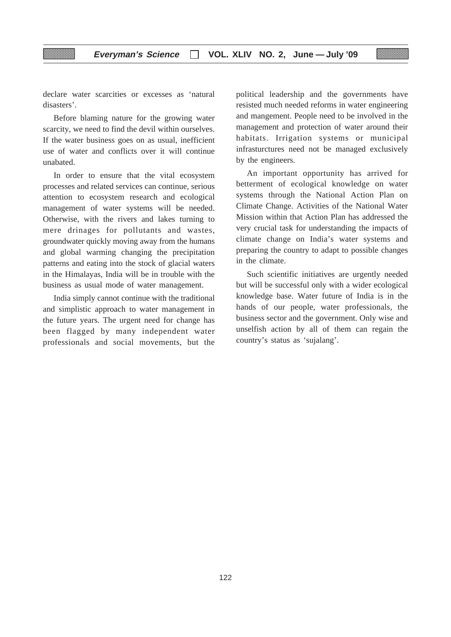declare water scarcities or excesses as 'natural disasters'.

Before blaming nature for the growing water scarcity, we need to find the devil within ourselves. If the water business goes on as usual, inefficient use of water and conflicts over it will continue unabated.

In order to ensure that the vital ecosystem processes and related services can continue, serious attention to ecosystem research and ecological management of water systems will be needed. Otherwise, with the rivers and lakes turning to mere drinages for pollutants and wastes, groundwater quickly moving away from the humans and global warming changing the precipitation patterns and eating into the stock of glacial waters in the Himalayas, India will be in trouble with the business as usual mode of water management.

India simply cannot continue with the traditional and simplistic approach to water management in the future years. The urgent need for change has been flagged by many independent water professionals and social movements, but the

political leadership and the governments have resisted much needed reforms in water engineering and mangement. People need to be involved in the management and protection of water around their habitats. Irrigation systems or municipal infrasturctures need not be managed exclusively by the engineers.

An important opportunity has arrived for betterment of ecological knowledge on water systems through the National Action Plan on Climate Change. Activities of the National Water Mission within that Action Plan has addressed the very crucial task for understanding the impacts of climate change on India's water systems and preparing the country to adapt to possible changes in the climate.

Such scientific initiatives are urgently needed but will be successful only with a wider ecological knowledge base. Water future of India is in the hands of our people, water professionals, the business sector and the government. Only wise and unselfish action by all of them can regain the country's status as 'sujalang'.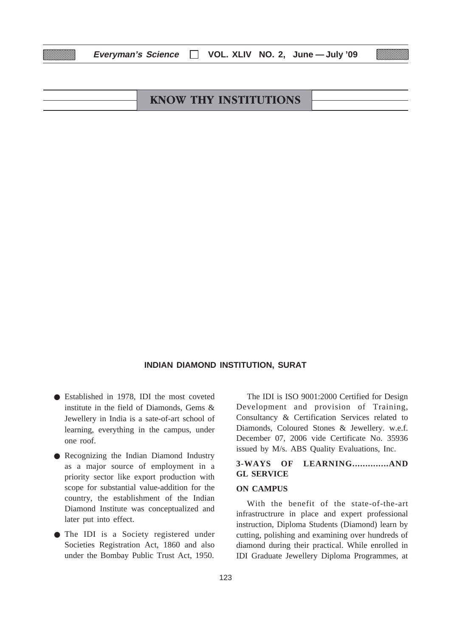| <b>KNOW THY INSTITUTIONS</b> |  |
|------------------------------|--|
|                              |  |

# **INDIAN DIAMOND INSTITUTION, SURAT**

- Established in 1978, IDI the most coveted institute in the field of Diamonds, Gems & Jewellery in India is a sate-of-art school of learning, everything in the campus, under one roof.
- Recognizing the Indian Diamond Industry as a major source of employment in a priority sector like export production with scope for substantial value-addition for the country, the establishment of the Indian Diamond Institute was conceptualized and later put into effect.
- The IDI is a Society registered under Societies Registration Act, 1860 and also under the Bombay Public Trust Act, 1950.

The IDI is ISO 9001:2000 Certified for Design Development and provision of Training, Consultancy & Certification Services related to Diamonds, Coloured Stones & Jewellery. w.e.f. December 07, 2006 vide Certificate No. 35936 issued by M/s. ABS Quality Evaluations, Inc.

# **3-WAYS OF LEARNING..............AND GL SERVICE**

# **ON CAMPUS**

With the benefit of the state-of-the-art infrastructrure in place and expert professional instruction, Diploma Students (Diamond) learn by cutting, polishing and examining over hundreds of diamond during their practical. While enrolled in IDI Graduate Jewellery Diploma Programmes, at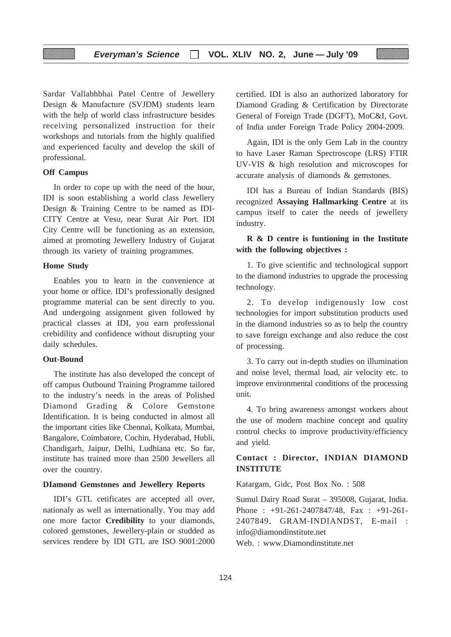Sardar Vallabhbhai Patel Centre of Jewellery Design & Manufacture (SVJDM) students learn with the help of world class infrastructure besides receiving personalized instruction for their workshops and tutorials from the highly qualified and experienced faculty and develop the skill of professional.

# **Off Campus**

In order to cope up with the need of the hour, IDI is soon establishing a world class Jewellery Design & Training Centre to be named as IDI-CITY Centre at Vesu, near Surat Air Port. IDI City Centre will be functioning as an extension, aimed at promoting Jewellery Industry of Gujarat through its variety of training programmes.

# **Home Study**

Enables you to learn in the convenience at your home or office. IDI's professionally designed programme material can be sent directly to you. And undergoing assignment given followed by practical classes at IDI, you earn professional crebidility and confidence without disrupting your daily schedules.

## **Out-Bound**

The institute has also developed the concept of off campus Outbound Training Programme tailored to the industry's needs in the areas of Polished Diamond Grading & Colore Gemstone Identification. It is being conducted in almost all the important cities like Chennai, Kolkata, Mumbai, Bangalore, Coimbatore, Cochin, Hyderabad, Hubli, Chandigarh, Jaipur, Delhi, Ludhiana etc. So far, institute has trained more than 2500 Jewellers all over the country.

#### **DIamond Gemstones and Jewellery Reports**

IDI's GTL cetificates are accepted all over, nationaly as well as internationally. You may add one more factor **Credibility** to your diamonds, colored gemstones, Jewellery-plain or studded as services rendere by IDI GTL are ISO 9001:2000 certified. IDI is also an authorized laboratory for Diamond Grading & Certification by Directorate General of Foreign Trade (DGFT), MoC&I, Govt. of India under Foreign Trade Policy 2004-2009.

Again, IDI is the only Gem Lab in the country to have Laser Raman Spectroscope (LRS) FTIR UV-VIS & high resolution and microscopes for accurate analysis of diamonds & gemstones.

IDI has a Bureau of Indian Standards (BIS) recognized **Assaying Hallmarking Centre** at its campus itself to cater the needs of jewellery industry.

# **R & D centre is funtioning in the Institute with the following objectives :**

1. To give scientific and technological support to the diamond industries to upgrade the processing technology.

2. To develop indigenously low cost technologies for import substitution products used in the diamond industries so as to help the country to save foreign exchange and also reduce the cost of processing.

3. To carry out in-depth studies on illumination and noise level, thermal load, air velocity etc. to improve environmental conditions of the processing unit.

4. To bring awareness amongst workers about the use of modern machine concept and quality control checks to improve productivity/efficiency and yield.

# **Contact : Director, INDIAN DIAMOND INSTITUTE**

Katargam, Gidc, Post Box No. : 508

Sumul Dairy Road Surat – 395008, Gujarat, India. Phone : +91-261-2407847/48, Fax : +91-261-2407849. GRAM-INDIANDST, E-mail : info@diamondinstitute.net Web. : www.Diamondinstitute.net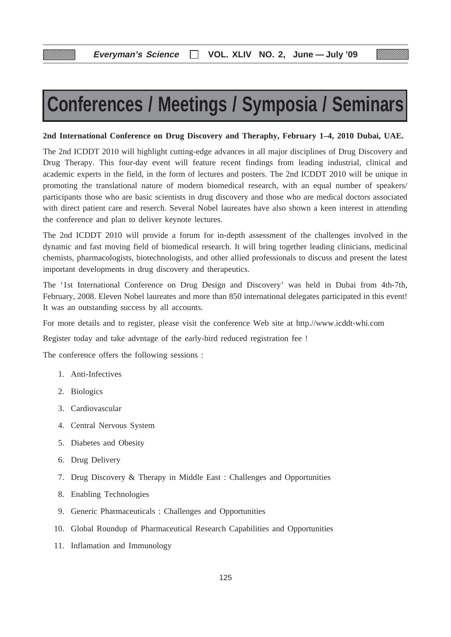# **Conferences / Meetings / Symposia / Seminars**

# **2nd International Conference on Drug Discovery and Theraphy, February 1–4, 2010 Dubai, UAE.**

The 2nd ICDDT 2010 will highlight cutting-edge advances in all major disciplines of Drug Discovery and Drug Therapy. This four-day event will feature recent findings from leading industrial, clinical and academic experts in the field, in the form of lectures and posters. The 2nd ICDDT 2010 will be unique in promoting the translational nature of modern biomedical research, with an equal number of speakers/ participants those who are basic scientists in drug discovery and those who are medical doctors associated with direct patient care and reserch. Several Nobel laureates have also shown a keen interest in attending the conference and plan to deliver keynote lectures.

The 2nd ICDDT 2010 will provide a forum for in-depth assessment of the challenges involved in the dynamic and fast moving field of biomedical research. It will bring together leading clinicians, medicinal chemists, pharmacologists, biotechnologists, and other allied professionals to discuss and present the latest important developments in drug discovery and therapeutics.

The '1st International Conference on Drug Design and Discovery' was held in Dubai from 4th-7th, February, 2008. Eleven Nobel laureates and more than 850 international delegates participated in this event! It was an outstanding success by all accounts.

For more details and to register, please visit the conference Web site at http.//www.icddt-whi.com

Register today and take advntage of the early-bird reduced registration fee !

The conference offers the following sessions :

- 1. Anti-Infectives
- 2. Biologics
- 3. Cardiovascular
- 4. Central Nervous System
- 5. Diabetes and Obesity
- 6. Drug Delivery
- 7. Drug Discovery & Therapy in Middle East : Challenges and Opportunities
- 8. Enabling Technologies
- 9. Generic Pharmaceuticals : Challenges and Opportunities
- 10. Global Roundup of Pharmaceutical Research Capabilities and Opportunities
- 11. Inflamation and Immunology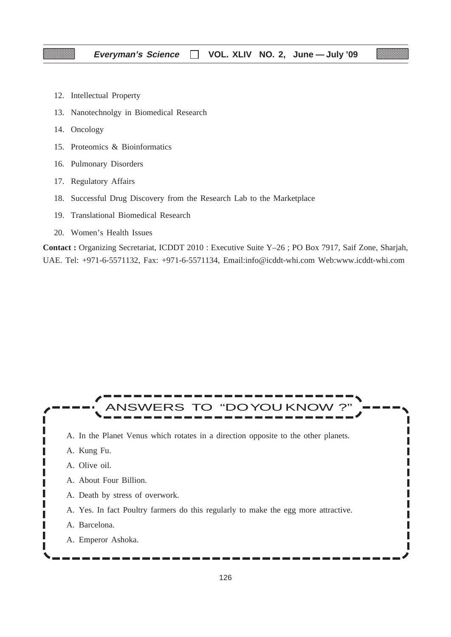- 12. Intellectual Property
- 13. Nanotechnolgy in Biomedical Research
- 14. Oncology
- 15. Proteomics & Bioinformatics
- 16. Pulmonary Disorders
- 17. Regulatory Affairs
- 18. Successful Drug Discovery from the Research Lab to the Marketplace
- 19. Translational Biomedical Research
- 20. Women's Health Issues

**Contact :** Organizing Secretariat, ICDDT 2010 : Executive Suite Y–26 ; PO Box 7917, Saif Zone, Sharjah, UAE. Tel: +971-6-5571132, Fax: +971-6-5571134, Email:info@icddt-whi.com Web:www.icddt-whi.com

#### ANSWERS TO "DOYOU KNOW ?" I L A. In the Planet Venus which rotates in a direction opposite to the other planets. ı A. Kung Fu. A. Olive oil. A. About Four Billion. П ı A. Death by stress of overwork. Г A. Yes. In fact Poultry farmers do this regularly to make the egg more attractive. г ı п A. Barcelona. Γ Π ı A. Emperor Ashoka.

П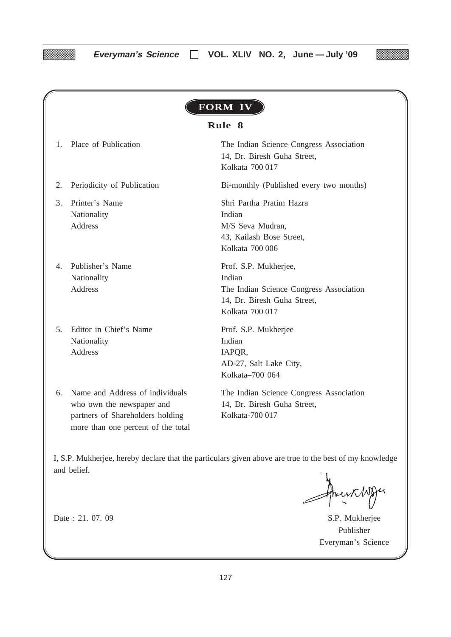|              | FORM IV                                                                                                                                |                                                                                                                              |  |  |  |  |
|--------------|----------------------------------------------------------------------------------------------------------------------------------------|------------------------------------------------------------------------------------------------------------------------------|--|--|--|--|
|              |                                                                                                                                        | Rule 8                                                                                                                       |  |  |  |  |
| $\mathbf{1}$ | Place of Publication                                                                                                                   | The Indian Science Congress Association<br>14, Dr. Biresh Guha Street,<br>Kolkata 700 017                                    |  |  |  |  |
| 2.           | Periodicity of Publication                                                                                                             | Bi-monthly (Published every two months)                                                                                      |  |  |  |  |
| 3.           | Printer's Name<br>Nationality<br>Address                                                                                               | Shri Partha Pratim Hazra<br>Indian<br>M/S Seva Mudran,<br>43, Kailash Bose Street,<br>Kolkata 700 006                        |  |  |  |  |
| 4            | Publisher's Name<br>Nationality<br>Address                                                                                             | Prof. S.P. Mukherjee,<br>Indian<br>The Indian Science Congress Association<br>14, Dr. Biresh Guha Street,<br>Kolkata 700 017 |  |  |  |  |
| 5.           | Editor in Chief's Name<br>Nationality<br>Address                                                                                       | Prof. S.P. Mukherjee<br>Indian<br>IAPQR,<br>AD-27, Salt Lake City,<br>Kolkata-700 064                                        |  |  |  |  |
| 6.           | Name and Address of individuals<br>who own the newspaper and<br>partners of Shareholders holding<br>more than one percent of the total | The Indian Science Congress Association<br>14, Dr. Biresh Guha Street,<br>Kolkata-700 017                                    |  |  |  |  |

I, S.P. Mukherjee, hereby declare that the particulars given above are true to the best of my knowledge and belief.

Date : 21. 07. 09 S.P. Mukherjee Publisher Everyman's Science

W.

<u> Maria Barat da Barat da Barat da Barat da Barat da Barat da Barat da Barat da Barat da Barat da Barat da Barat da Barat da Barat da Barat da Barat da Barat da Barat da Barat da Barat da Barat da Barat da Barat da Barat d</u>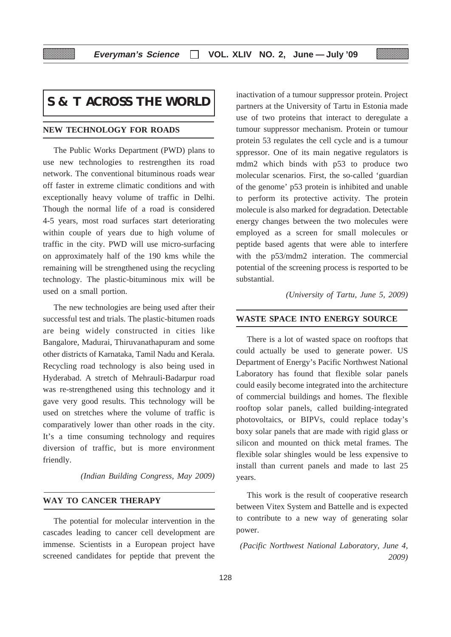# **S & T ACROSS THE WORLD**

### **NEW TECHNOLOGY FOR ROADS**

The Public Works Department (PWD) plans to use new technologies to restrengthen its road network. The conventional bituminous roads wear off faster in extreme climatic conditions and with exceptionally heavy volume of traffic in Delhi. Though the normal life of a road is considered 4-5 years, most road surfaces start deteriorating within couple of years due to high volume of traffic in the city. PWD will use micro-surfacing on approximately half of the 190 kms while the remaining will be strengthened using the recycling technology. The plastic-bituminous mix will be used on a small portion.

The new technologies are being used after their successful test and trials. The plastic-bitumen roads are being widely constructed in cities like Bangalore, Madurai, Thiruvanathapuram and some other districts of Karnataka, Tamil Nadu and Kerala. Recycling road technology is also being used in Hyderabad. A stretch of Mehrauli-Badarpur road was re-strengthened using this technology and it gave very good results. This technology will be used on stretches where the volume of traffic is comparatively lower than other roads in the city. It's a time consuming technology and requires diversion of traffic, but is more environment friendly.

*(Indian Building Congress, May 2009)*

#### **WAY TO CANCER THERAPY**

The potential for molecular intervention in the cascades leading to cancer cell development are immense. Scientists in a European project have screened candidates for peptide that prevent the

inactivation of a tumour suppressor protein. Project partners at the University of Tartu in Estonia made use of two proteins that interact to deregulate a tumour suppressor mechanism. Protein or tumour protein 53 regulates the cell cycle and is a tumour sppressor. One of its main negative regulators is mdm2 which binds with p53 to produce two molecular scenarios. First, the so-called 'guardian of the genome' p53 protein is inhibited and unable to perform its protective activity. The protein molecule is also marked for degradation. Detectable energy changes between the two molecules were employed as a screen for small molecules or peptide based agents that were able to interfere with the p53/mdm2 interation. The commercial potential of the screening process is resported to be substantial.

*(University of Tartu, June 5, 2009)*

#### **WASTE SPACE INTO ENERGY SOURCE**

There is a lot of wasted space on rooftops that could actually be used to generate power. US Department of Energy's Pacific Northwest National Laboratory has found that flexible solar panels could easily become integrated into the architecture of commercial buildings and homes. The flexible rooftop solar panels, called building-integrated photovoltaics, or BIPVs, could replace today's boxy solar panels that are made with rigid glass or silicon and mounted on thick metal frames. The flexible solar shingles would be less expensive to install than current panels and made to last 25 years.

This work is the result of cooperative research between Vitex System and Battelle and is expected to contribute to a new way of generating solar power.

*(Pacific Northwest National Laboratory, June 4, 2009)*